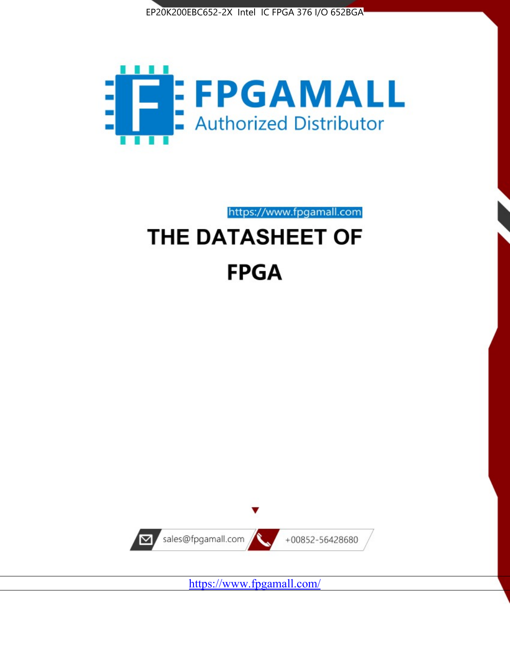



https://www.fpgamall.com

# THE DATASHEET OF **FPGA**



<https://www.fpgamall.com/>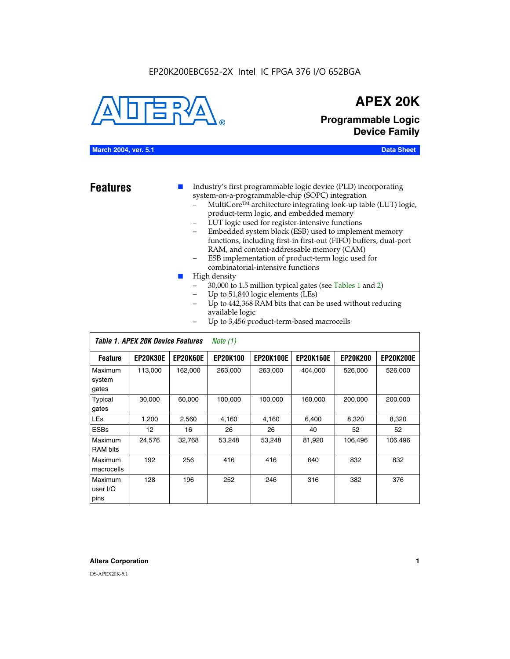#### EP20K200EBC652-2X Intel IC FPGA 376 I/O 652BGA



# **APEX 20K**

**Programmable Logic Device Family**

#### **March 2004, ver. 5.1 Data Sheet**

**Features ■** Industry's first programmable logic device (PLD) incorporating system-on-a-programmable-chip (SOPC) integration

- MultiCore™ architecture integrating look-up table (LUT) logic, product-term logic, and embedded memory
- LUT logic used for register-intensive functions
- Embedded system block (ESB) used to implement memory functions, including first-in first-out (FIFO) buffers, dual-port RAM, and content-addressable memory (CAM)
- ESB implementation of product-term logic used for combinatorial-intensive functions
- High density
	- 30,000 to 1.5 million typical gates (see Tables 1 and 2)
	- Up to 51,840 logic elements (LEs)
	- Up to 442,368 RAM bits that can be used without reducing available logic
	- Up to 3,456 product-term-based macrocells

|                             | Table 1. APEX 20K Device Features |          | Note $(1)$      |                  |                  |                 |                  |
|-----------------------------|-----------------------------------|----------|-----------------|------------------|------------------|-----------------|------------------|
| <b>Feature</b>              | <b>EP20K30E</b>                   | EP20K60E | <b>EP20K100</b> | <b>EP20K100E</b> | <b>EP20K160E</b> | <b>EP20K200</b> | <b>EP20K200E</b> |
| Maximum<br>system<br>gates  | 113,000                           | 162,000  | 263,000         | 263,000          | 404.000          | 526,000         | 526,000          |
| Typical<br>gates            | 30,000                            | 60.000   | 100,000         | 100,000          | 160,000          | 200,000         | 200,000          |
| <b>LEs</b>                  | 1,200                             | 2,560    | 4,160           | 4.160            | 6.400            | 8,320           | 8,320            |
| <b>ESBs</b>                 | 12                                | 16       | 26              | 26               | 40               | 52              | 52               |
| Maximum<br>RAM bits         | 24,576                            | 32,768   | 53,248          | 53,248           | 81,920           | 106,496         | 106,496          |
| Maximum<br>macrocells       | 192                               | 256      | 416             | 416              | 640              | 832             | 832              |
| Maximum<br>user I/O<br>pins | 128                               | 196      | 252             | 246              | 316              | 382             | 376              |

#### **Altera Corporation 1**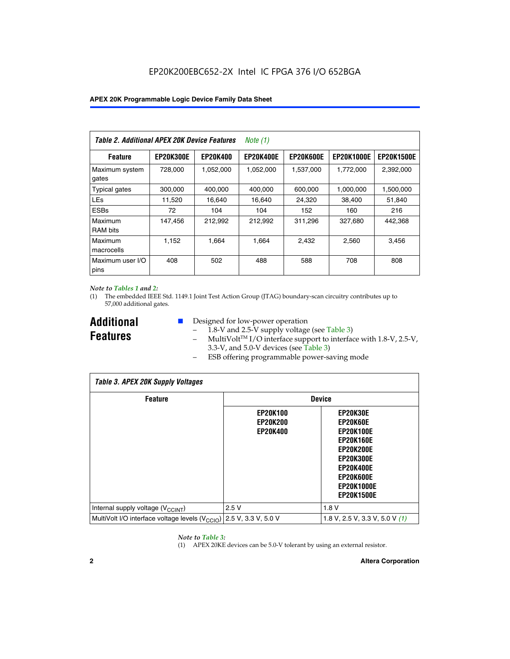| Table 2. Additional APEX 20K Device Features |                  |                 | <i>Note</i> $(1)$ |                  |                   |                   |
|----------------------------------------------|------------------|-----------------|-------------------|------------------|-------------------|-------------------|
| <b>Feature</b>                               | <b>EP20K300E</b> | <b>EP20K400</b> | <b>EP20K400E</b>  | <b>EP20K600E</b> | <b>EP20K1000E</b> | <b>EP20K1500E</b> |
| Maximum system<br>gates                      | 728,000          | 1,052,000       | 1,052,000         | 1,537,000        | 1,772,000         | 2,392,000         |
| <b>Typical gates</b>                         | 300,000          | 400,000         | 400,000           | 600,000          | 1,000,000         | 1,500,000         |
| <b>LEs</b>                                   | 11,520           | 16.640          | 16,640            | 24,320           | 38,400            | 51,840            |
| <b>ESBs</b>                                  | 72               | 104             | 104               | 152              | 160               | 216               |
| Maximum<br><b>RAM bits</b>                   | 147,456          | 212,992         | 212.992           | 311,296          | 327,680           | 442.368           |
| Maximum<br>macrocells                        | 1,152            | 1,664           | 1,664             | 2.432            | 2,560             | 3,456             |
| Maximum user I/O<br>pins                     | 408              | 502             | 488               | 588              | 708               | 808               |

#### *Note to Tables 1 and 2:*

(1) The embedded IEEE Std. 1149.1 Joint Test Action Group (JTAG) boundary-scan circuitry contributes up to 57,000 additional gates.

**Additional Features**

- Designed for low-power operation
	- 1.8-V and 2.5-V supply voltage (see Table 3)
	- $-$  MultiVolt<sup>TM</sup> I/O interface support to interface with 1.8-V, 2.5-V, 3.3-V, and 5.0-V devices (see Table 3)
	- ESB offering programmable power-saving mode

| <b>Table 3. APEX 20K Supply Voltages</b>                                       |                                                       |                                                                                                                                                                          |  |  |  |  |  |  |
|--------------------------------------------------------------------------------|-------------------------------------------------------|--------------------------------------------------------------------------------------------------------------------------------------------------------------------------|--|--|--|--|--|--|
| <b>Feature</b>                                                                 | <b>Device</b>                                         |                                                                                                                                                                          |  |  |  |  |  |  |
|                                                                                | <b>EP20K100</b><br><b>EP20K200</b><br><b>EP20K400</b> | EP20K30E<br>EP20K60E<br><b>EP20K100E</b><br><b>EP20K160E</b><br>EP20K200E<br><b>EP20K300E</b><br><b>EP20K400E</b><br>EP20K600E<br><b>EP20K1000E</b><br><b>EP20K1500E</b> |  |  |  |  |  |  |
| Internal supply voltage (V <sub>CCINT</sub> )                                  | 2.5V                                                  | 1.8V                                                                                                                                                                     |  |  |  |  |  |  |
| MultiVolt I/O interface voltage levels $(V_{\text{CCIO}})$ 2.5 V, 3.3 V, 5.0 V |                                                       | 1.8 V, 2.5 V, 3.3 V, 5.0 V $(1)$                                                                                                                                         |  |  |  |  |  |  |

#### *Note to Table 3:*

(1) APEX 20KE devices can be 5.0-V tolerant by using an external resistor.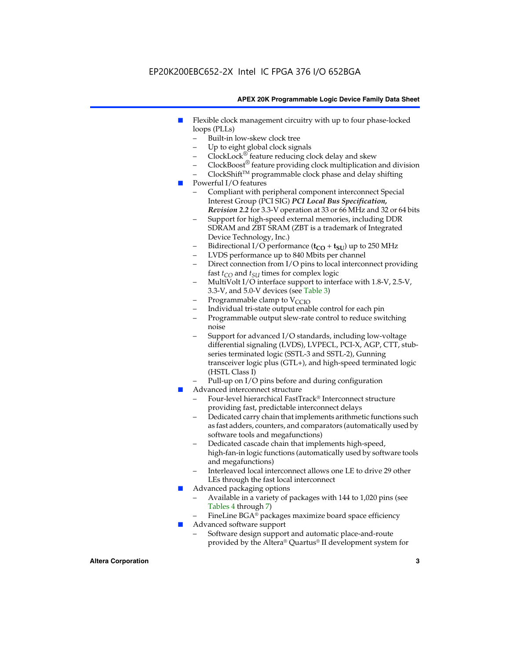### EP20K200EBC652-2X Intel IC FPGA 376 I/O 652BGA

#### **APEX 20K Programmable Logic Device Family Data Sheet**

- Flexible clock management circuitry with up to four phase-locked loops (PLLs)
	- Built-in low-skew clock tree
	- Up to eight global clock signals
	- $ClockLock^{\circledR}$  feature reducing clock delay and skew
	- $ClockBoost^{\circledR}$  feature providing clock multiplication and division
	- ClockShiftTM programmable clock phase and delay shifting
- Powerful I/O features
	- Compliant with peripheral component interconnect Special Interest Group (PCI SIG) *PCI Local Bus Specification, Revision 2.2* for 3.3-V operation at 33 or 66 MHz and 32 or 64 bits
	- Support for high-speed external memories, including DDR SDRAM and ZBT SRAM (ZBT is a trademark of Integrated Device Technology, Inc.)
	- Bidirectional I/O performance  $(t_{CO} + t_{SU})$  up to 250 MHz
	- LVDS performance up to 840 Mbits per channel
	- Direct connection from I/O pins to local interconnect providing fast  $t_{CO}$  and  $t_{SU}$  times for complex logic
	- MultiVolt I/O interface support to interface with 1.8-V, 2.5-V, 3.3-V, and 5.0-V devices (see Table 3)
	- Programmable clamp to  $V_{\text{C}CD}$
	- Individual tri-state output enable control for each pin
	- Programmable output slew-rate control to reduce switching noise
	- Support for advanced I/O standards, including low-voltage differential signaling (LVDS), LVPECL, PCI-X, AGP, CTT, stubseries terminated logic (SSTL-3 and SSTL-2), Gunning transceiver logic plus (GTL+), and high-speed terminated logic (HSTL Class I)
	- Pull-up on I/O pins before and during configuration
- Advanced interconnect structure
	- Four-level hierarchical FastTrack® Interconnect structure providing fast, predictable interconnect delays
	- Dedicated carry chain that implements arithmetic functions such as fast adders, counters, and comparators (automatically used by software tools and megafunctions)
	- Dedicated cascade chain that implements high-speed, high-fan-in logic functions (automatically used by software tools and megafunctions)
	- Interleaved local interconnect allows one LE to drive 29 other LEs through the fast local interconnect
- Advanced packaging options
	- Available in a variety of packages with 144 to 1,020 pins (see Tables 4 through 7)
	- FineLine BGA® packages maximize board space efficiency
- Advanced software support
	- Software design support and automatic place-and-route provided by the Altera® Quartus® II development system for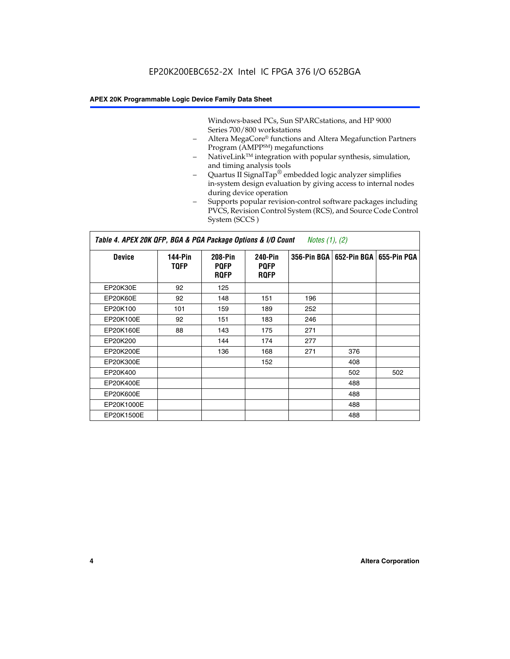Windows-based PCs, Sun SPARCstations, and HP 9000 Series 700/800 workstations

- Altera MegaCore® functions and Altera Megafunction Partners Program (AMPP<sup>SM</sup>) megafunctions
- NativeLink<sup>™</sup> integration with popular synthesis, simulation, and timing analysis tools
- Quartus II SignalTap® embedded logic analyzer simplifies in-system design evaluation by giving access to internal nodes during device operation
- Supports popular revision-control software packages including PVCS, Revision Control System (RCS), and Source Code Control System (SCCS )

#### *Table 4. APEX 20K QFP, BGA & PGA Package Options & I/O Count Notes (1), (2)*

| <b>Device</b>   | 144-Pin<br><b>TQFP</b> | 208-Pin<br><b>PQFP</b><br><b>ROFP</b> | 240-Pin<br><b>PQFP</b><br><b>ROFP</b> |     | 356-Pin BGA   652-Pin BGA | 655-Pin PGA |
|-----------------|------------------------|---------------------------------------|---------------------------------------|-----|---------------------------|-------------|
| EP20K30E        | 92                     | 125                                   |                                       |     |                           |             |
| <b>EP20K60E</b> | 92                     | 148                                   | 151                                   | 196 |                           |             |
| EP20K100        | 101                    | 159                                   | 189                                   | 252 |                           |             |
| EP20K100E       | 92                     | 151                                   | 183                                   | 246 |                           |             |
| EP20K160E       | 88                     | 143                                   | 175                                   | 271 |                           |             |
| EP20K200        |                        | 144                                   | 174                                   | 277 |                           |             |
| EP20K200E       |                        | 136                                   | 168                                   | 271 | 376                       |             |
| EP20K300E       |                        |                                       | 152                                   |     | 408                       |             |
| EP20K400        |                        |                                       |                                       |     | 502                       | 502         |
| EP20K400E       |                        |                                       |                                       |     | 488                       |             |
| EP20K600E       |                        |                                       |                                       |     | 488                       |             |
| EP20K1000E      |                        |                                       |                                       |     | 488                       |             |
| EP20K1500E      |                        |                                       |                                       |     | 488                       |             |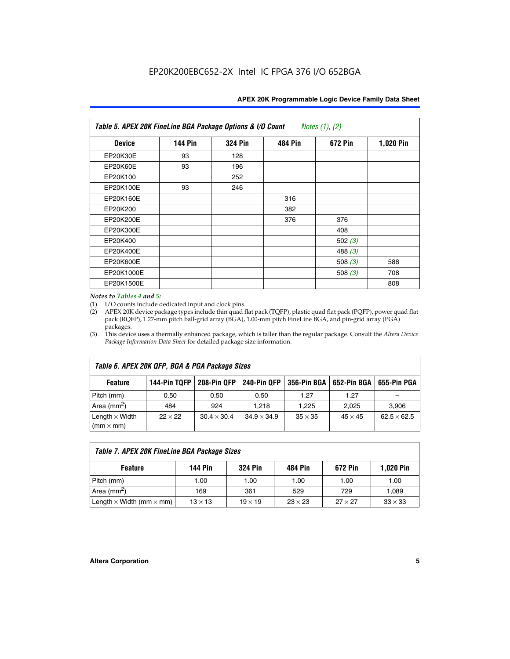|  | APEX 20K Programmable Logic Device Family Data Sheet |
|--|------------------------------------------------------|
|--|------------------------------------------------------|

| Table 5. APEX 20K FineLine BGA Package Options & I/O Count<br>Notes $(1)$ , $(2)$ |                |                |                |           |           |  |  |
|-----------------------------------------------------------------------------------|----------------|----------------|----------------|-----------|-----------|--|--|
| <b>Device</b>                                                                     | <b>144 Pin</b> | <b>324 Pin</b> | <b>484 Pin</b> | 672 Pin   | 1,020 Pin |  |  |
| EP20K30E                                                                          | 93             | 128            |                |           |           |  |  |
| <b>EP20K60E</b>                                                                   | 93             | 196            |                |           |           |  |  |
| EP20K100                                                                          |                | 252            |                |           |           |  |  |
| EP20K100E                                                                         | 93             | 246            |                |           |           |  |  |
| EP20K160E                                                                         |                |                | 316            |           |           |  |  |
| EP20K200                                                                          |                |                | 382            |           |           |  |  |
| EP20K200E                                                                         |                |                | 376            | 376       |           |  |  |
| EP20K300E                                                                         |                |                |                | 408       |           |  |  |
| EP20K400                                                                          |                |                |                | 502 $(3)$ |           |  |  |
| EP20K400E                                                                         |                |                |                | 488 $(3)$ |           |  |  |
| EP20K600E                                                                         |                |                |                | 508 $(3)$ | 588       |  |  |
| EP20K1000E                                                                        |                |                |                | 508 $(3)$ | 708       |  |  |
| EP20K1500E                                                                        |                |                |                |           | 808       |  |  |

#### *Notes to Tables 4 and 5:*

(1) I/O counts include dedicated input and clock pins.

(2) APEX 20K device package types include thin quad flat pack (TQFP), plastic quad flat pack (PQFP), power quad flat pack (RQFP), 1.27-mm pitch ball-grid array (BGA), 1.00-mm pitch FineLine BGA, and pin-grid array (PGA) packages.

(3) This device uses a thermally enhanced package, which is taller than the regular package. Consult the *Altera Device Package Information Data Sheet* for detailed package size information.

| Table 6. APEX 20K QFP, BGA & PGA Package Sizes |                |                    |                    |                |                |                    |  |  |  |
|------------------------------------------------|----------------|--------------------|--------------------|----------------|----------------|--------------------|--|--|--|
| <b>Feature</b>                                 | 144-Pin TQFP   | 208-Pin QFP        | 240-Pin QFP        | 356-Pin BGA    | 652-Pin BGA    | 655-Pin PGA        |  |  |  |
| Pitch (mm)                                     | 0.50           | 0.50               | 0.50               | 1.27           | 1.27           |                    |  |  |  |
| Area ( $mm2$ )                                 | 484            | 924                | 1.218              | 1.225          | 2.025          | 3,906              |  |  |  |
| Length $\times$ Width<br>$(mm \times mm)$      | $22 \times 22$ | $30.4 \times 30.4$ | $34.9 \times 34.9$ | $35 \times 35$ | $45 \times 45$ | $62.5 \times 62.5$ |  |  |  |

| Table 7. APEX 20K FineLine BGA Package Sizes |                |                |                |                |                  |  |  |  |
|----------------------------------------------|----------------|----------------|----------------|----------------|------------------|--|--|--|
| <b>Feature</b>                               | 144 Pin        | <b>324 Pin</b> | 484 Pin        | 672 Pin        | <b>1,020 Pin</b> |  |  |  |
| Pitch (mm)                                   | 1.00           | 1.00           | 1.00           | 1.00           | 1.00             |  |  |  |
| Area ( $mm2$ )                               | 169            | 361            | 529            | 729            | 1,089            |  |  |  |
| Length $\times$ Width (mm $\times$ mm)       | $13 \times 13$ | $19 \times 19$ | $23 \times 23$ | $27 \times 27$ | $33 \times 33$   |  |  |  |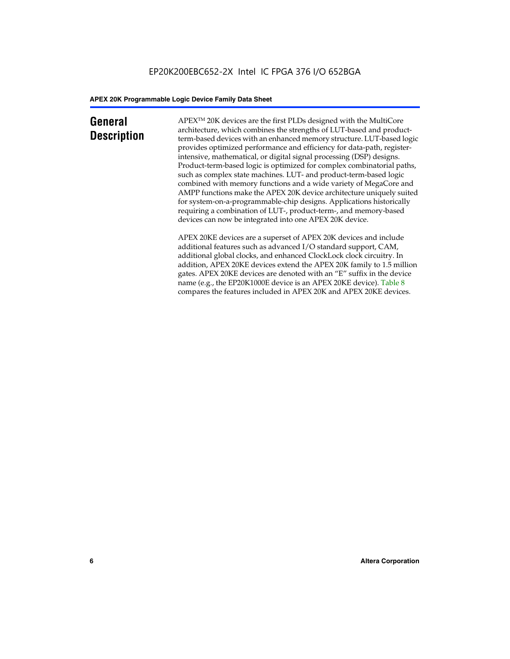### **General Description**

APEXTM 20K devices are the first PLDs designed with the MultiCore architecture, which combines the strengths of LUT-based and productterm-based devices with an enhanced memory structure. LUT-based logic provides optimized performance and efficiency for data-path, registerintensive, mathematical, or digital signal processing (DSP) designs. Product-term-based logic is optimized for complex combinatorial paths, such as complex state machines. LUT- and product-term-based logic combined with memory functions and a wide variety of MegaCore and AMPP functions make the APEX 20K device architecture uniquely suited for system-on-a-programmable-chip designs. Applications historically requiring a combination of LUT-, product-term-, and memory-based devices can now be integrated into one APEX 20K device.

APEX 20KE devices are a superset of APEX 20K devices and include additional features such as advanced I/O standard support, CAM, additional global clocks, and enhanced ClockLock clock circuitry. In addition, APEX 20KE devices extend the APEX 20K family to 1.5 million gates. APEX 20KE devices are denoted with an "E" suffix in the device name (e.g., the EP20K1000E device is an APEX 20KE device). Table 8 compares the features included in APEX 20K and APEX 20KE devices.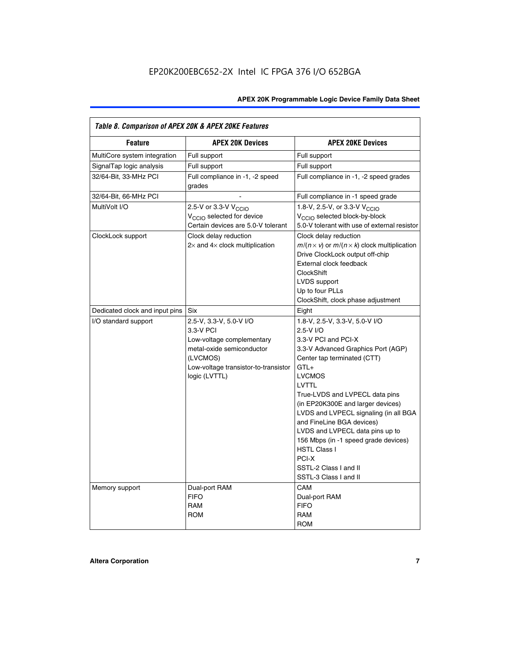| Table 8. Comparison of APEX 20K & APEX 20KE Features |                                                                                                                                                                     |                                                                                                                                                                                                                                                                                                                                                                                                                                                                                              |  |  |  |  |
|------------------------------------------------------|---------------------------------------------------------------------------------------------------------------------------------------------------------------------|----------------------------------------------------------------------------------------------------------------------------------------------------------------------------------------------------------------------------------------------------------------------------------------------------------------------------------------------------------------------------------------------------------------------------------------------------------------------------------------------|--|--|--|--|
| <b>Feature</b>                                       | <b>APEX 20K Devices</b>                                                                                                                                             | <b>APEX 20KE Devices</b>                                                                                                                                                                                                                                                                                                                                                                                                                                                                     |  |  |  |  |
| MultiCore system integration                         | Full support                                                                                                                                                        | Full support                                                                                                                                                                                                                                                                                                                                                                                                                                                                                 |  |  |  |  |
| SignalTap logic analysis                             | Full support                                                                                                                                                        | Full support                                                                                                                                                                                                                                                                                                                                                                                                                                                                                 |  |  |  |  |
| 32/64-Bit, 33-MHz PCI                                | Full compliance in -1, -2 speed<br>grades                                                                                                                           | Full compliance in -1, -2 speed grades                                                                                                                                                                                                                                                                                                                                                                                                                                                       |  |  |  |  |
| 32/64-Bit, 66-MHz PCI                                |                                                                                                                                                                     | Full compliance in -1 speed grade                                                                                                                                                                                                                                                                                                                                                                                                                                                            |  |  |  |  |
| MultiVolt I/O                                        | 2.5-V or 3.3-V V <sub>CCIO</sub><br>V <sub>CCIO</sub> selected for device<br>Certain devices are 5.0-V tolerant                                                     | 1.8-V, 2.5-V, or 3.3-V V <sub>CCIO</sub><br>V <sub>CCIO</sub> selected block-by-block<br>5.0-V tolerant with use of external resistor                                                                                                                                                                                                                                                                                                                                                        |  |  |  |  |
| ClockLock support                                    | Clock delay reduction<br>$2\times$ and $4\times$ clock multiplication                                                                                               | Clock delay reduction<br>$m/(n \times v)$ or $m/(n \times k)$ clock multiplication<br>Drive ClockLock output off-chip<br>External clock feedback<br><b>ClockShift</b><br>LVDS support<br>Up to four PLLs<br>ClockShift, clock phase adjustment                                                                                                                                                                                                                                               |  |  |  |  |
| Dedicated clock and input pins                       | Six                                                                                                                                                                 | Eight                                                                                                                                                                                                                                                                                                                                                                                                                                                                                        |  |  |  |  |
| I/O standard support                                 | 2.5-V, 3.3-V, 5.0-V I/O<br>3.3-V PCI<br>Low-voltage complementary<br>metal-oxide semiconductor<br>(LVCMOS)<br>Low-voltage transistor-to-transistor<br>logic (LVTTL) | 1.8-V, 2.5-V, 3.3-V, 5.0-V I/O<br>2.5-V I/O<br>3.3-V PCI and PCI-X<br>3.3-V Advanced Graphics Port (AGP)<br>Center tap terminated (CTT)<br>$GTL+$<br><b>LVCMOS</b><br><b>LVTTL</b><br>True-LVDS and LVPECL data pins<br>(in EP20K300E and larger devices)<br>LVDS and LVPECL signaling (in all BGA<br>and FineLine BGA devices)<br>LVDS and LVPECL data pins up to<br>156 Mbps (in -1 speed grade devices)<br><b>HSTL Class I</b><br>PCI-X<br>SSTL-2 Class I and II<br>SSTL-3 Class I and II |  |  |  |  |
| Memory support                                       | Dual-port RAM<br><b>FIFO</b><br><b>RAM</b><br><b>ROM</b>                                                                                                            | CAM<br>Dual-port RAM<br><b>FIFO</b><br>RAM<br><b>ROM</b>                                                                                                                                                                                                                                                                                                                                                                                                                                     |  |  |  |  |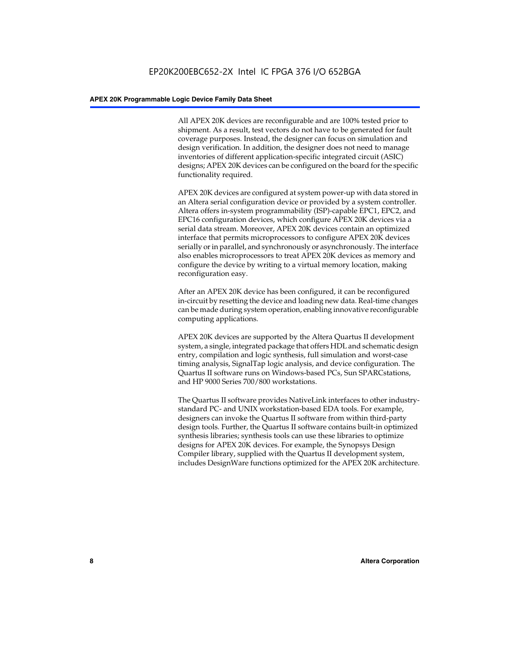All APEX 20K devices are reconfigurable and are 100% tested prior to shipment. As a result, test vectors do not have to be generated for fault coverage purposes. Instead, the designer can focus on simulation and design verification. In addition, the designer does not need to manage inventories of different application-specific integrated circuit (ASIC) designs; APEX 20K devices can be configured on the board for the specific functionality required.

APEX 20K devices are configured at system power-up with data stored in an Altera serial configuration device or provided by a system controller. Altera offers in-system programmability (ISP)-capable EPC1, EPC2, and EPC16 configuration devices, which configure APEX 20K devices via a serial data stream. Moreover, APEX 20K devices contain an optimized interface that permits microprocessors to configure APEX 20K devices serially or in parallel, and synchronously or asynchronously. The interface also enables microprocessors to treat APEX 20K devices as memory and configure the device by writing to a virtual memory location, making reconfiguration easy.

After an APEX 20K device has been configured, it can be reconfigured in-circuit by resetting the device and loading new data. Real-time changes can be made during system operation, enabling innovative reconfigurable computing applications.

APEX 20K devices are supported by the Altera Quartus II development system, a single, integrated package that offers HDL and schematic design entry, compilation and logic synthesis, full simulation and worst-case timing analysis, SignalTap logic analysis, and device configuration. The Quartus II software runs on Windows-based PCs, Sun SPARCstations, and HP 9000 Series 700/800 workstations.

The Quartus II software provides NativeLink interfaces to other industrystandard PC- and UNIX workstation-based EDA tools. For example, designers can invoke the Quartus II software from within third-party design tools. Further, the Quartus II software contains built-in optimized synthesis libraries; synthesis tools can use these libraries to optimize designs for APEX 20K devices. For example, the Synopsys Design Compiler library, supplied with the Quartus II development system, includes DesignWare functions optimized for the APEX 20K architecture.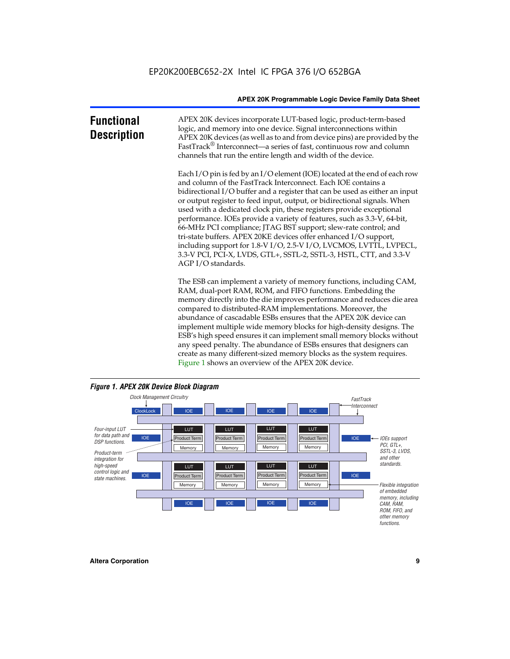| <b>Functional</b><br><b>Description</b> | APEX 20K devices incorporate LUT-based logic, product-term-based<br>logic, and memory into one device. Signal interconnections within<br>APEX 20K devices (as well as to and from device pins) are provided by the<br>FastTrack <sup>®</sup> Interconnect—a series of fast, continuous row and column<br>channels that run the entire length and width of the device.                                                                                                                                                                                                                                                                                                                                                                                              |
|-----------------------------------------|--------------------------------------------------------------------------------------------------------------------------------------------------------------------------------------------------------------------------------------------------------------------------------------------------------------------------------------------------------------------------------------------------------------------------------------------------------------------------------------------------------------------------------------------------------------------------------------------------------------------------------------------------------------------------------------------------------------------------------------------------------------------|
|                                         | Each I/O pin is fed by an I/O element (IOE) located at the end of each row<br>and column of the FastTrack Interconnect. Each IOE contains a<br>bidirectional I/O buffer and a register that can be used as either an input<br>or output register to feed input, output, or bidirectional signals. When<br>used with a dedicated clock pin, these registers provide exceptional<br>performance. IOEs provide a variety of features, such as 3.3-V, 64-bit,<br>66-MHz PCI compliance; JTAG BST support; slew-rate control; and<br>tri-state buffers. APEX 20KE devices offer enhanced I/O support,<br>including support for 1.8-V I/O, 2.5-V I/O, LVCMOS, LVTTL, LVPECL,<br>3.3-V PCI, PCI-X, LVDS, GTL+, SSTL-2, SSTL-3, HSTL, CTT, and 3.3-V<br>AGP I/O standards. |
|                                         | The ESB can implement a variety of memory functions, including CAM,<br>RAM, dual-port RAM, ROM, and FIFO functions. Embedding the<br>memory directly into the die improves performance and reduces die area<br>compared to distributed-RAM implementations. Moreover, the<br>abundance of cascadable ESBs ensures that the APEX 20K device can<br>implement multiple wide memory blocks for high-density designs. The<br>ESB's high speed ensures it can implement small memory blocks without<br>any speed penalty. The abundance of ESBs ensures that designers can                                                                                                                                                                                              |



create as many different-sized memory blocks as the system requires.

Figure 1 shows an overview of the APEX 20K device.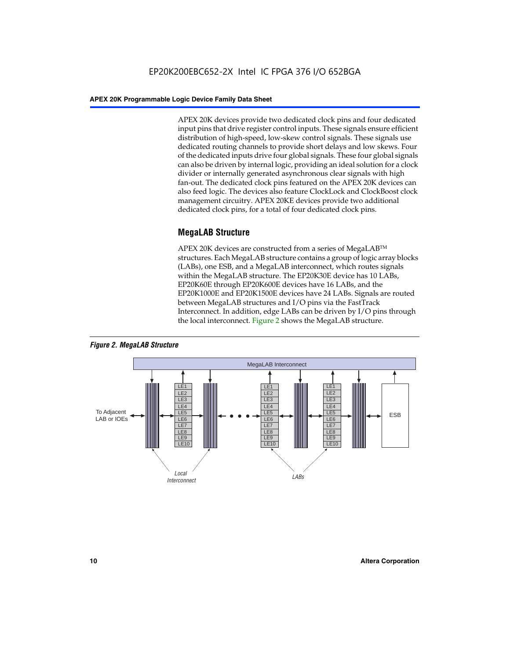APEX 20K devices provide two dedicated clock pins and four dedicated input pins that drive register control inputs. These signals ensure efficient distribution of high-speed, low-skew control signals. These signals use dedicated routing channels to provide short delays and low skews. Four of the dedicated inputs drive four global signals. These four global signals can also be driven by internal logic, providing an ideal solution for a clock divider or internally generated asynchronous clear signals with high fan-out. The dedicated clock pins featured on the APEX 20K devices can also feed logic. The devices also feature ClockLock and ClockBoost clock management circuitry. APEX 20KE devices provide two additional dedicated clock pins, for a total of four dedicated clock pins.

#### **MegaLAB Structure**

APEX 20K devices are constructed from a series of MegaLAB<sup>™</sup> structures. Each MegaLAB structure contains a group of logic array blocks (LABs), one ESB, and a MegaLAB interconnect, which routes signals within the MegaLAB structure. The EP20K30E device has 10 LABs, EP20K60E through EP20K600E devices have 16 LABs, and the EP20K1000E and EP20K1500E devices have 24 LABs. Signals are routed between MegaLAB structures and I/O pins via the FastTrack Interconnect. In addition, edge LABs can be driven by I/O pins through the local interconnect. Figure 2 shows the MegaLAB structure.



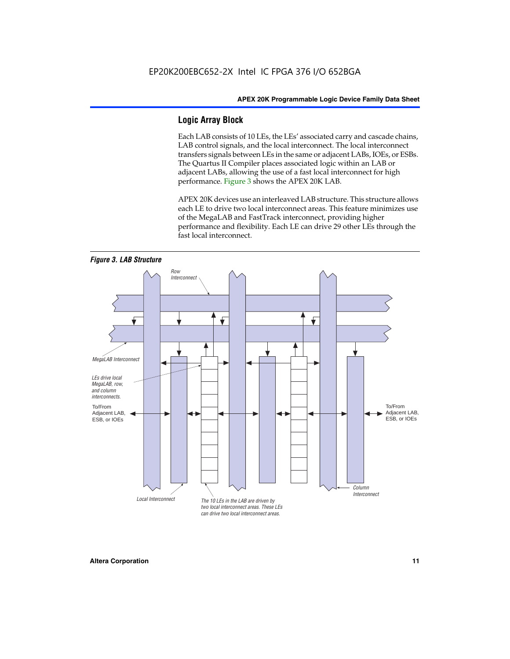#### **Logic Array Block**

Each LAB consists of 10 LEs, the LEs' associated carry and cascade chains, LAB control signals, and the local interconnect. The local interconnect transfers signals between LEs in the same or adjacent LABs, IOEs, or ESBs. The Quartus II Compiler places associated logic within an LAB or adjacent LABs, allowing the use of a fast local interconnect for high performance. Figure 3 shows the APEX 20K LAB.

APEX 20K devices use an interleaved LAB structure. This structure allows each LE to drive two local interconnect areas. This feature minimizes use of the MegaLAB and FastTrack interconnect, providing higher performance and flexibility. Each LE can drive 29 other LEs through the fast local interconnect.

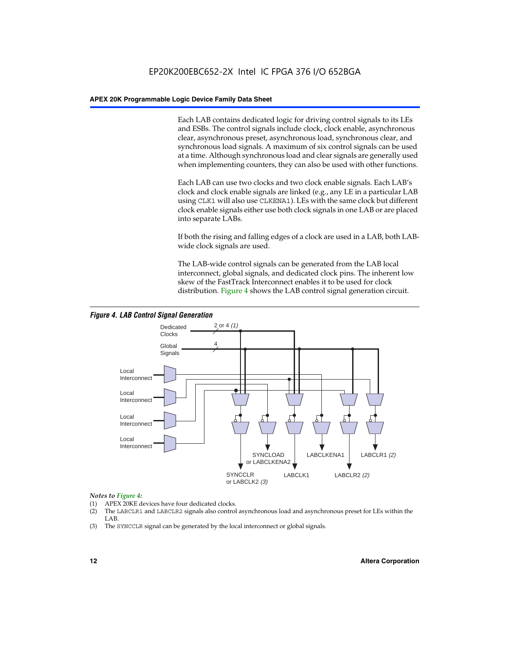Each LAB contains dedicated logic for driving control signals to its LEs and ESBs. The control signals include clock, clock enable, asynchronous clear, asynchronous preset, asynchronous load, synchronous clear, and synchronous load signals. A maximum of six control signals can be used at a time. Although synchronous load and clear signals are generally used when implementing counters, they can also be used with other functions.

Each LAB can use two clocks and two clock enable signals. Each LAB's clock and clock enable signals are linked (e.g., any LE in a particular LAB using CLK1 will also use CLKENA1). LEs with the same clock but different clock enable signals either use both clock signals in one LAB or are placed into separate LABs.

If both the rising and falling edges of a clock are used in a LAB, both LABwide clock signals are used.

The LAB-wide control signals can be generated from the LAB local interconnect, global signals, and dedicated clock pins. The inherent low skew of the FastTrack Interconnect enables it to be used for clock distribution. Figure 4 shows the LAB control signal generation circuit.



#### *Figure 4. LAB Control Signal Generation*

#### *Notes to Figure 4:*

- (1) APEX 20KE devices have four dedicated clocks.
- (2) The LABCLR1 and LABCLR2 signals also control asynchronous load and asynchronous preset for LEs within the LAB.
- (3) The SYNCCLR signal can be generated by the local interconnect or global signals.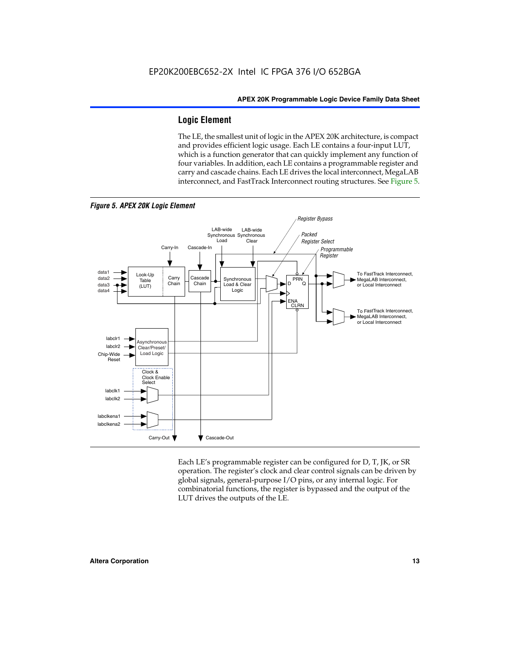#### **Logic Element**

The LE, the smallest unit of logic in the APEX 20K architecture, is compact and provides efficient logic usage. Each LE contains a four-input LUT, which is a function generator that can quickly implement any function of four variables. In addition, each LE contains a programmable register and carry and cascade chains. Each LE drives the local interconnect, MegaLAB interconnect, and FastTrack Interconnect routing structures. See Figure 5.



*Figure 5. APEX 20K Logic Element*

Each LE's programmable register can be configured for D, T, JK, or SR operation. The register's clock and clear control signals can be driven by global signals, general-purpose I/O pins, or any internal logic. For combinatorial functions, the register is bypassed and the output of the LUT drives the outputs of the LE.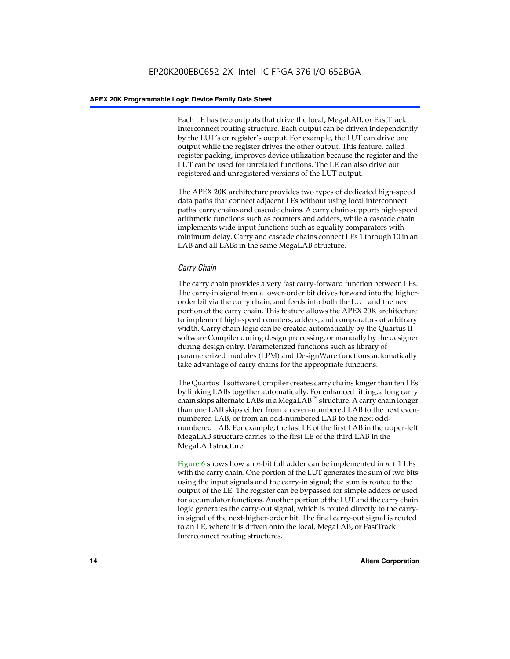Each LE has two outputs that drive the local, MegaLAB, or FastTrack Interconnect routing structure. Each output can be driven independently by the LUT's or register's output. For example, the LUT can drive one output while the register drives the other output. This feature, called register packing, improves device utilization because the register and the LUT can be used for unrelated functions. The LE can also drive out registered and unregistered versions of the LUT output.

The APEX 20K architecture provides two types of dedicated high-speed data paths that connect adjacent LEs without using local interconnect paths: carry chains and cascade chains. A carry chain supports high-speed arithmetic functions such as counters and adders, while a cascade chain implements wide-input functions such as equality comparators with minimum delay. Carry and cascade chains connect LEs 1 through 10 in an LAB and all LABs in the same MegaLAB structure.

#### *Carry Chain*

The carry chain provides a very fast carry-forward function between LEs. The carry-in signal from a lower-order bit drives forward into the higherorder bit via the carry chain, and feeds into both the LUT and the next portion of the carry chain. This feature allows the APEX 20K architecture to implement high-speed counters, adders, and comparators of arbitrary width. Carry chain logic can be created automatically by the Quartus II software Compiler during design processing, or manually by the designer during design entry. Parameterized functions such as library of parameterized modules (LPM) and DesignWare functions automatically take advantage of carry chains for the appropriate functions.

The Quartus II software Compiler creates carry chains longer than ten LEs by linking LABs together automatically. For enhanced fitting, a long carry chain skips alternate LABs in a MegaLAB<sup>™</sup> structure. A carry chain longer than one LAB skips either from an even-numbered LAB to the next evennumbered LAB, or from an odd-numbered LAB to the next oddnumbered LAB. For example, the last LE of the first LAB in the upper-left MegaLAB structure carries to the first LE of the third LAB in the MegaLAB structure.

Figure 6 shows how an *n*-bit full adder can be implemented in *n* + 1 LEs with the carry chain. One portion of the LUT generates the sum of two bits using the input signals and the carry-in signal; the sum is routed to the output of the LE. The register can be bypassed for simple adders or used for accumulator functions. Another portion of the LUT and the carry chain logic generates the carry-out signal, which is routed directly to the carryin signal of the next-higher-order bit. The final carry-out signal is routed to an LE, where it is driven onto the local, MegaLAB, or FastTrack Interconnect routing structures.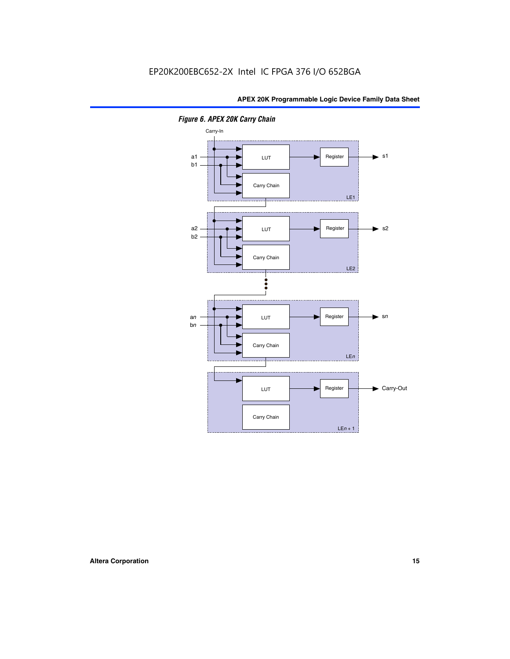

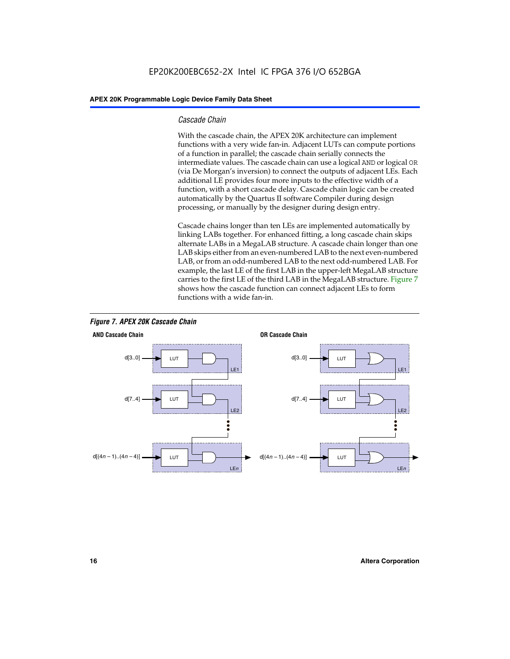#### *Cascade Chain*

With the cascade chain, the APEX 20K architecture can implement functions with a very wide fan-in. Adjacent LUTs can compute portions of a function in parallel; the cascade chain serially connects the intermediate values. The cascade chain can use a logical AND or logical OR (via De Morgan's inversion) to connect the outputs of adjacent LEs. Each additional LE provides four more inputs to the effective width of a function, with a short cascade delay. Cascade chain logic can be created automatically by the Quartus II software Compiler during design processing, or manually by the designer during design entry.

Cascade chains longer than ten LEs are implemented automatically by linking LABs together. For enhanced fitting, a long cascade chain skips alternate LABs in a MegaLAB structure. A cascade chain longer than one LAB skips either from an even-numbered LAB to the next even-numbered LAB, or from an odd-numbered LAB to the next odd-numbered LAB. For example, the last LE of the first LAB in the upper-left MegaLAB structure carries to the first LE of the third LAB in the MegaLAB structure. Figure 7 shows how the cascade function can connect adjacent LEs to form functions with a wide fan-in.



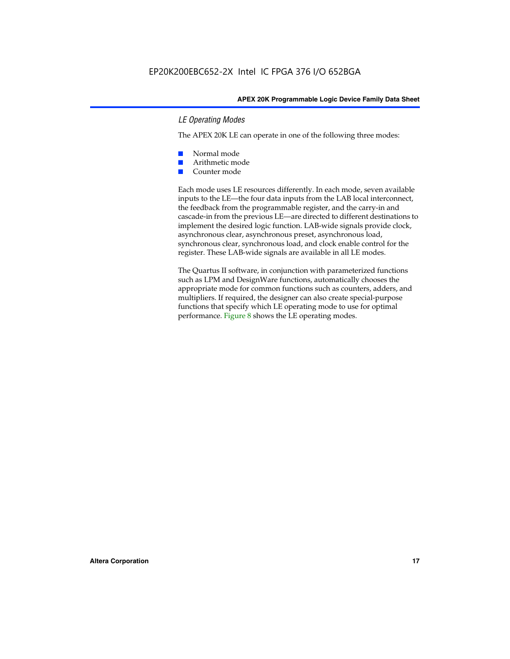#### *LE Operating Modes*

The APEX 20K LE can operate in one of the following three modes:

- Normal mode
- Arithmetic mode
- Counter mode

Each mode uses LE resources differently. In each mode, seven available inputs to the LE—the four data inputs from the LAB local interconnect, the feedback from the programmable register, and the carry-in and cascade-in from the previous LE—are directed to different destinations to implement the desired logic function. LAB-wide signals provide clock, asynchronous clear, asynchronous preset, asynchronous load, synchronous clear, synchronous load, and clock enable control for the register. These LAB-wide signals are available in all LE modes.

The Quartus II software, in conjunction with parameterized functions such as LPM and DesignWare functions, automatically chooses the appropriate mode for common functions such as counters, adders, and multipliers. If required, the designer can also create special-purpose functions that specify which LE operating mode to use for optimal performance. Figure 8 shows the LE operating modes.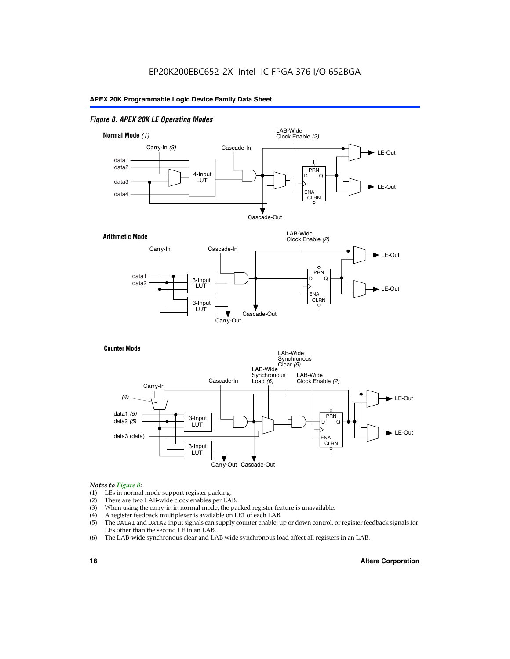#### *Figure 8. APEX 20K LE Operating Modes*



#### *Notes to Figure 8:*

- (1) LEs in normal mode support register packing.
- (2) There are two LAB-wide clock enables per LAB.
- (3) When using the carry-in in normal mode, the packed register feature is unavailable.
- (4) A register feedback multiplexer is available on LE1 of each LAB.
- (5) The DATA1 and DATA2 input signals can supply counter enable, up or down control, or register feedback signals for LEs other than the second LE in an LAB.
- (6) The LAB-wide synchronous clear and LAB wide synchronous load affect all registers in an LAB.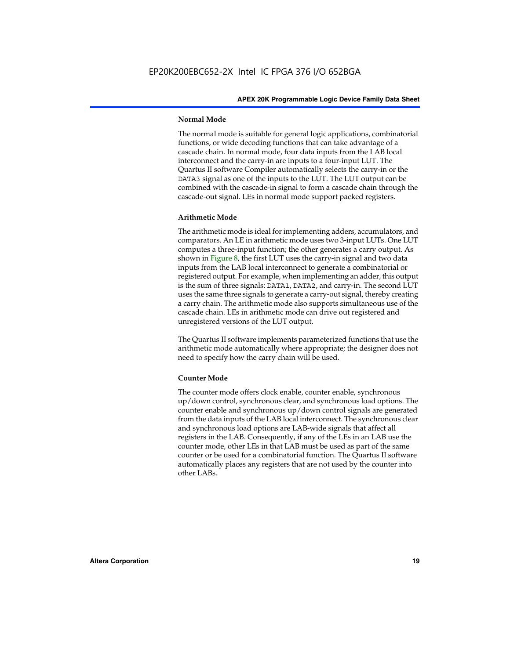#### **Normal Mode**

The normal mode is suitable for general logic applications, combinatorial functions, or wide decoding functions that can take advantage of a cascade chain. In normal mode, four data inputs from the LAB local interconnect and the carry-in are inputs to a four-input LUT. The Quartus II software Compiler automatically selects the carry-in or the DATA3 signal as one of the inputs to the LUT. The LUT output can be combined with the cascade-in signal to form a cascade chain through the cascade-out signal. LEs in normal mode support packed registers.

#### **Arithmetic Mode**

The arithmetic mode is ideal for implementing adders, accumulators, and comparators. An LE in arithmetic mode uses two 3-input LUTs. One LUT computes a three-input function; the other generates a carry output. As shown in Figure 8, the first LUT uses the carry-in signal and two data inputs from the LAB local interconnect to generate a combinatorial or registered output. For example, when implementing an adder, this output is the sum of three signals: DATA1, DATA2, and carry-in. The second LUT uses the same three signals to generate a carry-out signal, thereby creating a carry chain. The arithmetic mode also supports simultaneous use of the cascade chain. LEs in arithmetic mode can drive out registered and unregistered versions of the LUT output.

The Quartus II software implements parameterized functions that use the arithmetic mode automatically where appropriate; the designer does not need to specify how the carry chain will be used.

#### **Counter Mode**

The counter mode offers clock enable, counter enable, synchronous up/down control, synchronous clear, and synchronous load options. The counter enable and synchronous up/down control signals are generated from the data inputs of the LAB local interconnect. The synchronous clear and synchronous load options are LAB-wide signals that affect all registers in the LAB. Consequently, if any of the LEs in an LAB use the counter mode, other LEs in that LAB must be used as part of the same counter or be used for a combinatorial function. The Quartus II software automatically places any registers that are not used by the counter into other LABs.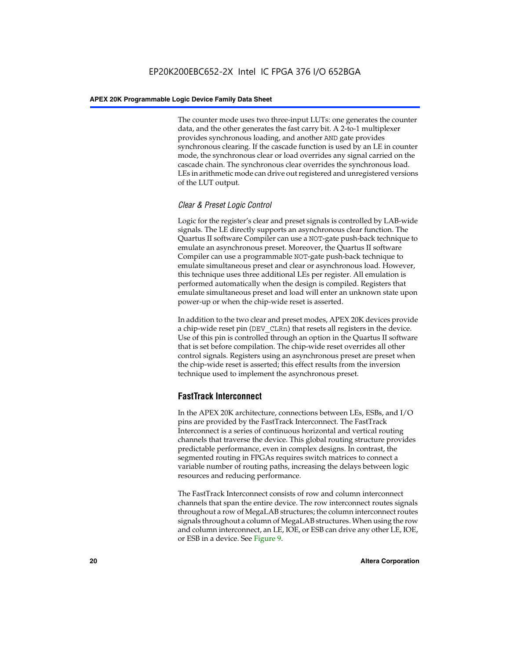The counter mode uses two three-input LUTs: one generates the counter data, and the other generates the fast carry bit. A 2-to-1 multiplexer provides synchronous loading, and another AND gate provides synchronous clearing. If the cascade function is used by an LE in counter mode, the synchronous clear or load overrides any signal carried on the cascade chain. The synchronous clear overrides the synchronous load. LEs in arithmetic mode can drive out registered and unregistered versions of the LUT output.

#### *Clear & Preset Logic Control*

Logic for the register's clear and preset signals is controlled by LAB-wide signals. The LE directly supports an asynchronous clear function. The Quartus II software Compiler can use a NOT-gate push-back technique to emulate an asynchronous preset. Moreover, the Quartus II software Compiler can use a programmable NOT-gate push-back technique to emulate simultaneous preset and clear or asynchronous load. However, this technique uses three additional LEs per register. All emulation is performed automatically when the design is compiled. Registers that emulate simultaneous preset and load will enter an unknown state upon power-up or when the chip-wide reset is asserted.

In addition to the two clear and preset modes, APEX 20K devices provide a chip-wide reset pin (DEV\_CLRn) that resets all registers in the device. Use of this pin is controlled through an option in the Quartus II software that is set before compilation. The chip-wide reset overrides all other control signals. Registers using an asynchronous preset are preset when the chip-wide reset is asserted; this effect results from the inversion technique used to implement the asynchronous preset.

#### **FastTrack Interconnect**

In the APEX 20K architecture, connections between LEs, ESBs, and I/O pins are provided by the FastTrack Interconnect. The FastTrack Interconnect is a series of continuous horizontal and vertical routing channels that traverse the device. This global routing structure provides predictable performance, even in complex designs. In contrast, the segmented routing in FPGAs requires switch matrices to connect a variable number of routing paths, increasing the delays between logic resources and reducing performance.

The FastTrack Interconnect consists of row and column interconnect channels that span the entire device. The row interconnect routes signals throughout a row of MegaLAB structures; the column interconnect routes signals throughout a column of MegaLAB structures. When using the row and column interconnect, an LE, IOE, or ESB can drive any other LE, IOE, or ESB in a device. See Figure 9.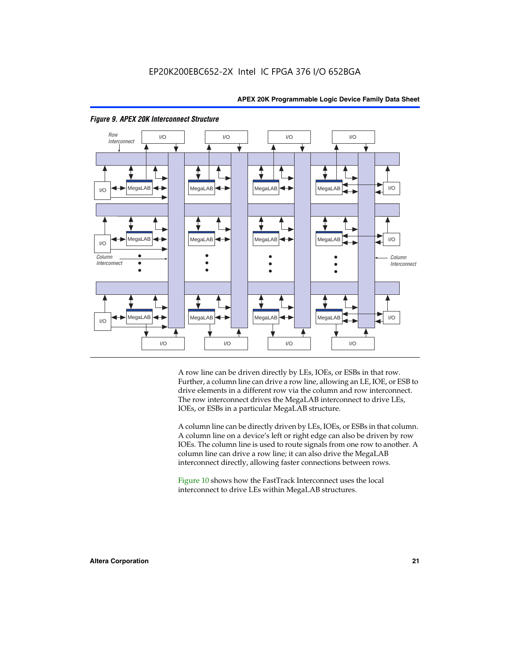



#### *Figure 9. APEX 20K Interconnect Structure*

A row line can be driven directly by LEs, IOEs, or ESBs in that row. Further, a column line can drive a row line, allowing an LE, IOE, or ESB to drive elements in a different row via the column and row interconnect. The row interconnect drives the MegaLAB interconnect to drive LEs, IOEs, or ESBs in a particular MegaLAB structure.

A column line can be directly driven by LEs, IOEs, or ESBs in that column. A column line on a device's left or right edge can also be driven by row IOEs. The column line is used to route signals from one row to another. A column line can drive a row line; it can also drive the MegaLAB interconnect directly, allowing faster connections between rows.

Figure 10 shows how the FastTrack Interconnect uses the local interconnect to drive LEs within MegaLAB structures.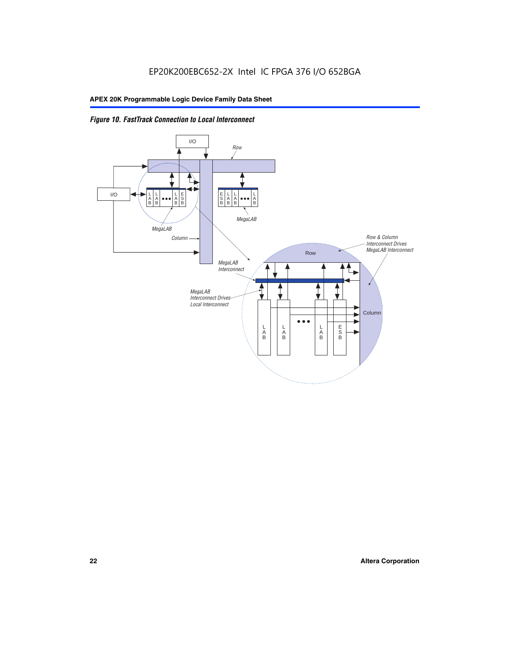

*Figure 10. FastTrack Connection to Local Interconnect*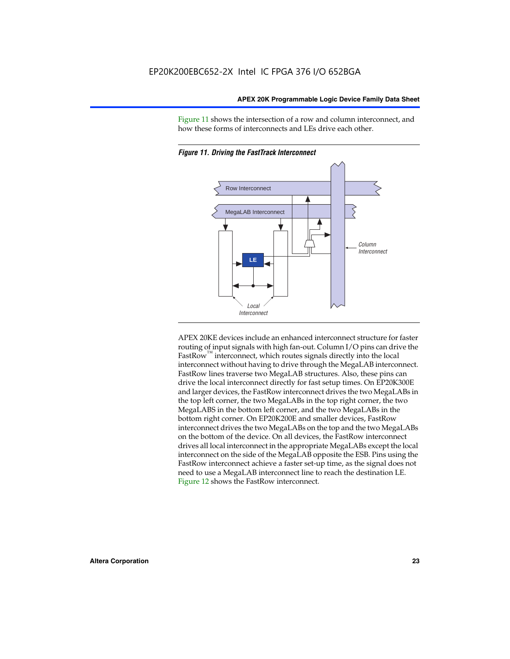Figure 11 shows the intersection of a row and column interconnect, and how these forms of interconnects and LEs drive each other.





APEX 20KE devices include an enhanced interconnect structure for faster routing of input signals with high fan-out. Column I/O pins can drive the FastRow<sup>™</sup> interconnect, which routes signals directly into the local interconnect without having to drive through the MegaLAB interconnect. FastRow lines traverse two MegaLAB structures. Also, these pins can drive the local interconnect directly for fast setup times. On EP20K300E and larger devices, the FastRow interconnect drives the two MegaLABs in the top left corner, the two MegaLABs in the top right corner, the two MegaLABS in the bottom left corner, and the two MegaLABs in the bottom right corner. On EP20K200E and smaller devices, FastRow interconnect drives the two MegaLABs on the top and the two MegaLABs on the bottom of the device. On all devices, the FastRow interconnect drives all local interconnect in the appropriate MegaLABs except the local interconnect on the side of the MegaLAB opposite the ESB. Pins using the FastRow interconnect achieve a faster set-up time, as the signal does not need to use a MegaLAB interconnect line to reach the destination LE. Figure 12 shows the FastRow interconnect.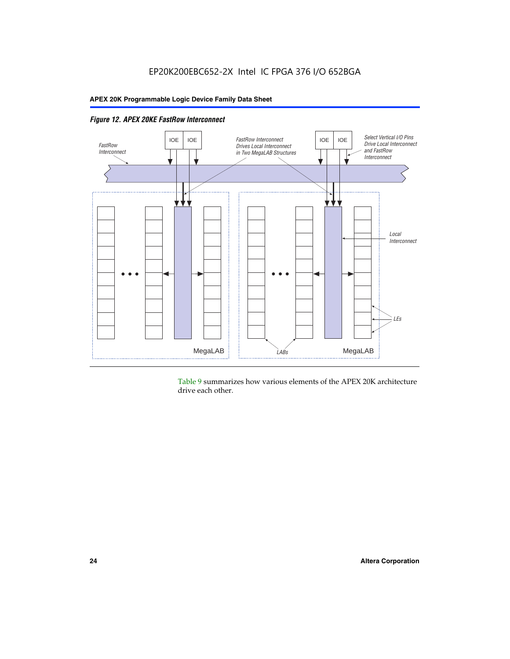

Table 9 summarizes how various elements of the APEX 20K architecture drive each other.

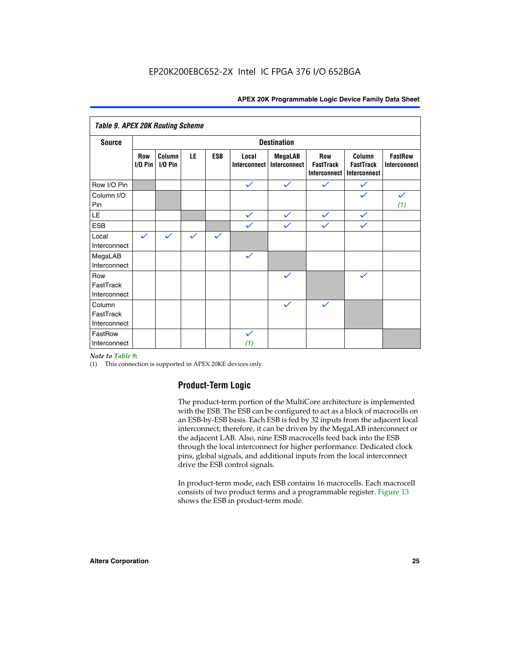| <b>Table 9. APEX 20K Routing Scheme</b> |                    |                      |              |              |                              |                                |                                                |                                            |                                |
|-----------------------------------------|--------------------|----------------------|--------------|--------------|------------------------------|--------------------------------|------------------------------------------------|--------------------------------------------|--------------------------------|
| <b>Source</b>                           | <b>Destination</b> |                      |              |              |                              |                                |                                                |                                            |                                |
|                                         | Row<br>$1/0$ Pin   | Column<br>$I/O P$ in | LE           | <b>ESB</b>   | Local<br><b>Interconnect</b> | <b>MegaLAB</b><br>Interconnect | Row<br><b>FastTrack</b><br><b>Interconnect</b> | Column<br><b>FastTrack</b><br>Interconnect | <b>FastRow</b><br>Interconnect |
| Row I/O Pin                             |                    |                      |              |              | $\checkmark$                 | $\checkmark$                   | $\checkmark$                                   | $\checkmark$                               |                                |
| Column I/O<br>Pin                       |                    |                      |              |              |                              |                                |                                                | $\checkmark$                               | $\checkmark$<br>(1)            |
| LE                                      |                    |                      |              |              | $\checkmark$                 | $\checkmark$                   | $\checkmark$                                   | $\checkmark$                               |                                |
| <b>ESB</b>                              |                    |                      |              |              | $\checkmark$                 | $\checkmark$                   | $\checkmark$                                   | $\checkmark$                               |                                |
| Local<br>Interconnect                   | $\checkmark$       | $\checkmark$         | $\checkmark$ | $\checkmark$ |                              |                                |                                                |                                            |                                |
| MegaLAB<br>Interconnect                 |                    |                      |              |              | $\checkmark$                 |                                |                                                |                                            |                                |
| Row<br>FastTrack<br>Interconnect        |                    |                      |              |              |                              | $\checkmark$                   |                                                | $\checkmark$                               |                                |
| Column<br>FastTrack<br>Interconnect     |                    |                      |              |              |                              | $\checkmark$                   | $\checkmark$                                   |                                            |                                |
| FastRow<br>Interconnect                 |                    |                      |              |              | $\checkmark$<br>(1)          |                                |                                                |                                            |                                |

#### *Note to Table 9:*

(1) This connection is supported in APEX 20KE devices only.

#### **Product-Term Logic**

The product-term portion of the MultiCore architecture is implemented with the ESB. The ESB can be configured to act as a block of macrocells on an ESB-by-ESB basis. Each ESB is fed by 32 inputs from the adjacent local interconnect; therefore, it can be driven by the MegaLAB interconnect or the adjacent LAB. Also, nine ESB macrocells feed back into the ESB through the local interconnect for higher performance. Dedicated clock pins, global signals, and additional inputs from the local interconnect drive the ESB control signals.

In product-term mode, each ESB contains 16 macrocells. Each macrocell consists of two product terms and a programmable register. Figure 13 shows the ESB in product-term mode.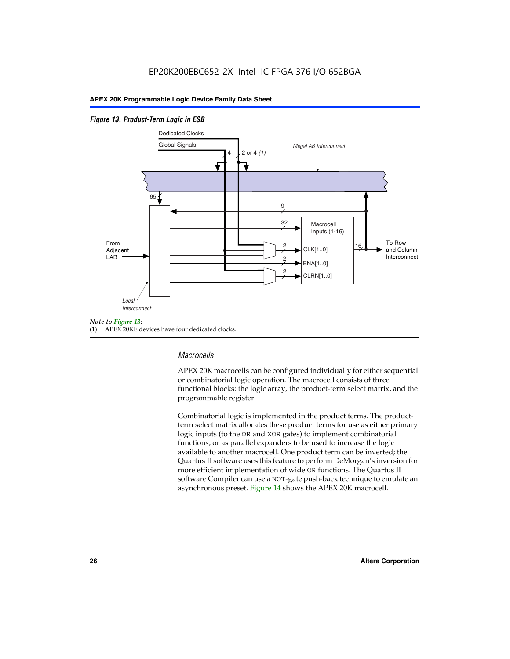#### *Figure 13. Product-Term Logic in ESB*



(1) APEX 20KE devices have four dedicated clocks.

#### *Macrocells*

APEX 20K macrocells can be configured individually for either sequential or combinatorial logic operation. The macrocell consists of three functional blocks: the logic array, the product-term select matrix, and the programmable register.

Combinatorial logic is implemented in the product terms. The productterm select matrix allocates these product terms for use as either primary logic inputs (to the OR and XOR gates) to implement combinatorial functions, or as parallel expanders to be used to increase the logic available to another macrocell. One product term can be inverted; the Quartus II software uses this feature to perform DeMorgan's inversion for more efficient implementation of wide OR functions. The Quartus II software Compiler can use a NOT-gate push-back technique to emulate an asynchronous preset. Figure 14 shows the APEX 20K macrocell.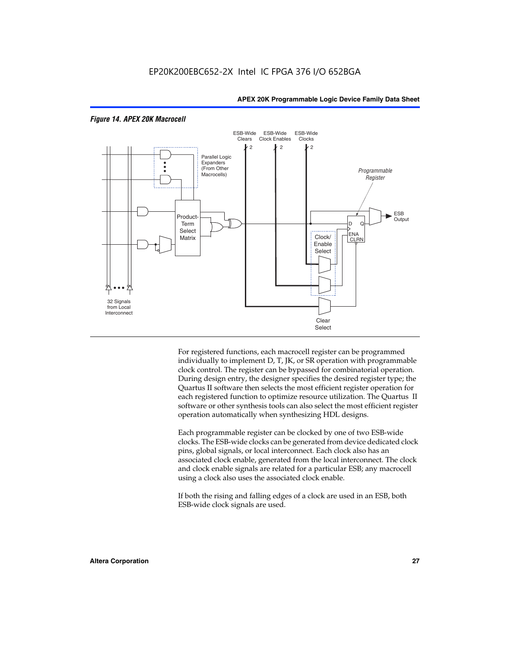

#### *Figure 14. APEX 20K Macrocell*

For registered functions, each macrocell register can be programmed individually to implement D, T, JK, or SR operation with programmable clock control. The register can be bypassed for combinatorial operation. During design entry, the designer specifies the desired register type; the Quartus II software then selects the most efficient register operation for each registered function to optimize resource utilization. The Quartus II software or other synthesis tools can also select the most efficient register operation automatically when synthesizing HDL designs.

Each programmable register can be clocked by one of two ESB-wide clocks. The ESB-wide clocks can be generated from device dedicated clock pins, global signals, or local interconnect. Each clock also has an associated clock enable, generated from the local interconnect. The clock and clock enable signals are related for a particular ESB; any macrocell using a clock also uses the associated clock enable.

If both the rising and falling edges of a clock are used in an ESB, both ESB-wide clock signals are used.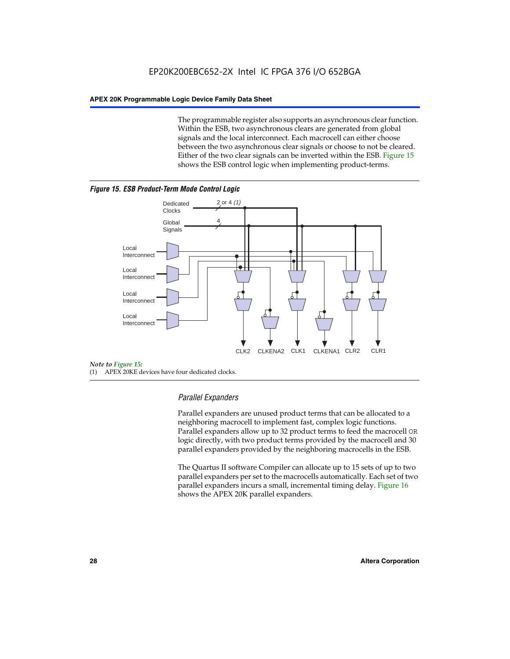The programmable register also supports an asynchronous clear function. Within the ESB, two asynchronous clears are generated from global signals and the local interconnect. Each macrocell can either choose between the two asynchronous clear signals or choose to not be cleared. Either of the two clear signals can be inverted within the ESB. Figure 15 shows the ESB control logic when implementing product-terms.





(1) APEX 20KE devices have four dedicated clocks.

#### *Parallel Expanders*

Parallel expanders are unused product terms that can be allocated to a neighboring macrocell to implement fast, complex logic functions. Parallel expanders allow up to 32 product terms to feed the macrocell OR logic directly, with two product terms provided by the macrocell and 30 parallel expanders provided by the neighboring macrocells in the ESB.

The Quartus II software Compiler can allocate up to 15 sets of up to two parallel expanders per set to the macrocells automatically. Each set of two parallel expanders incurs a small, incremental timing delay. Figure 16 shows the APEX 20K parallel expanders.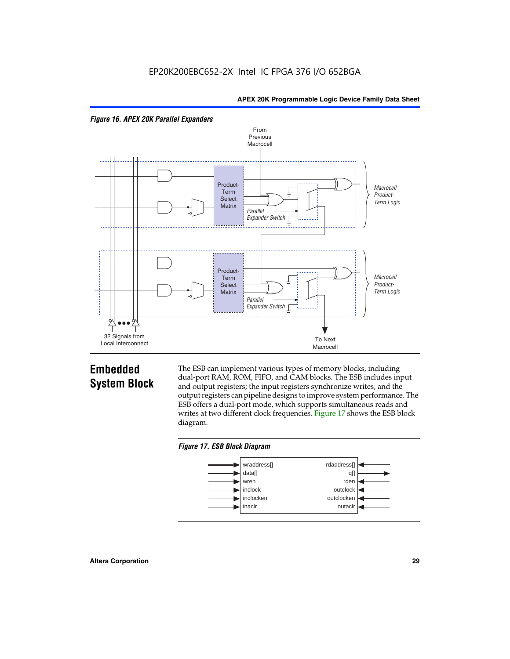



# **Embedded System Block**

The ESB can implement various types of memory blocks, including dual-port RAM, ROM, FIFO, and CAM blocks. The ESB includes input and output registers; the input registers synchronize writes, and the output registers can pipeline designs to improve system performance. The ESB offers a dual-port mode, which supports simultaneous reads and writes at two different clock frequencies. Figure 17 shows the ESB block diagram.



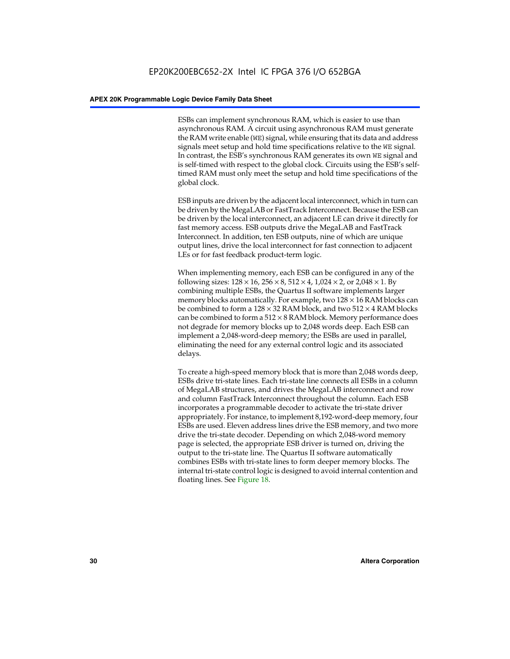ESBs can implement synchronous RAM, which is easier to use than asynchronous RAM. A circuit using asynchronous RAM must generate the RAM write enable (WE) signal, while ensuring that its data and address signals meet setup and hold time specifications relative to the WE signal. In contrast, the ESB's synchronous RAM generates its own WE signal and is self-timed with respect to the global clock. Circuits using the ESB's selftimed RAM must only meet the setup and hold time specifications of the global clock.

ESB inputs are driven by the adjacent local interconnect, which in turn can be driven by the MegaLAB or FastTrack Interconnect. Because the ESB can be driven by the local interconnect, an adjacent LE can drive it directly for fast memory access. ESB outputs drive the MegaLAB and FastTrack Interconnect. In addition, ten ESB outputs, nine of which are unique output lines, drive the local interconnect for fast connection to adjacent LEs or for fast feedback product-term logic.

When implementing memory, each ESB can be configured in any of the following sizes:  $128 \times 16$ ,  $256 \times 8$ ,  $512 \times 4$ ,  $1,024 \times 2$ , or  $2,048 \times 1$ . By combining multiple ESBs, the Quartus II software implements larger memory blocks automatically. For example, two  $128 \times 16$  RAM blocks can be combined to form a  $128 \times 32$  RAM block, and two  $512 \times 4$  RAM blocks can be combined to form a  $512 \times 8$  RAM block. Memory performance does not degrade for memory blocks up to 2,048 words deep. Each ESB can implement a 2,048-word-deep memory; the ESBs are used in parallel, eliminating the need for any external control logic and its associated delays.

To create a high-speed memory block that is more than 2,048 words deep, ESBs drive tri-state lines. Each tri-state line connects all ESBs in a column of MegaLAB structures, and drives the MegaLAB interconnect and row and column FastTrack Interconnect throughout the column. Each ESB incorporates a programmable decoder to activate the tri-state driver appropriately. For instance, to implement 8,192-word-deep memory, four ESBs are used. Eleven address lines drive the ESB memory, and two more drive the tri-state decoder. Depending on which 2,048-word memory page is selected, the appropriate ESB driver is turned on, driving the output to the tri-state line. The Quartus II software automatically combines ESBs with tri-state lines to form deeper memory blocks. The internal tri-state control logic is designed to avoid internal contention and floating lines. See Figure 18.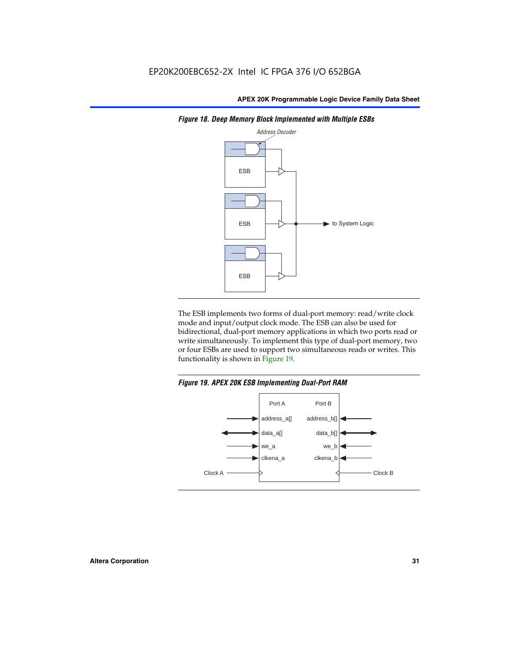

*Figure 18. Deep Memory Block Implemented with Multiple ESBs*

The ESB implements two forms of dual-port memory: read/write clock mode and input/output clock mode. The ESB can also be used for bidirectional, dual-port memory applications in which two ports read or write simultaneously. To implement this type of dual-port memory, two or four ESBs are used to support two simultaneous reads or writes. This functionality is shown in Figure 19.

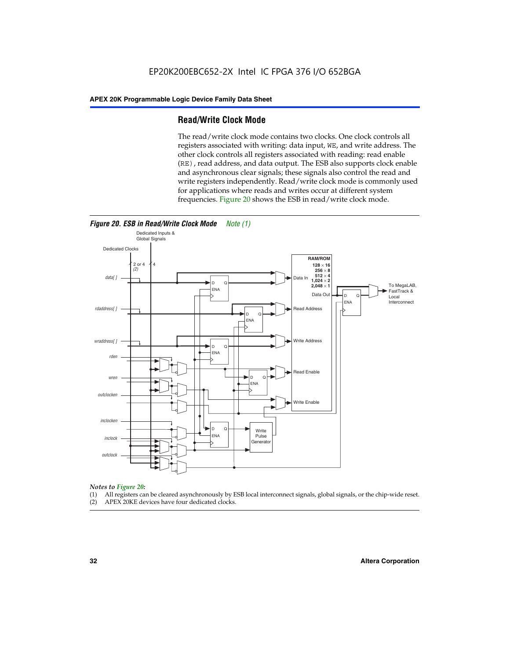#### **Read/Write Clock Mode**

The read/write clock mode contains two clocks. One clock controls all registers associated with writing: data input, WE, and write address. The other clock controls all registers associated with reading: read enable (RE), read address, and data output. The ESB also supports clock enable and asynchronous clear signals; these signals also control the read and write registers independently. Read/write clock mode is commonly used for applications where reads and writes occur at different system frequencies. Figure 20 shows the ESB in read/write clock mode.



# *Notes to Figure 20:*

- (1) All registers can be cleared asynchronously by ESB local interconnect signals, global signals, or the chip-wide reset.
- (2) APEX 20KE devices have four dedicated clocks.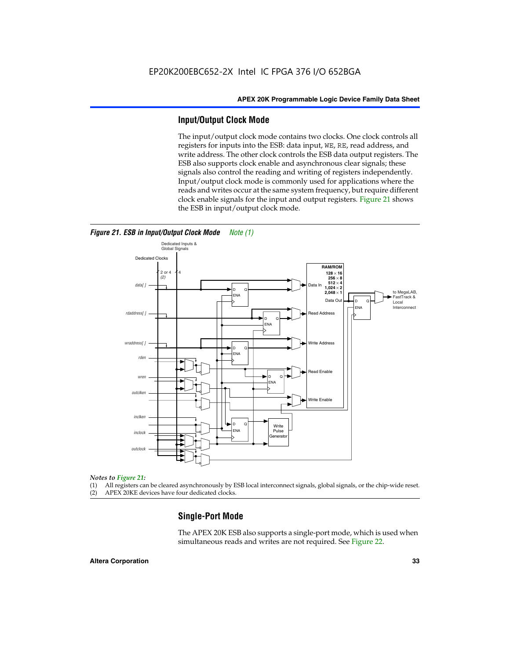#### **Input/Output Clock Mode**

The input/output clock mode contains two clocks. One clock controls all registers for inputs into the ESB: data input, WE, RE, read address, and write address. The other clock controls the ESB data output registers. The ESB also supports clock enable and asynchronous clear signals; these signals also control the reading and writing of registers independently. Input/output clock mode is commonly used for applications where the reads and writes occur at the same system frequency, but require different clock enable signals for the input and output registers. Figure 21 shows the ESB in input/output clock mode.



#### *Figure 21. ESB in Input/Output Clock Mode Note (1)*

#### *Notes to Figure 21:*

(1) All registers can be cleared asynchronously by ESB local interconnect signals, global signals, or the chip-wide reset.

(2) APEX 20KE devices have four dedicated clocks.

#### **Single-Port Mode**

The APEX 20K ESB also supports a single-port mode, which is used when simultaneous reads and writes are not required. See Figure 22.

#### **Altera Corporation 33**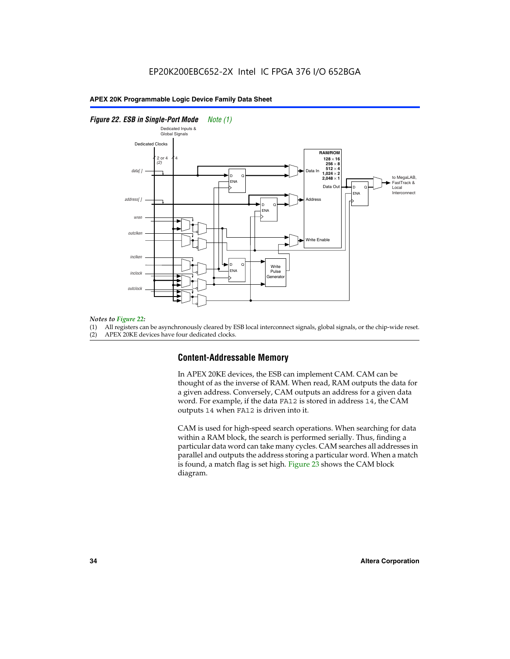#### *Figure 22. ESB in Single-Port Mode Note (1)*



#### *Notes to Figure 22:*

(1) All registers can be asynchronously cleared by ESB local interconnect signals, global signals, or the chip-wide reset.

(2) APEX 20KE devices have four dedicated clocks.

#### **Content-Addressable Memory**

In APEX 20KE devices, the ESB can implement CAM. CAM can be thought of as the inverse of RAM. When read, RAM outputs the data for a given address. Conversely, CAM outputs an address for a given data word. For example, if the data FA12 is stored in address 14, the CAM outputs 14 when FA12 is driven into it.

CAM is used for high-speed search operations. When searching for data within a RAM block, the search is performed serially. Thus, finding a particular data word can take many cycles. CAM searches all addresses in parallel and outputs the address storing a particular word. When a match is found, a match flag is set high. Figure 23 shows the CAM block diagram.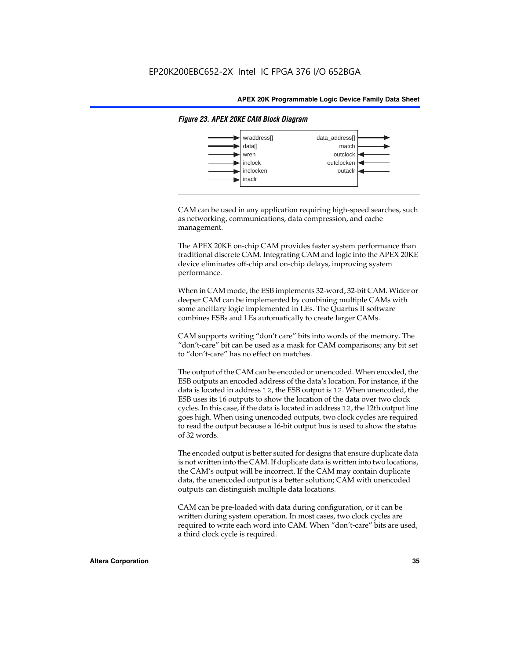

#### *Figure 23. APEX 20KE CAM Block Diagram*

CAM can be used in any application requiring high-speed searches, such as networking, communications, data compression, and cache management.

The APEX 20KE on-chip CAM provides faster system performance than traditional discrete CAM. Integrating CAM and logic into the APEX 20KE device eliminates off-chip and on-chip delays, improving system performance.

When in CAM mode, the ESB implements 32-word, 32-bit CAM. Wider or deeper CAM can be implemented by combining multiple CAMs with some ancillary logic implemented in LEs. The Quartus II software combines ESBs and LEs automatically to create larger CAMs.

CAM supports writing "don't care" bits into words of the memory. The "don't-care" bit can be used as a mask for CAM comparisons; any bit set to "don't-care" has no effect on matches.

The output of the CAM can be encoded or unencoded. When encoded, the ESB outputs an encoded address of the data's location. For instance, if the data is located in address 12, the ESB output is 12. When unencoded, the ESB uses its 16 outputs to show the location of the data over two clock cycles. In this case, if the data is located in address 12, the 12th output line goes high. When using unencoded outputs, two clock cycles are required to read the output because a 16-bit output bus is used to show the status of 32 words.

The encoded output is better suited for designs that ensure duplicate data is not written into the CAM. If duplicate data is written into two locations, the CAM's output will be incorrect. If the CAM may contain duplicate data, the unencoded output is a better solution; CAM with unencoded outputs can distinguish multiple data locations.

CAM can be pre-loaded with data during configuration, or it can be written during system operation. In most cases, two clock cycles are required to write each word into CAM. When "don't-care" bits are used, a third clock cycle is required.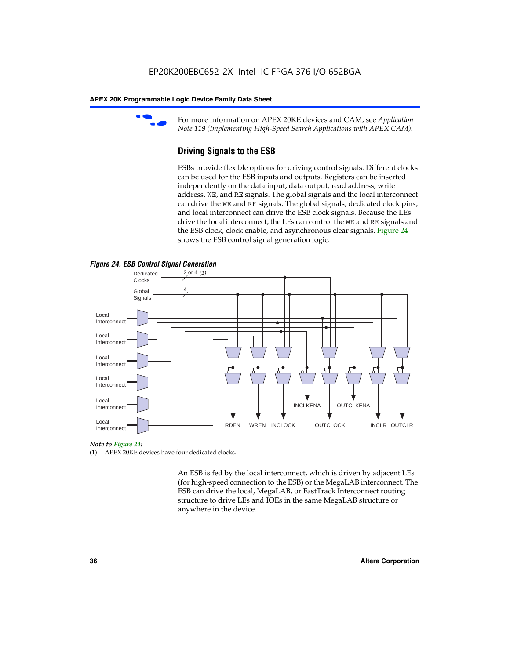

For more information on APEX 20KE devices and CAM, see *Application Note 119 (Implementing High-Speed Search Applications with APEX CAM).*

# **Driving Signals to the ESB**

ESBs provide flexible options for driving control signals. Different clocks can be used for the ESB inputs and outputs. Registers can be inserted independently on the data input, data output, read address, write address, WE, and RE signals. The global signals and the local interconnect can drive the WE and RE signals. The global signals, dedicated clock pins, and local interconnect can drive the ESB clock signals. Because the LEs drive the local interconnect, the LEs can control the WE and RE signals and the ESB clock, clock enable, and asynchronous clear signals. Figure 24 shows the ESB control signal generation logic.





### *Note to Figure 24:*

(1) APEX 20KE devices have four dedicated clocks.

An ESB is fed by the local interconnect, which is driven by adjacent LEs (for high-speed connection to the ESB) or the MegaLAB interconnect. The ESB can drive the local, MegaLAB, or FastTrack Interconnect routing structure to drive LEs and IOEs in the same MegaLAB structure or anywhere in the device.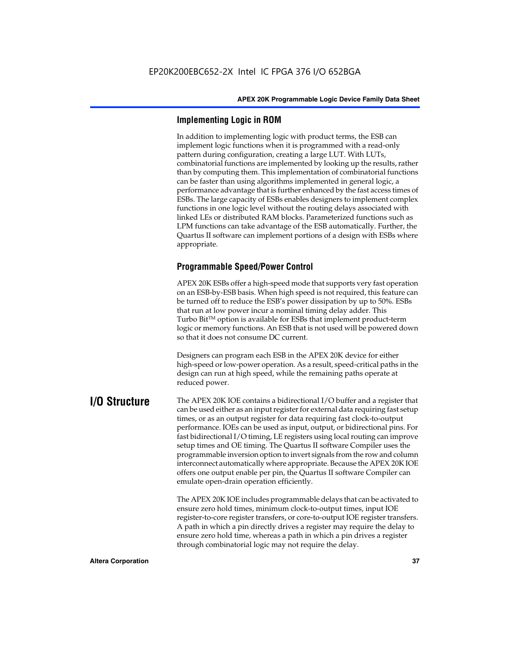# **Implementing Logic in ROM**

In addition to implementing logic with product terms, the ESB can implement logic functions when it is programmed with a read-only pattern during configuration, creating a large LUT. With LUTs, combinatorial functions are implemented by looking up the results, rather than by computing them. This implementation of combinatorial functions can be faster than using algorithms implemented in general logic, a performance advantage that is further enhanced by the fast access times of ESBs. The large capacity of ESBs enables designers to implement complex functions in one logic level without the routing delays associated with linked LEs or distributed RAM blocks. Parameterized functions such as LPM functions can take advantage of the ESB automatically. Further, the Quartus II software can implement portions of a design with ESBs where appropriate.

# **Programmable Speed/Power Control**

APEX 20K ESBs offer a high-speed mode that supports very fast operation on an ESB-by-ESB basis. When high speed is not required, this feature can be turned off to reduce the ESB's power dissipation by up to 50%. ESBs that run at low power incur a nominal timing delay adder. This Turbo  $Bit^{TM}$  option is available for ESBs that implement product-term logic or memory functions. An ESB that is not used will be powered down so that it does not consume DC current.

Designers can program each ESB in the APEX 20K device for either high-speed or low-power operation. As a result, speed-critical paths in the design can run at high speed, while the remaining paths operate at reduced power.

**I/O Structure** The APEX 20K IOE contains a bidirectional I/O buffer and a register that can be used either as an input register for external data requiring fast setup times, or as an output register for data requiring fast clock-to-output performance. IOEs can be used as input, output, or bidirectional pins. For fast bidirectional I/O timing, LE registers using local routing can improve setup times and OE timing. The Quartus II software Compiler uses the programmable inversion option to invert signals from the row and column interconnect automatically where appropriate. Because the APEX 20K IOE offers one output enable per pin, the Quartus II software Compiler can emulate open-drain operation efficiently.

> The APEX 20K IOE includes programmable delays that can be activated to ensure zero hold times, minimum clock-to-output times, input IOE register-to-core register transfers, or core-to-output IOE register transfers. A path in which a pin directly drives a register may require the delay to ensure zero hold time, whereas a path in which a pin drives a register through combinatorial logic may not require the delay.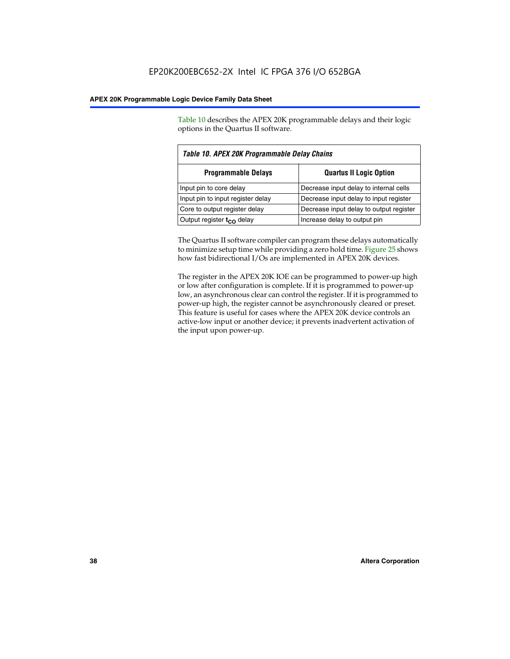Table 10 describes the APEX 20K programmable delays and their logic options in the Quartus II software.

| Table 10. APEX 20K Programmable Delay Chains |                                         |  |  |  |
|----------------------------------------------|-----------------------------------------|--|--|--|
| <b>Programmable Delays</b>                   | <b>Quartus II Logic Option</b>          |  |  |  |
| Input pin to core delay                      | Decrease input delay to internal cells  |  |  |  |
| Input pin to input register delay            | Decrease input delay to input register  |  |  |  |
| Core to output register delay                | Decrease input delay to output register |  |  |  |
| Output register $t_{\rm CO}$ delay           | Increase delay to output pin            |  |  |  |

The Quartus II software compiler can program these delays automatically to minimize setup time while providing a zero hold time. Figure 25 shows how fast bidirectional I/Os are implemented in APEX 20K devices.

The register in the APEX 20K IOE can be programmed to power-up high or low after configuration is complete. If it is programmed to power-up low, an asynchronous clear can control the register. If it is programmed to power-up high, the register cannot be asynchronously cleared or preset. This feature is useful for cases where the APEX 20K device controls an active-low input or another device; it prevents inadvertent activation of the input upon power-up.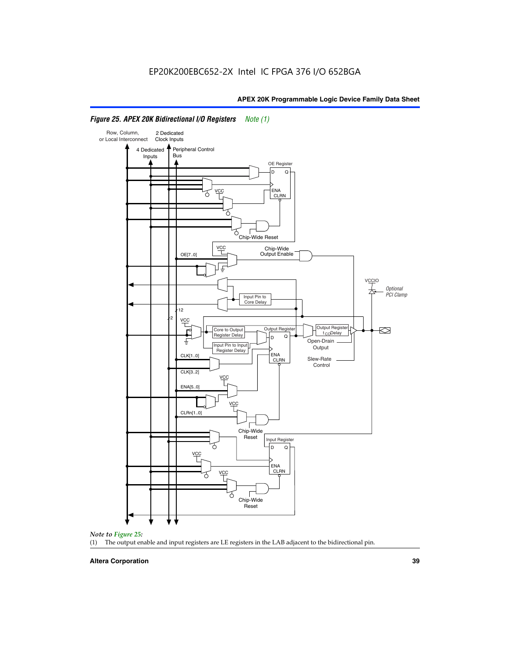

# *Figure 25. APEX 20K Bidirectional I/O Registers Note (1)*



### **Altera Corporation 39**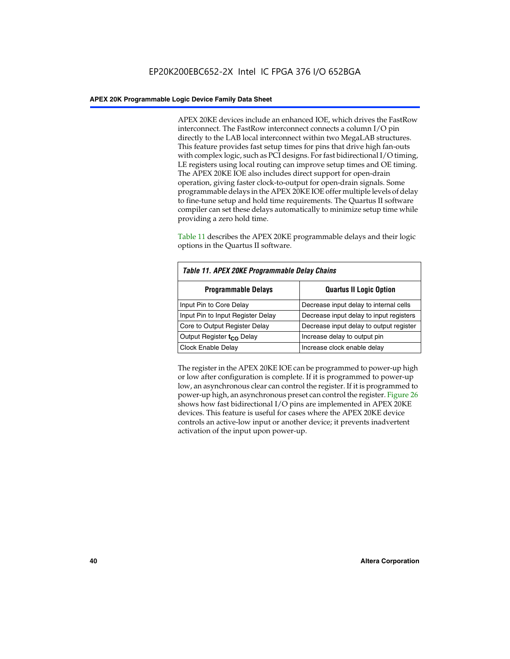APEX 20KE devices include an enhanced IOE, which drives the FastRow interconnect. The FastRow interconnect connects a column I/O pin directly to the LAB local interconnect within two MegaLAB structures. This feature provides fast setup times for pins that drive high fan-outs with complex logic, such as PCI designs. For fast bidirectional I/O timing, LE registers using local routing can improve setup times and OE timing. The APEX 20KE IOE also includes direct support for open-drain operation, giving faster clock-to-output for open-drain signals. Some programmable delays in the APEX 20KE IOE offer multiple levels of delay to fine-tune setup and hold time requirements. The Quartus II software compiler can set these delays automatically to minimize setup time while providing a zero hold time.

Table 11 describes the APEX 20KE programmable delays and their logic options in the Quartus II software.

| Table 11. APEX 20KE Programmable Delay Chains |                                         |  |  |  |
|-----------------------------------------------|-----------------------------------------|--|--|--|
| <b>Programmable Delays</b>                    | <b>Quartus II Logic Option</b>          |  |  |  |
| Input Pin to Core Delay                       | Decrease input delay to internal cells  |  |  |  |
| Input Pin to Input Register Delay             | Decrease input delay to input registers |  |  |  |
| Core to Output Register Delay                 | Decrease input delay to output register |  |  |  |
| Output Register t <sub>CO</sub> Delay         | Increase delay to output pin            |  |  |  |
| <b>Clock Enable Delay</b>                     | Increase clock enable delay             |  |  |  |

The register in the APEX 20KE IOE can be programmed to power-up high or low after configuration is complete. If it is programmed to power-up low, an asynchronous clear can control the register. If it is programmed to power-up high, an asynchronous preset can control the register. Figure 26 shows how fast bidirectional I/O pins are implemented in APEX 20KE devices. This feature is useful for cases where the APEX 20KE device controls an active-low input or another device; it prevents inadvertent activation of the input upon power-up.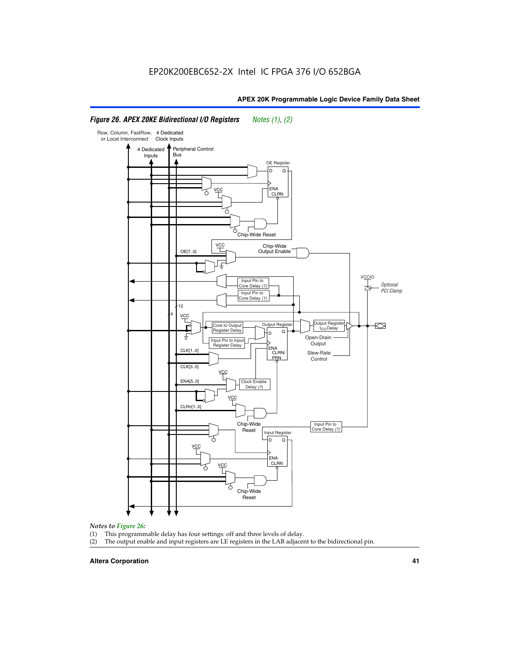### Row, Column, FastRow, 4 Dedicated or Local Interconnect Clock Inputs Peripheral Control 4 Dedicated **Bus** Inputs OE Register D Q ENA VCC CLRN 7 Chip-Wide Reset YCC Chip-Wide Output Enable OE[7..0] VC Input Pin to **Optional** Core Delay (1) PCI Clamp Input Pin to Core Delay (1) 12 4 **VCC** Output Register **Output Registe**  $\approx$ Core to Output | Output Hegister | Durbut Tropieding | Contput Tropieding | Durbut Tropieding | Output Tropied<br>Register Delay | Durbut Tropieding | Contput Tropieding | Contput Tropieding | O t<sub>CO</sub>Delay  $D$  Q ŧ Open-Drain Input Pin to Input **Output** Register Delay ENA CLK[1..0] CLRN/ Slew-Rate PR<sub>N</sub> Control CLK[3..0] VCC ENA[5..0] Clock Enable Delay (1) VCC CLRn[1..0] Chip-Wide Input Pin to Core Delay (1) Reset Input Register D Q <u>vcc</u> .<br>ENA CLRN **VCC** Chip-Wide Reset

# *Figure 26. APEX 20KE Bidirectional I/O Registers Notes (1), (2)*

### *Notes to Figure 26:*

- (1) This programmable delay has four settings: off and three levels of delay.<br>(2) The output enable and input registers are LE registers in the LAB adjacer
- The output enable and input registers are LE registers in the LAB adjacent to the bidirectional pin.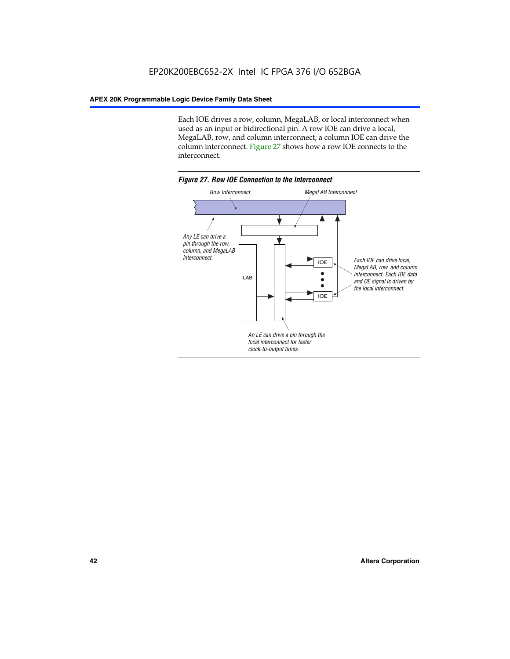Each IOE drives a row, column, MegaLAB, or local interconnect when used as an input or bidirectional pin. A row IOE can drive a local, MegaLAB, row, and column interconnect; a column IOE can drive the column interconnect. Figure 27 shows how a row IOE connects to the interconnect.

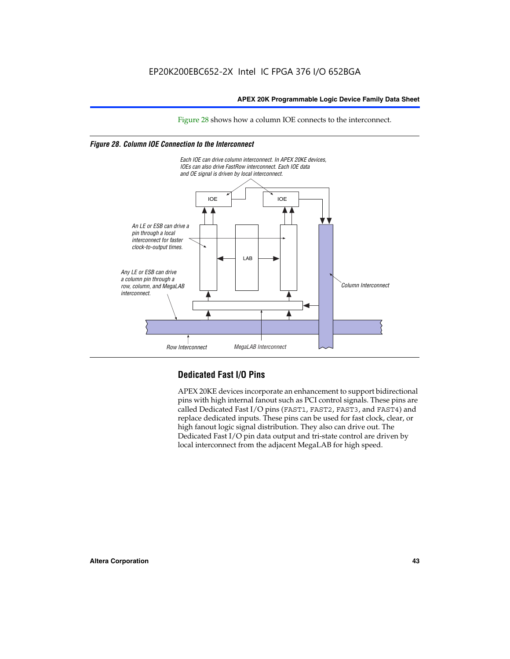Figure 28 shows how a column IOE connects to the interconnect.

# *Figure 28. Column IOE Connection to the Interconnect*



# **Dedicated Fast I/O Pins**

APEX 20KE devices incorporate an enhancement to support bidirectional pins with high internal fanout such as PCI control signals. These pins are called Dedicated Fast I/O pins (FAST1, FAST2, FAST3, and FAST4) and replace dedicated inputs. These pins can be used for fast clock, clear, or high fanout logic signal distribution. They also can drive out. The Dedicated Fast I/O pin data output and tri-state control are driven by local interconnect from the adjacent MegaLAB for high speed.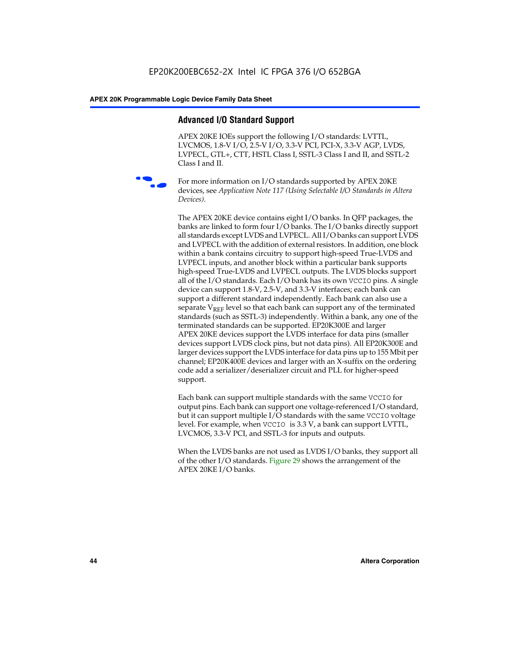# **Advanced I/O Standard Support**

APEX 20KE IOEs support the following I/O standards: LVTTL, LVCMOS, 1.8-V I/O, 2.5-V I/O, 3.3-V PCI, PCI-X, 3.3-V AGP, LVDS, LVPECL, GTL+, CTT, HSTL Class I, SSTL-3 Class I and II, and SSTL-2 Class I and II.



For more information on I/O standards supported by APEX 20KE devices, see *Application Note 117 (Using Selectable I/O Standards in Altera Devices)*.

The APEX 20KE device contains eight I/O banks. In QFP packages, the banks are linked to form four I/O banks. The I/O banks directly support all standards except LVDS and LVPECL. All I/O banks can support LVDS and LVPECL with the addition of external resistors. In addition, one block within a bank contains circuitry to support high-speed True-LVDS and LVPECL inputs, and another block within a particular bank supports high-speed True-LVDS and LVPECL outputs. The LVDS blocks support all of the I/O standards. Each I/O bank has its own VCCIO pins. A single device can support 1.8-V, 2.5-V, and 3.3-V interfaces; each bank can support a different standard independently. Each bank can also use a separate  $V_{\text{REF}}$  level so that each bank can support any of the terminated standards (such as SSTL-3) independently. Within a bank, any one of the terminated standards can be supported. EP20K300E and larger APEX 20KE devices support the LVDS interface for data pins (smaller devices support LVDS clock pins, but not data pins). All EP20K300E and larger devices support the LVDS interface for data pins up to 155 Mbit per channel; EP20K400E devices and larger with an X-suffix on the ordering code add a serializer/deserializer circuit and PLL for higher-speed support.

Each bank can support multiple standards with the same VCCIO for output pins. Each bank can support one voltage-referenced I/O standard, but it can support multiple I/O standards with the same VCCIO voltage level. For example, when VCCIO is 3.3 V, a bank can support LVTTL, LVCMOS, 3.3-V PCI, and SSTL-3 for inputs and outputs.

When the LVDS banks are not used as LVDS I/O banks, they support all of the other I/O standards. Figure 29 shows the arrangement of the APEX 20KE I/O banks.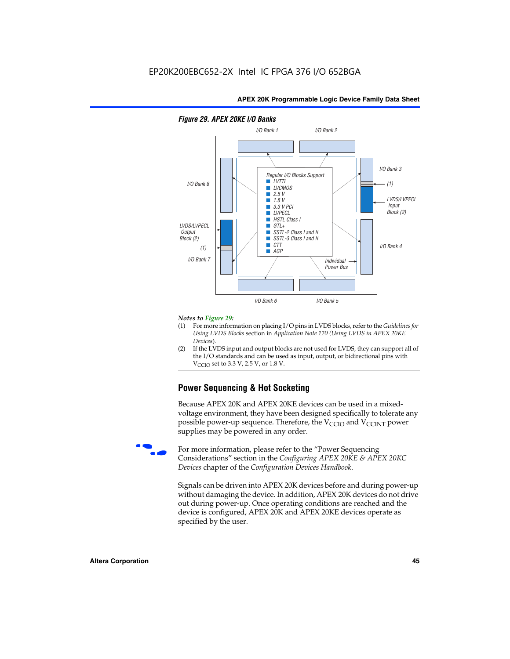

## *Figure 29. APEX 20KE I/O Banks*

### *Notes to Figure 29:*

- (1) For more information on placing I/O pins in LVDS blocks, refer to the *Guidelines for Using LVDS Blocks* section in *Application Note 120 (Using LVDS in APEX 20KE Devices*).
- (2) If the LVDS input and output blocks are not used for LVDS, they can support all of the I/O standards and can be used as input, output, or bidirectional pins with  $V_{\text{C} \cap \text{O}}$  set to 3.3 V, 2.5 V, or 1.8 V.

# **Power Sequencing & Hot Socketing**

Because APEX 20K and APEX 20KE devices can be used in a mixedvoltage environment, they have been designed specifically to tolerate any possible power-up sequence. Therefore, the  $V_{\text{CCIO}}$  and  $V_{\text{CCINT}}$  power supplies may be powered in any order.

For more information, please refer to the "Power Sequencing Considerations" section in the *Configuring APEX 20KE & APEX 20KC Devices* chapter of the *Configuration Devices Handbook*.

Signals can be driven into APEX 20K devices before and during power-up without damaging the device. In addition, APEX 20K devices do not drive out during power-up. Once operating conditions are reached and the device is configured, APEX 20K and APEX 20KE devices operate as specified by the user.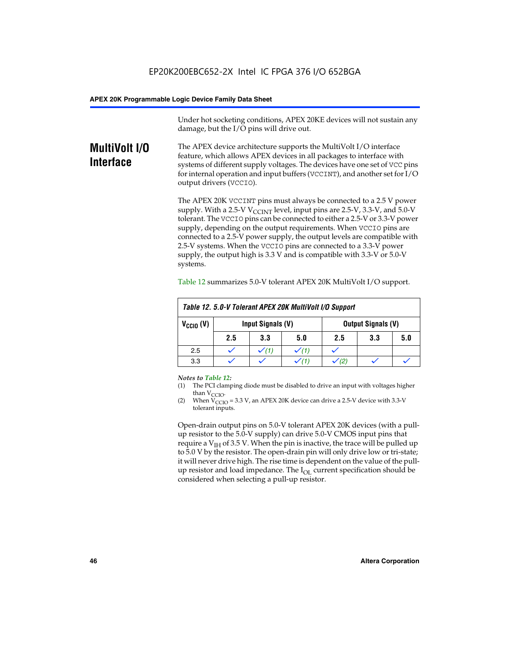Under hot socketing conditions, APEX 20KE devices will not sustain any damage, but the I/O pins will drive out.

# **MultiVolt I/O Interface**

The APEX device architecture supports the MultiVolt I/O interface feature, which allows APEX devices in all packages to interface with systems of different supply voltages. The devices have one set of VCC pins for internal operation and input buffers (VCCINT), and another set for I/O output drivers (VCCIO).

The APEX 20K VCCINT pins must always be connected to a 2.5 V power supply. With a 2.5-V  $V_{\text{CCMT}}$  level, input pins are 2.5-V, 3.3-V, and 5.0-V tolerant. The VCCIO pins can be connected to either a 2.5-V or 3.3-V power supply, depending on the output requirements. When VCCIO pins are connected to a 2.5-V power supply, the output levels are compatible with 2.5-V systems. When the VCCIO pins are connected to a 3.3-V power supply, the output high is 3.3 V and is compatible with 3.3-V or 5.0-V systems.

| Table 12. 5.0-V Tolerant APEX 20K MultiVolt I/O Support |     |                                                |     |     |     |     |
|---------------------------------------------------------|-----|------------------------------------------------|-----|-----|-----|-----|
| $V_{\text{CCIO}}(V)$                                    |     | Input Signals (V)<br><b>Output Signals (V)</b> |     |     |     |     |
|                                                         | 2.5 | 3.3                                            | 5.0 | 2.5 | 3.3 | 5.0 |
| 2.5                                                     |     | $\checkmark$ (1)                               |     |     |     |     |
| 3.3                                                     |     |                                                |     |     |     |     |

Table 12 summarizes 5.0-V tolerant APEX 20K MultiVolt I/O support.

### *Notes to Table 12:*

- (1) The PCI clamping diode must be disabled to drive an input with voltages higher than  $V_{CCIO}$ .
- (2) When  $V_{CCIO} = 3.3 V$ , an APEX 20K device can drive a 2.5-V device with 3.3-V tolerant inputs.

Open-drain output pins on 5.0-V tolerant APEX 20K devices (with a pullup resistor to the 5.0-V supply) can drive 5.0-V CMOS input pins that require a  $V_{IH}$  of 3.5 V. When the pin is inactive, the trace will be pulled up to 5.0 V by the resistor. The open-drain pin will only drive low or tri-state; it will never drive high. The rise time is dependent on the value of the pullup resistor and load impedance. The  $I_{OI}$  current specification should be considered when selecting a pull-up resistor.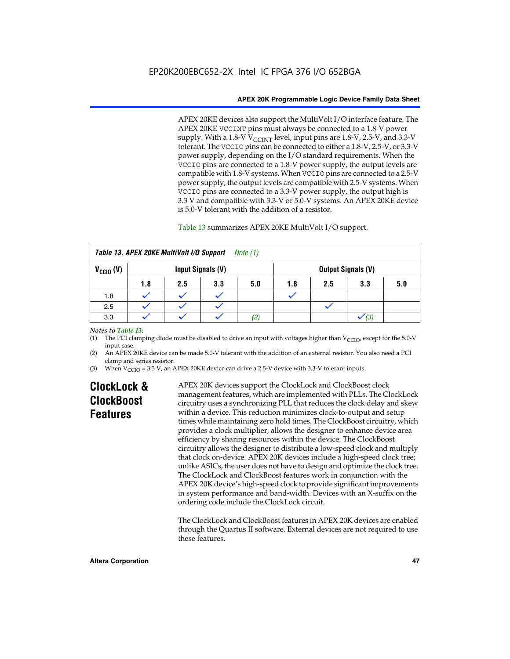APEX 20KE devices also support the MultiVolt I/O interface feature. The APEX 20KE VCCINT pins must always be connected to a 1.8-V power supply. With a 1.8-V  $V_{\text{CCINT}}$  level, input pins are 1.8-V, 2.5-V, and 3.3-V tolerant. The VCCIO pins can be connected to either a 1.8-V, 2.5-V, or 3.3-V power supply, depending on the I/O standard requirements. When the VCCIO pins are connected to a 1.8-V power supply, the output levels are compatible with 1.8-V systems. When VCCIO pins are connected to a 2.5-V power supply, the output levels are compatible with 2.5-V systems. When VCCIO pins are connected to a 3.3-V power supply, the output high is 3.3 V and compatible with 3.3-V or 5.0-V systems. An APEX 20KE device is 5.0-V tolerant with the addition of a resistor.

# Table 13 summarizes APEX 20KE MultiVolt I/O support.

|                      | Table 13. APEX 20KE MultiVolt I/O Support<br>Note (1) |     |                   |                   |     |     |                           |     |
|----------------------|-------------------------------------------------------|-----|-------------------|-------------------|-----|-----|---------------------------|-----|
| $V_{\text{CCIO}}(V)$ |                                                       |     | Input Signals (V) |                   |     |     | <b>Output Signals (V)</b> |     |
|                      | 1.8                                                   | 2.5 | 3.3               | 5.0               | 1.8 | 2.5 | 3.3                       | 5.0 |
| 1.8                  |                                                       |     |                   |                   |     |     |                           |     |
| 2.5                  |                                                       |     |                   |                   |     |     |                           |     |
| 3.3                  |                                                       |     |                   | $\left( 2\right)$ |     |     | (3)                       |     |

# *Notes to Table 13:*

(1) The PCI clamping diode must be disabled to drive an input with voltages higher than  $V_{CCIO}$ , except for the 5.0-V input case.

(2) An APEX 20KE device can be made 5.0-V tolerant with the addition of an external resistor. You also need a PCI clamp and series resistor.

(3) When  $V_{\text{CCIO}} = 3.3$  V, an APEX 20KE device can drive a 2.5-V device with 3.3-V tolerant inputs.

# **ClockLock & ClockBoost Features**

APEX 20K devices support the ClockLock and ClockBoost clock management features, which are implemented with PLLs. The ClockLock circuitry uses a synchronizing PLL that reduces the clock delay and skew within a device. This reduction minimizes clock-to-output and setup times while maintaining zero hold times. The ClockBoost circuitry, which provides a clock multiplier, allows the designer to enhance device area efficiency by sharing resources within the device. The ClockBoost circuitry allows the designer to distribute a low-speed clock and multiply that clock on-device. APEX 20K devices include a high-speed clock tree; unlike ASICs, the user does not have to design and optimize the clock tree. The ClockLock and ClockBoost features work in conjunction with the APEX 20K device's high-speed clock to provide significant improvements in system performance and band-width. Devices with an X-suffix on the ordering code include the ClockLock circuit.

The ClockLock and ClockBoost features in APEX 20K devices are enabled through the Quartus II software. External devices are not required to use these features.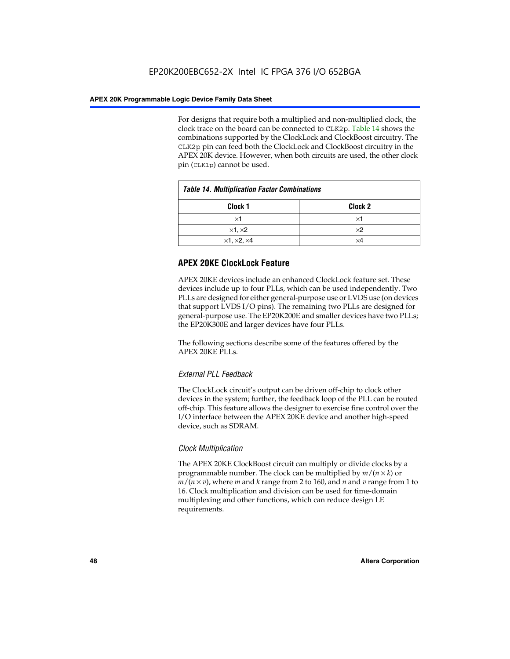For designs that require both a multiplied and non-multiplied clock, the clock trace on the board can be connected to CLK2p. Table 14 shows the combinations supported by the ClockLock and ClockBoost circuitry. The CLK2p pin can feed both the ClockLock and ClockBoost circuitry in the APEX 20K device. However, when both circuits are used, the other clock pin (CLK1p) cannot be used.

| <b>Table 14. Multiplication Factor Combinations</b> |                    |  |
|-----------------------------------------------------|--------------------|--|
| Clock <sub>1</sub>                                  | Clock <sub>2</sub> |  |
| $\times$ 1                                          | ×1                 |  |
| $\times$ 1, $\times$ 2                              | $\times 2$         |  |
| $\times$ 1, $\times$ 2, $\times$ 4                  | ×4                 |  |

# **APEX 20KE ClockLock Feature**

APEX 20KE devices include an enhanced ClockLock feature set. These devices include up to four PLLs, which can be used independently. Two PLLs are designed for either general-purpose use or LVDS use (on devices that support LVDS I/O pins). The remaining two PLLs are designed for general-purpose use. The EP20K200E and smaller devices have two PLLs; the EP20K300E and larger devices have four PLLs.

The following sections describe some of the features offered by the APEX 20KE PLLs.

# *External PLL Feedback*

The ClockLock circuit's output can be driven off-chip to clock other devices in the system; further, the feedback loop of the PLL can be routed off-chip. This feature allows the designer to exercise fine control over the I/O interface between the APEX 20KE device and another high-speed device, such as SDRAM.

# *Clock Multiplication*

The APEX 20KE ClockBoost circuit can multiply or divide clocks by a programmable number. The clock can be multiplied by  $m/(n \times k)$  or  $m/(n \times v)$ , where *m* and *k* range from 2 to 160, and *n* and *v* range from 1 to 16. Clock multiplication and division can be used for time-domain multiplexing and other functions, which can reduce design LE requirements.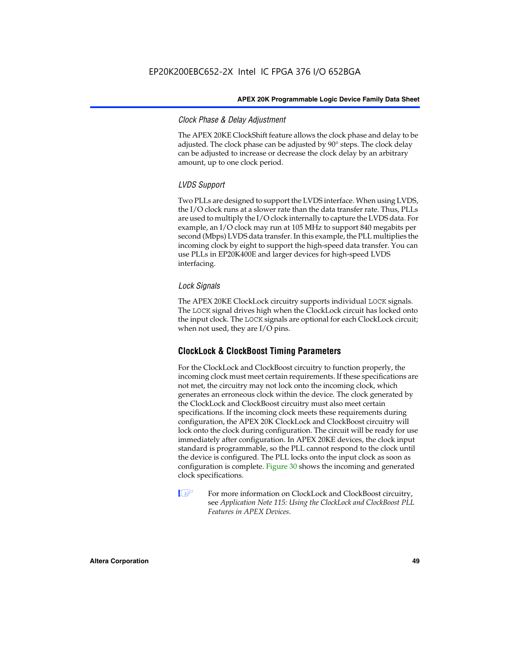# *Clock Phase & Delay Adjustment*

The APEX 20KE ClockShift feature allows the clock phase and delay to be adjusted. The clock phase can be adjusted by 90° steps. The clock delay can be adjusted to increase or decrease the clock delay by an arbitrary amount, up to one clock period.

# *LVDS Support*

Two PLLs are designed to support the LVDS interface. When using LVDS, the I/O clock runs at a slower rate than the data transfer rate. Thus, PLLs are used to multiply the I/O clock internally to capture the LVDS data. For example, an I/O clock may run at 105 MHz to support 840 megabits per second (Mbps) LVDS data transfer. In this example, the PLL multiplies the incoming clock by eight to support the high-speed data transfer. You can use PLLs in EP20K400E and larger devices for high-speed LVDS interfacing.

# *Lock Signals*

The APEX 20KE ClockLock circuitry supports individual LOCK signals. The LOCK signal drives high when the ClockLock circuit has locked onto the input clock. The LOCK signals are optional for each ClockLock circuit; when not used, they are I/O pins.

# **ClockLock & ClockBoost Timing Parameters**

For the ClockLock and ClockBoost circuitry to function properly, the incoming clock must meet certain requirements. If these specifications are not met, the circuitry may not lock onto the incoming clock, which generates an erroneous clock within the device. The clock generated by the ClockLock and ClockBoost circuitry must also meet certain specifications. If the incoming clock meets these requirements during configuration, the APEX 20K ClockLock and ClockBoost circuitry will lock onto the clock during configuration. The circuit will be ready for use immediately after configuration. In APEX 20KE devices, the clock input standard is programmable, so the PLL cannot respond to the clock until the device is configured. The PLL locks onto the input clock as soon as configuration is complete. Figure 30 shows the incoming and generated clock specifications.

 $\mathbb{I} \mathcal{F}$  For more information on ClockLock and ClockBoost circuitry, see *Application Note 115: Using the ClockLock and ClockBoost PLL Features in APEX Devices*.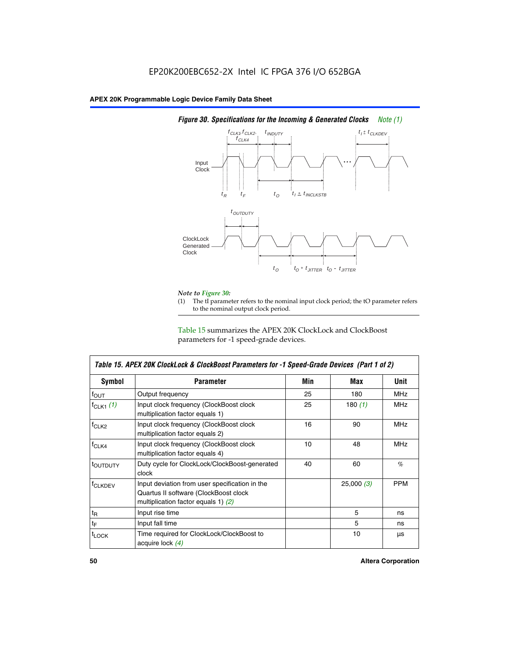

# *Figure 30. Specifications for the Incoming & Generated Clocks Note (1)*

# *Note to Figure 30:*

The tI parameter refers to the nominal input clock period; the tO parameter refers to the nominal output clock period.

Table 15 summarizes the APEX 20K ClockLock and ClockBoost parameters for -1 speed-grade devices.

| <b>Symbol</b>                                                                                                                                       | <b>Parameter</b>                                                           | Min | Max       | <b>Unit</b> |
|-----------------------------------------------------------------------------------------------------------------------------------------------------|----------------------------------------------------------------------------|-----|-----------|-------------|
| $f_{OUT}$                                                                                                                                           | Output frequency                                                           | 25  | 180       | MHz         |
| $f_{CLK1}$ $(1)$                                                                                                                                    | Input clock frequency (ClockBoost clock<br>multiplication factor equals 1) | 25  | 180 $(1)$ | <b>MHz</b>  |
| $f_{CLK2}$                                                                                                                                          | Input clock frequency (ClockBoost clock<br>multiplication factor equals 2) | 16  | 90        | <b>MHz</b>  |
| $f_{CLK4}$                                                                                                                                          | Input clock frequency (ClockBoost clock<br>multiplication factor equals 4) | 10  | 48        | <b>MHz</b>  |
| toutputy                                                                                                                                            | Duty cycle for ClockLock/ClockBoost-generated<br>clock                     | 40  | 60        | %           |
| Input deviation from user specification in the<br><b>f</b> CLKDEV<br>Quartus II software (ClockBoost clock<br>multiplication factor equals 1) $(2)$ |                                                                            |     | 25,000(3) | <b>PPM</b>  |
| $t_{\mathsf{R}}$                                                                                                                                    | Input rise time                                                            |     | 5         | ns          |
| $t_{\mathsf{F}}$                                                                                                                                    | Input fall time                                                            |     | 5         | ns          |
| <sup>t</sup> LOCK                                                                                                                                   | Time required for ClockLock/ClockBoost to<br>acquire lock (4)              |     | 10        | μs          |

 $\mathsf I$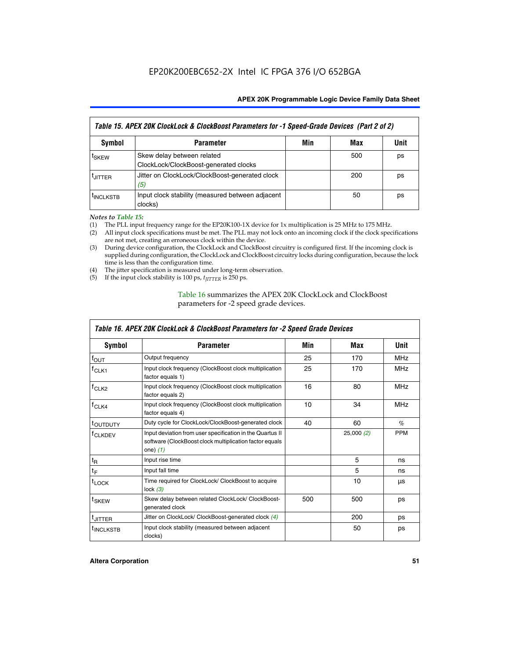| Table 15. APEX 20K ClockLock & ClockBoost Parameters for -1 Speed-Grade Devices (Part 2 of 2) |                                                                     |     |     |      |
|-----------------------------------------------------------------------------------------------|---------------------------------------------------------------------|-----|-----|------|
| <b>Symbol</b>                                                                                 | <b>Parameter</b>                                                    | Min | Max | Unit |
| t <sub>SKEW</sub>                                                                             | Skew delay between related<br>ClockLock/ClockBoost-generated clocks |     | 500 | ps   |
| <b>UITTER</b>                                                                                 | Jitter on ClockLock/ClockBoost-generated clock<br>(5)               |     | 200 | ps   |
| <b>INCLKSTB</b>                                                                               | Input clock stability (measured between adjacent<br>clocks)         |     | 50  | ps   |

*Notes to Table 15:*

- (1) The PLL input frequency range for the EP20K100-1X device for 1x multiplication is 25 MHz to 175 MHz.
- (2) All input clock specifications must be met. The PLL may not lock onto an incoming clock if the clock specifications are not met, creating an erroneous clock within the device.
- (3) During device configuration, the ClockLock and ClockBoost circuitry is configured first. If the incoming clock is supplied during configuration, the ClockLock and ClockBoost circuitry locks during configuration, because the lock time is less than the configuration time.
- (4) The jitter specification is measured under long-term observation.
- (5) If the input clock stability is 100 ps,  $t_{\text{JITTER}}$  is 250 ps.

# Table 16 summarizes the APEX 20K ClockLock and ClockBoost parameters for -2 speed grade devices.

| Symbol                                                                                | <b>Parameter</b>                                                                                                                   | Min | Max       | Unit       |
|---------------------------------------------------------------------------------------|------------------------------------------------------------------------------------------------------------------------------------|-----|-----------|------------|
| $f_{\text{OUT}}$                                                                      | Output frequency                                                                                                                   | 25  | 170       | <b>MHz</b> |
| <sup>T</sup> CLK1                                                                     | Input clock frequency (ClockBoost clock multiplication<br>factor equals 1)                                                         | 25  | 170       | <b>MHz</b> |
| $f_{CLK2}$                                                                            | Input clock frequency (ClockBoost clock multiplication<br>factor equals 2)                                                         |     | 80        | <b>MHz</b> |
| Input clock frequency (ClockBoost clock multiplication<br>$tCLK4$<br>factor equals 4) |                                                                                                                                    | 10  | 34        | <b>MHz</b> |
| <sup>t</sup> OUTDUTY                                                                  | Duty cycle for ClockLock/ClockBoost-generated clock                                                                                | 40  | 60        | $\%$       |
| <sup>T</sup> CLKDEV                                                                   | Input deviation from user specification in the Quartus II<br>software (ClockBoost clock multiplication factor equals<br>one) $(1)$ |     | 25,000(2) | <b>PPM</b> |
| $t_{\mathsf{R}}$                                                                      | Input rise time                                                                                                                    |     | 5         | ns         |
| $t_F$                                                                                 | Input fall time                                                                                                                    |     | 5         | ns         |
| $t_{\text{LOCK}}$                                                                     | Time required for ClockLock/ ClockBoost to acquire<br>lock $(3)$                                                                   |     | 10        | μs         |
| t <sub>SKEW</sub>                                                                     | Skew delay between related ClockLock/ ClockBoost-<br>generated clock                                                               | 500 | 500       | ps         |
| t <sub>JITTER</sub>                                                                   | Jitter on ClockLock/ ClockBoost-generated clock (4)                                                                                |     | 200       | ps         |
| <sup>I</sup> INCLKSTB                                                                 | Input clock stability (measured between adjacent<br>clocks)                                                                        |     | 50        | ps         |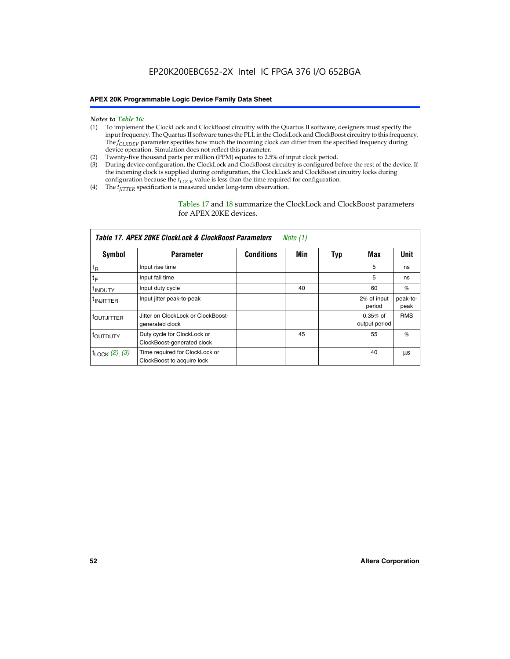- *Notes to Table 16:* (1) To implement the ClockLock and ClockBoost circuitry with the Quartus II software, designers must specify the input frequency. The Quartus II software tunes the PLL in the ClockLock and ClockBoost circuitry to this frequency. The *f<sub>CLKDEV</sub>* parameter specifies how much the incoming clock can differ from the specified frequency during device operation. Simulation does not reflect this parameter.
- (2) Twenty-five thousand parts per million (PPM) equates to 2.5% of input clock period.
- (3) During device configuration, the ClockLock and ClockBoost circuitry is configured before the rest of the device. If the incoming clock is supplied during configuration, the ClockLock and ClockBoost circuitry locks during configuration because the  $t_{LOCK}$  value is less than the time required for configuration.
- (4) The  $t_{\text{ITTTER}}$  specification is measured under long-term observation.

Tables 17 and 18 summarize the ClockLock and ClockBoost parameters for APEX 20KE devices.

|                            | Table 17. APEX 20KE ClockLock & ClockBoost Parameters        |                   | Note (1) |     |                             |                  |
|----------------------------|--------------------------------------------------------------|-------------------|----------|-----|-----------------------------|------------------|
| Symbol                     | <b>Parameter</b>                                             | <b>Conditions</b> | Min      | Typ | Max                         | <b>Unit</b>      |
| $t_{R}$                    | Input rise time                                              |                   |          |     | 5                           | ns               |
| tF                         | Input fall time                                              |                   |          |     | 5                           | ns               |
| <sup>t</sup> INDUTY        | Input duty cycle                                             |                   | 40       |     | 60                          | %                |
| <sup>t</sup> INJITTER      | Input jitter peak-to-peak                                    |                   |          |     | 2% of input<br>period       | peak-to-<br>peak |
| <sup>t</sup> OUTJITTER     | Jitter on ClockLock or ClockBoost-<br>generated clock        |                   |          |     | $0.35%$ of<br>output period | <b>RMS</b>       |
| toutbuty                   | Duty cycle for ClockLock or<br>ClockBoost-generated clock    |                   | 45       |     | 55                          | $\%$             |
| $t_{\text{LOCK}}$ (2), (3) | Time required for ClockLock or<br>ClockBoost to acquire lock |                   |          |     | 40                          | μs               |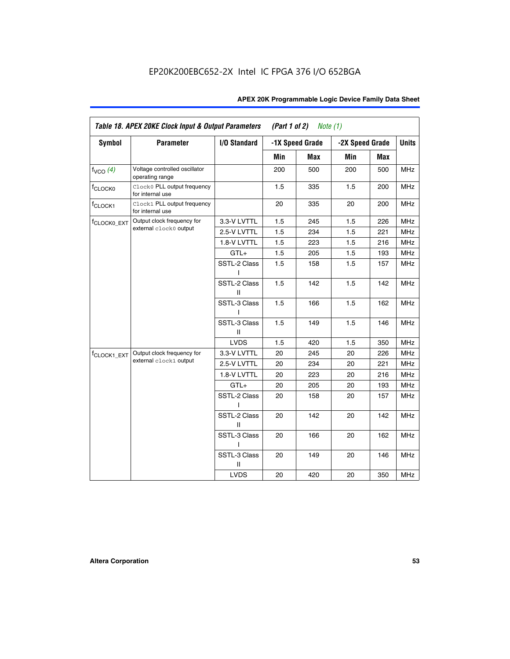| Table 18. APEX 20KE Clock Input & Output Parameters<br>(Part 1 of 2)<br>Note $(1)$ |                                                  |                   |     |                 |                 |     |              |
|------------------------------------------------------------------------------------|--------------------------------------------------|-------------------|-----|-----------------|-----------------|-----|--------------|
| <b>Symbol</b>                                                                      | <b>Parameter</b>                                 | I/O Standard      |     | -1X Speed Grade | -2X Speed Grade |     | <b>Units</b> |
|                                                                                    |                                                  |                   | Min | <b>Max</b>      | Min             | Max |              |
| $f_{VCO}$ $(4)$                                                                    | Voltage controlled oscillator<br>operating range |                   | 200 | 500             | 200             | 500 | <b>MHz</b>   |
| f <sub>CLOCK0</sub>                                                                | Clock0 PLL output frequency<br>for internal use  |                   | 1.5 | 335             | 1.5             | 200 | <b>MHz</b>   |
| f <sub>CLOCK1</sub>                                                                | Clock1 PLL output frequency<br>for internal use  |                   | 20  | 335             | 20              | 200 | <b>MHz</b>   |
| f <sub>CLOCK0_EXT</sub>                                                            | Output clock frequency for                       | 3.3-V LVTTL       | 1.5 | 245             | 1.5             | 226 | <b>MHz</b>   |
|                                                                                    | external clock0 output                           | 2.5-V LVTTL       | 1.5 | 234             | 1.5             | 221 | <b>MHz</b>   |
|                                                                                    |                                                  | 1.8-V LVTTL       | 1.5 | 223             | 1.5             | 216 | <b>MHz</b>   |
|                                                                                    |                                                  | $GTL+$            | 1.5 | 205             | 1.5             | 193 | <b>MHz</b>   |
|                                                                                    |                                                  | SSTL-2 Class<br>L | 1.5 | 158             | 1.5             | 157 | <b>MHz</b>   |
|                                                                                    |                                                  | SSTL-2 Class<br>Ш | 1.5 | 142             | 1.5             | 142 | <b>MHz</b>   |
|                                                                                    |                                                  | SSTL-3 Class<br>L | 1.5 | 166             | 1.5             | 162 | <b>MHz</b>   |
|                                                                                    |                                                  | SSTL-3 Class<br>Ш | 1.5 | 149             | 1.5             | 146 | <b>MHz</b>   |
|                                                                                    |                                                  | <b>LVDS</b>       | 1.5 | 420             | 1.5             | 350 | <b>MHz</b>   |
| f <sub>CLOCK1_EXT</sub>                                                            | Output clock frequency for                       | 3.3-V LVTTL       | 20  | 245             | 20              | 226 | <b>MHz</b>   |
|                                                                                    | external clock1 output                           | 2.5-V LVTTL       | 20  | 234             | 20              | 221 | <b>MHz</b>   |
|                                                                                    |                                                  | 1.8-V LVTTL       | 20  | 223             | 20              | 216 | <b>MHz</b>   |
|                                                                                    |                                                  | $GTL+$            | 20  | 205             | 20              | 193 | <b>MHz</b>   |
|                                                                                    |                                                  | SSTL-2 Class      | 20  | 158             | 20              | 157 | <b>MHz</b>   |
|                                                                                    |                                                  | SSTL-2 Class<br>Ш | 20  | 142             | 20              | 142 | <b>MHz</b>   |
|                                                                                    |                                                  | SSTL-3 Class      | 20  | 166             | 20              | 162 | <b>MHz</b>   |
|                                                                                    |                                                  | SSTL-3 Class<br>Ш | 20  | 149             | 20              | 146 | <b>MHz</b>   |
|                                                                                    |                                                  | <b>LVDS</b>       | 20  | 420             | 20              | 350 | MHz          |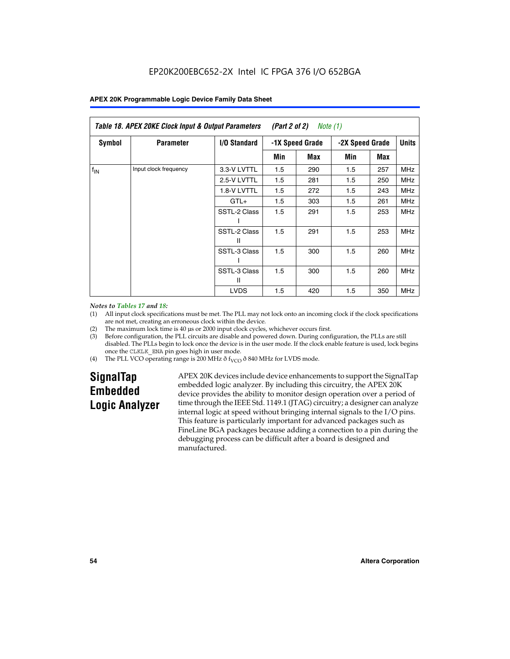| Table 18. APEX 20KE Clock Input & Output Parameters<br><i>(Part 2 of 2)</i><br>Note (1) |                       |                   |                 |     |                 |     |            |              |
|-----------------------------------------------------------------------------------------|-----------------------|-------------------|-----------------|-----|-----------------|-----|------------|--------------|
| <b>Symbol</b>                                                                           | <b>Parameter</b>      | I/O Standard      | -1X Speed Grade |     | -2X Speed Grade |     |            | <b>Units</b> |
|                                                                                         |                       |                   | Min             | Max | Min             | Max |            |              |
| $f_{IN}$                                                                                | Input clock frequency | 3.3-V LVTTL       | 1.5             | 290 | 1.5             | 257 | <b>MHz</b> |              |
|                                                                                         |                       | 2.5-V LVTTL       | 1.5             | 281 | 1.5             | 250 | <b>MHz</b> |              |
|                                                                                         |                       | 1.8-V LVTTL       | 1.5             | 272 | 1.5             | 243 | <b>MHz</b> |              |
|                                                                                         |                       | $GTL+$            | 1.5             | 303 | 1.5             | 261 | <b>MHz</b> |              |
|                                                                                         |                       | SSTL-2 Class      | 1.5             | 291 | 1.5             | 253 | <b>MHz</b> |              |
|                                                                                         |                       | SSTL-2 Class<br>Ш | 1.5             | 291 | 1.5             | 253 | <b>MHz</b> |              |
|                                                                                         |                       | SSTL-3 Class      | 1.5             | 300 | 1.5             | 260 | <b>MHz</b> |              |
|                                                                                         |                       | SSTL-3 Class<br>Ш | 1.5             | 300 | 1.5             | 260 | <b>MHz</b> |              |
|                                                                                         |                       | <b>LVDS</b>       | 1.5             | 420 | 1.5             | 350 | <b>MHz</b> |              |

### *Notes to Tables 17 and 18:*

(1) All input clock specifications must be met. The PLL may not lock onto an incoming clock if the clock specifications are not met, creating an erroneous clock within the device.

- (2) The maximum lock time is 40 µs or 2000 input clock cycles, whichever occurs first.
- (3) Before configuration, the PLL circuits are disable and powered down. During configuration, the PLLs are still disabled. The PLLs begin to lock once the device is in the user mode. If the clock enable feature is used, lock begins once the CLKLK\_ENA pin goes high in user mode.
- (4) The PLL VCO operating range is 200 MHz  $\eth$  f<sub>VCO</sub>  $\eth$  840 MHz for LVDS mode.

# **SignalTap Embedded Logic Analyzer**

APEX 20K devices include device enhancements to support the SignalTap embedded logic analyzer. By including this circuitry, the APEX 20K device provides the ability to monitor design operation over a period of time through the IEEE Std. 1149.1 (JTAG) circuitry; a designer can analyze internal logic at speed without bringing internal signals to the I/O pins. This feature is particularly important for advanced packages such as FineLine BGA packages because adding a connection to a pin during the debugging process can be difficult after a board is designed and manufactured.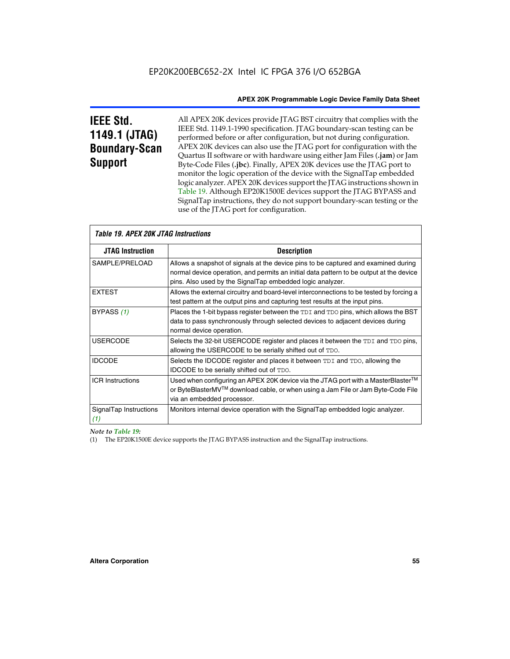# **IEEE Std. 1149.1 (JTAG) Boundary-Scan Support**

All APEX 20K devices provide JTAG BST circuitry that complies with the IEEE Std. 1149.1-1990 specification. JTAG boundary-scan testing can be performed before or after configuration, but not during configuration. APEX 20K devices can also use the JTAG port for configuration with the Quartus II software or with hardware using either Jam Files (**.jam**) or Jam Byte-Code Files (**.jbc**). Finally, APEX 20K devices use the JTAG port to monitor the logic operation of the device with the SignalTap embedded logic analyzer. APEX 20K devices support the JTAG instructions shown in Table 19. Although EP20K1500E devices support the JTAG BYPASS and SignalTap instructions, they do not support boundary-scan testing or the use of the JTAG port for configuration.

| <i><b>Table 19. APEX 20K JTAG Instructions</b></i> |                                                                                                                                                                                                                                            |  |  |  |
|----------------------------------------------------|--------------------------------------------------------------------------------------------------------------------------------------------------------------------------------------------------------------------------------------------|--|--|--|
| <b>JTAG Instruction</b>                            | <b>Description</b>                                                                                                                                                                                                                         |  |  |  |
| SAMPLE/PRELOAD                                     | Allows a snapshot of signals at the device pins to be captured and examined during<br>normal device operation, and permits an initial data pattern to be output at the device<br>pins. Also used by the SignalTap embedded logic analyzer. |  |  |  |
| <b>EXTEST</b>                                      | Allows the external circuitry and board-level interconnections to be tested by forcing a<br>test pattern at the output pins and capturing test results at the input pins.                                                                  |  |  |  |
| BYPASS (1)                                         | Places the 1-bit bypass register between the TDI and TDO pins, which allows the BST<br>data to pass synchronously through selected devices to adjacent devices during<br>normal device operation.                                          |  |  |  |
| <b>USERCODE</b>                                    | Selects the 32-bit USERCODE register and places it between the TDI and TDO pins,<br>allowing the USERCODE to be serially shifted out of TDO.                                                                                               |  |  |  |
| <b>IDCODE</b>                                      | Selects the IDCODE register and places it between TDI and TDO, allowing the<br>IDCODE to be serially shifted out of TDO.                                                                                                                   |  |  |  |
| <b>ICR Instructions</b>                            | Used when configuring an APEX 20K device via the JTAG port with a MasterBlaster™<br>or ByteBlasterMV™ download cable, or when using a Jam File or Jam Byte-Code File<br>via an embedded processor.                                         |  |  |  |
| SignalTap Instructions<br>(1)                      | Monitors internal device operation with the SignalTap embedded logic analyzer.                                                                                                                                                             |  |  |  |

 $\overline{\phantom{a}}$ 

# *Note to Table 19:*

(1) The EP20K1500E device supports the JTAG BYPASS instruction and the SignalTap instructions.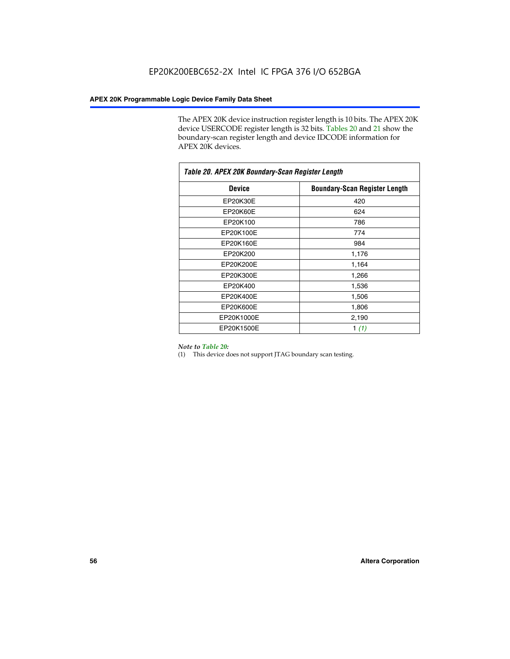The APEX 20K device instruction register length is 10 bits. The APEX 20K device USERCODE register length is 32 bits. Tables 20 and 21 show the boundary-scan register length and device IDCODE information for APEX 20K devices.

| Table 20. APEX 20K Boundary-Scan Register Length |                                      |  |  |  |
|--------------------------------------------------|--------------------------------------|--|--|--|
| <b>Device</b>                                    | <b>Boundary-Scan Register Length</b> |  |  |  |
| EP20K30E                                         | 420                                  |  |  |  |
| EP20K60E                                         | 624                                  |  |  |  |
| EP20K100                                         | 786                                  |  |  |  |
| EP20K100E                                        | 774                                  |  |  |  |
| EP20K160E                                        | 984                                  |  |  |  |
| EP20K200                                         | 1,176                                |  |  |  |
| EP20K200E                                        | 1,164                                |  |  |  |
| EP20K300E                                        | 1,266                                |  |  |  |
| EP20K400                                         | 1,536                                |  |  |  |
| EP20K400E                                        | 1,506                                |  |  |  |
| EP20K600E                                        | 1,806                                |  |  |  |
| EP20K1000E                                       | 2,190                                |  |  |  |
| EP20K1500E                                       | 1 $(1)$                              |  |  |  |

### *Note to Table 20:*

(1) This device does not support JTAG boundary scan testing.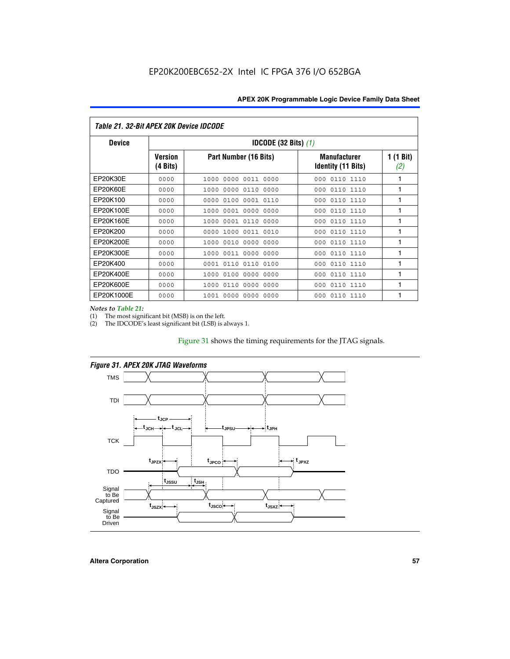| Table 21. 32-Bit APEX 20K Device IDCODE |                                          |                              |                                                  |                  |  |  |
|-----------------------------------------|------------------------------------------|------------------------------|--------------------------------------------------|------------------|--|--|
| <b>Device</b>                           | <b>IDCODE (32 Bits) <math>(1)</math></b> |                              |                                                  |                  |  |  |
|                                         | <b>Version</b><br>(4 Bits)               | Part Number (16 Bits)        | <b>Manufacturer</b><br><b>Identity (11 Bits)</b> | 1 (1 Bit)<br>(2) |  |  |
| EP20K30E                                | 0000                                     | 0000 0011 0000<br>1000       | 0110 1110<br>000                                 | 1                |  |  |
| EP20K60E                                | 0000                                     | 1000<br>0000 0110<br>0000    | 0110 1110<br>000                                 | 1                |  |  |
| EP20K100                                | 0000                                     | 0000<br>0100<br>0001 0110    | 000<br>0110 1110                                 | 1                |  |  |
| EP20K100E                               | 0000                                     | 1000<br>0001 0000<br>0000    | 0110 1110<br>000                                 | 1                |  |  |
| EP20K160E                               | 0000                                     | 0001 0110<br>0000<br>1000    | 000<br>0110 1110                                 | 1                |  |  |
| EP20K200                                | 0000                                     | 1000<br>0011 0010<br>0000    | 0110 1110<br>000                                 | 1                |  |  |
| EP20K200E                               | 0000                                     | 0010<br>0000<br>0000<br>1000 | 0110 1110<br>000                                 | 1                |  |  |
| EP20K300E                               | 0000                                     | 0011 0000<br>0000<br>1000    | 0110 1110<br>000                                 | 1                |  |  |
| EP20K400                                | 0000                                     | 0001<br>0110<br>0110<br>0100 | 0110 1110<br>000                                 | 1                |  |  |
| EP20K400E                               | 0000                                     | 0100<br>0000<br>0000<br>1000 | 0110 1110<br>000                                 | 1                |  |  |
| EP20K600E                               | 0000                                     | 1000<br>0110<br>0000<br>0000 | 0110 1110<br>000                                 | 1                |  |  |
| EP20K1000E                              | 0000                                     | 0000<br>0000<br>0000<br>1001 | 000<br>0110 1110                                 | 1                |  |  |

*Notes to Table 21:*

The most significant bit (MSB) is on the left.

(2) The IDCODE's least significant bit (LSB) is always 1.

# Figure 31 shows the timing requirements for the JTAG signals.





**Altera Corporation 57**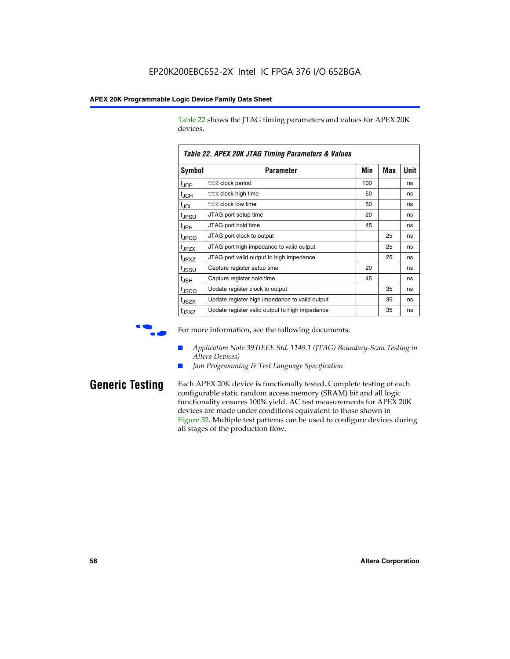Table 22 shows the JTAG timing parameters and values for APEX 20K devices.

|                   | TADIE ZZ. AFEA ZUN JTAU TIIIIIIU FAIAIIIEIEIS & VAIUES |     |            |      |  |  |
|-------------------|--------------------------------------------------------|-----|------------|------|--|--|
| Symbol            | Parameter                                              | Min | <b>Max</b> | Unit |  |  |
| $t_{JCP}$         | TCK clock period                                       | 100 |            | ns   |  |  |
| $t_{JCH}$         | TCK clock high time                                    | 50  |            | ns   |  |  |
| tjcl              | TCK clock low time                                     | 50  |            | ns   |  |  |
| t <sub>JPSU</sub> | JTAG port setup time                                   | 20  |            | ns   |  |  |
| t <sub>JPH</sub>  | JTAG port hold time                                    | 45  |            | ns   |  |  |
| <sup>t</sup> JPCO | JTAG port clock to output                              |     | 25         | ns   |  |  |
| t <sub>JPZX</sub> | JTAG port high impedance to valid output               |     | 25         | ns   |  |  |
| t <sub>JPXZ</sub> | JTAG port valid output to high impedance               |     | 25         | ns   |  |  |
| tussu             | Capture register setup time                            | 20  |            | ns   |  |  |
| $t_{\sf JSH}$     | Capture register hold time                             | 45  |            | ns   |  |  |
| t <sub>JSCO</sub> | Update register clock to output                        |     | 35         | ns   |  |  |
| t <sub>JSZX</sub> | Update register high impedance to valid output         |     | 35         | ns   |  |  |
| t <sub>JSXZ</sub> | Update register valid output to high impedance         |     | 35         | ns   |  |  |

*Table 22. APEX 20K JTAG Timing Parameters & Values*

For more information, see the following documents:

- *Application Note 39 (IEEE Std. 1149.1 (JTAG) Boundary-Scan Testing in Altera Devices)*
- Jam Programming & Test Language Specification

**Generic Testing** Each APEX 20K device is functionally tested. Complete testing of each configurable static random access memory (SRAM) bit and all logic functionality ensures 100% yield. AC test measurements for APEX 20K devices are made under conditions equivalent to those shown in Figure 32. Multiple test patterns can be used to configure devices during all stages of the production flow.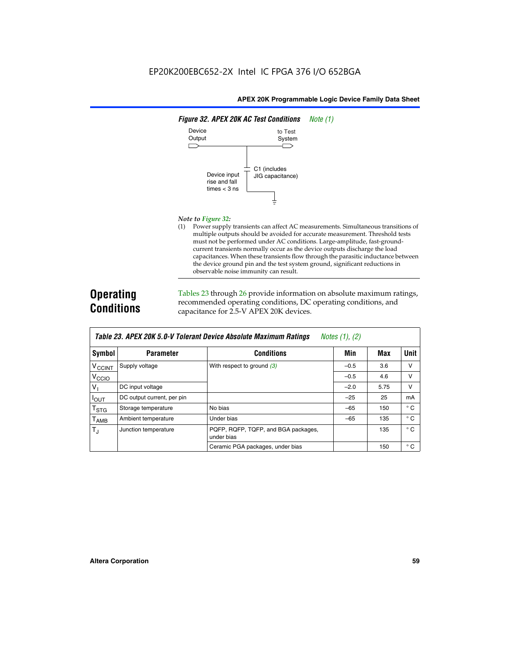

### *Note to Figure 32:*

(1) Power supply transients can affect AC measurements. Simultaneous transitions of multiple outputs should be avoided for accurate measurement. Threshold tests must not be performed under AC conditions. Large-amplitude, fast-groundcurrent transients normally occur as the device outputs discharge the load capacitances. When these transients flow through the parasitic inductance between the device ground pin and the test system ground, significant reductions in observable noise immunity can result.

# **Operating Conditions**

Tables 23 through 26 provide information on absolute maximum ratings, recommended operating conditions, DC operating conditions, and capacitance for 2.5-V APEX 20K devices.

|                           |                            |                                                   | $1.00100 + 1.011 + 1.001$ |      |              |
|---------------------------|----------------------------|---------------------------------------------------|---------------------------|------|--------------|
| <b>Symbol</b>             | <b>Parameter</b>           | <b>Conditions</b>                                 | Min                       | Max  | Unit         |
| $V_{\text{CCINT}}$        | Supply voltage             | With respect to ground $(3)$                      | $-0.5$                    | 3.6  | v            |
| V <sub>CCIO</sub>         |                            |                                                   | $-0.5$                    | 4.6  | $\vee$       |
| $V_1$                     | DC input voltage           |                                                   | $-2.0$                    | 5.75 | v            |
| $I_{\text{OUT}}$          | DC output current, per pin |                                                   | $-25$                     | 25   | mA           |
| $\mathsf{T}_{\text{STG}}$ | Storage temperature        | No bias                                           | $-65$                     | 150  | $^{\circ}$ C |
| Т <sub>АМВ</sub>          | Ambient temperature        | Under bias                                        | $-65$                     | 135  | $^{\circ}$ C |
| $T_{\rm J}$               | Junction temperature       | PQFP, RQFP, TQFP, and BGA packages,<br>under bias |                           | 135  | $^{\circ}$ C |
|                           |                            | Ceramic PGA packages, under bias                  |                           | 150  | $^{\circ}$ C |

| Table 23. APEX 20K 5.0-V Tolerant Device Absolute Maximum Ratings Notes (1), (2) |  |
|----------------------------------------------------------------------------------|--|
|----------------------------------------------------------------------------------|--|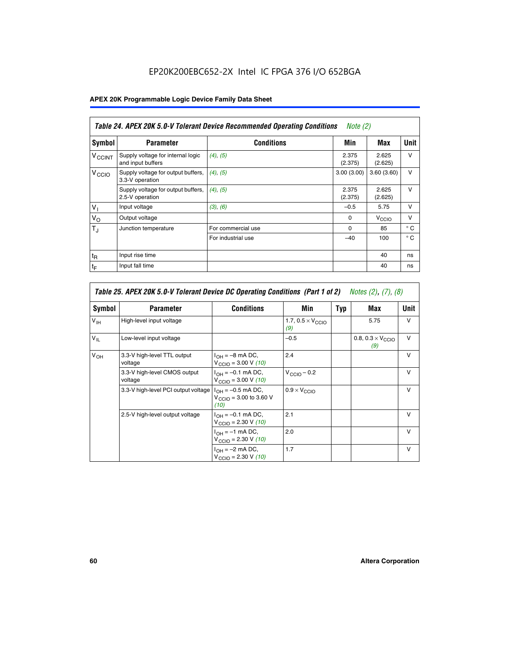# EP20K200EBC652-2X Intel IC FPGA 376 I/O 652BGA

# **APEX 20K Programmable Logic Device Family Data Sheet**

|                          | Table 24. APEX 20K 5.0-V Tolerant Device Recommended Operating Conditions<br><i>Note</i> $(2)$ |                    |                  |                  |              |  |
|--------------------------|------------------------------------------------------------------------------------------------|--------------------|------------------|------------------|--------------|--|
| Symbol                   | <b>Parameter</b>                                                                               | <b>Conditions</b>  | Min              | Max              | <b>Unit</b>  |  |
| <b>V<sub>CCINT</sub></b> | Supply voltage for internal logic<br>and input buffers                                         | $(4)$ , $(5)$      | 2.375<br>(2.375) | 2.625<br>(2.625) | $\vee$       |  |
| V <sub>CCIO</sub>        | Supply voltage for output buffers,<br>3.3-V operation                                          | (4), (5)           | 3.00(3.00)       | 3.60(3.60)       | $\vee$       |  |
|                          | Supply voltage for output buffers,<br>2.5-V operation                                          | (4), (5)           | 2.375<br>(2.375) | 2.625<br>(2.625) | $\vee$       |  |
| $V_1$                    | Input voltage                                                                                  | (3), (6)           | $-0.5$           | 5.75             | $\vee$       |  |
| $V_{\rm O}$              | Output voltage                                                                                 |                    | $\Omega$         | V <sub>CCO</sub> | $\vee$       |  |
| $T_{\rm J}$              | Junction temperature                                                                           | For commercial use | 0                | 85               | $^{\circ}$ C |  |
|                          |                                                                                                | For industrial use | $-40$            | 100              | $^{\circ}$ C |  |
| $t_{R}$                  | Input rise time                                                                                |                    |                  | 40               | ns           |  |
| $t_{\mathsf{F}}$         | Input fall time                                                                                |                    |                  | 40               | ns           |  |

|                 | Table 25. APEX 20K 5.0-V Tolerant Device DC Operating Conditions (Part 1 of 2) Notes (2), (7), (8) |                                                                        |                                          |     |                                          |              |  |  |
|-----------------|----------------------------------------------------------------------------------------------------|------------------------------------------------------------------------|------------------------------------------|-----|------------------------------------------|--------------|--|--|
| Symbol          | <b>Parameter</b>                                                                                   | <b>Conditions</b>                                                      | Min                                      | Typ | Max                                      | Unit         |  |  |
| $V_{\text{IH}}$ | High-level input voltage                                                                           |                                                                        | 1.7, $0.5 \times V_{\text{CCIO}}$<br>(9) |     | 5.75                                     | v            |  |  |
| $V_{\parallel}$ | Low-level input voltage                                                                            |                                                                        | $-0.5$                                   |     | 0.8, $0.3 \times V_{\text{CCIO}}$<br>(9) | $\vee$       |  |  |
| $V_{OH}$        | 3.3-V high-level TTL output<br>voltage                                                             | $I_{OH} = -8$ mA DC,<br>$V_{\text{CCIO}} = 3.00 V (10)$                | 2.4                                      |     |                                          | $\vee$       |  |  |
|                 | 3.3-V high-level CMOS output<br>voltage                                                            | $I_{OH} = -0.1$ mA DC,<br>$V_{\text{CCIO}} = 3.00 \text{ V} (10)$      | $V_{\text{CCIO}} - 0.2$                  |     |                                          | $\vee$       |  |  |
|                 | 3.3-V high-level PCI output voltage $ I_{OH} = -0.5$ mA DC,                                        | $V_{\text{CCIO}} = 3.00$ to 3.60 V<br>(10)                             | $0.9 \times V_{\text{CCIO}}$             |     |                                          | v            |  |  |
|                 | 2.5-V high-level output voltage                                                                    | $I_{OH} = -0.1$ mA DC,<br>$V_{\text{CCIO}} = 2.30 V (10)$              | 2.1                                      |     |                                          | $\mathsf{v}$ |  |  |
|                 |                                                                                                    | $I_{\text{OH}} = -1 \text{ mA DC},$<br>$V_{\text{CCIO}} = 2.30 V (10)$ | 2.0                                      |     |                                          | $\vee$       |  |  |
|                 |                                                                                                    | $I_{OH} = -2$ mA DC,<br>$V_{\text{CCIO}} = 2.30 V (10)$                | 1.7                                      |     |                                          | v            |  |  |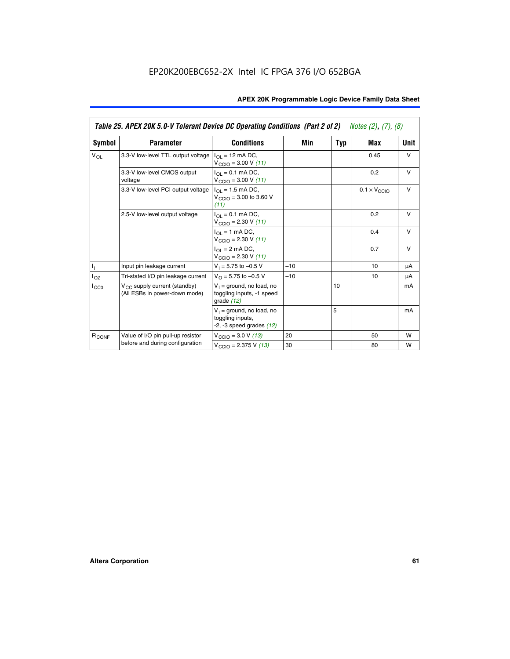|                   | Table 25. APEX 20K 5.0-V Tolerant Device DC Operating Conditions (Part 2 of 2) Notes (2), (7), (8) |                                                                                    |       |     |                              |        |  |
|-------------------|----------------------------------------------------------------------------------------------------|------------------------------------------------------------------------------------|-------|-----|------------------------------|--------|--|
| Symbol            | <b>Parameter</b>                                                                                   | <b>Conditions</b>                                                                  | Min   | Typ | Max                          | Unit   |  |
| $V_{OL}$          | 3.3-V low-level TTL output voltage                                                                 | $I_{\Omega}$ = 12 mA DC,<br>$V_{\text{CCIO}} = 3.00 V (11)$                        |       |     | 0.45                         | $\vee$ |  |
|                   | 3.3-V low-level CMOS output<br>voltage                                                             | $I_{\Omega I} = 0.1$ mA DC,<br>$V_{\text{CCIO}} = 3.00 V (11)$                     |       |     | 0.2                          | $\vee$ |  |
|                   | 3.3-V low-level PCI output voltage                                                                 | $I_{\Omega}$ = 1.5 mA DC,<br>$V_{CClO}$ = 3.00 to 3.60 V<br>(11)                   |       |     | $0.1 \times V_{\text{CCLO}}$ | $\vee$ |  |
|                   | 2.5-V low-level output voltage                                                                     | $I_{\Omega I} = 0.1$ mA DC,<br>$V_{\text{CCIO}} = 2.30 V (11)$                     |       |     | 0.2                          | $\vee$ |  |
|                   |                                                                                                    | $I_{\Omega}$ = 1 mA DC,<br>$V_{\text{CCIO}} = 2.30 V (11)$                         |       |     | 0.4                          | $\vee$ |  |
|                   |                                                                                                    | $I_{\Omega}$ = 2 mA DC,<br>$V_{\text{CCIO}} = 2.30 V (11)$                         |       |     | 0.7                          | $\vee$ |  |
| Τ,                | Input pin leakage current                                                                          | $V_1 = 5.75$ to $-0.5$ V                                                           | $-10$ |     | 10                           | μA     |  |
| $I_{OZ}$          | Tri-stated I/O pin leakage current                                                                 | $V_{\Omega}$ = 5.75 to -0.5 V                                                      | $-10$ |     | 10                           | μA     |  |
| $I_{CC0}$         | $V_{CC}$ supply current (standby)<br>(All ESBs in power-down mode)                                 | $V_1$ = ground, no load, no<br>toggling inputs, -1 speed<br>grade $(12)$           |       | 10  |                              | mA     |  |
|                   |                                                                                                    | $V_1$ = ground, no load, no<br>toggling inputs,<br>$-2$ , $-3$ speed grades $(12)$ |       | 5   |                              | mA     |  |
| R <sub>CONF</sub> | Value of I/O pin pull-up resistor                                                                  | $V_{\text{CCIO}} = 3.0 V (13)$                                                     | 20    |     | 50                           | W      |  |
|                   | before and during configuration                                                                    | $V_{\text{CCIO}} = 2.375 \text{ V} (13)$                                           | 30    |     | 80                           | W      |  |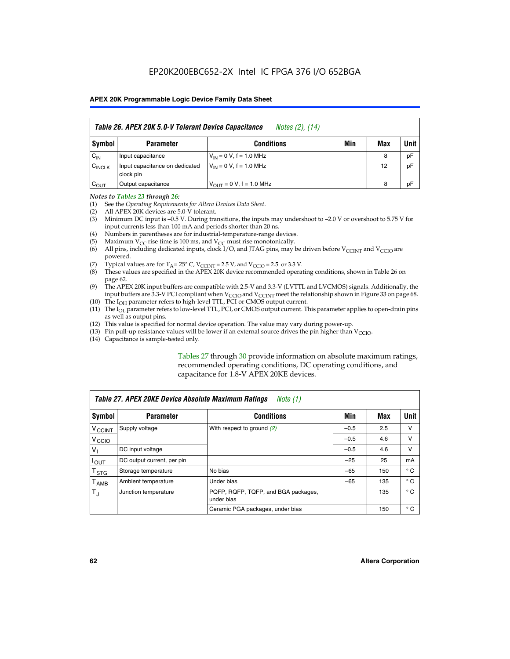|                    | Table 26. APEX 20K 5.0-V Tolerant Device Capacitance<br>Notes (2), (14) |                                     |     |     |      |  |
|--------------------|-------------------------------------------------------------------------|-------------------------------------|-----|-----|------|--|
| Symbol             | <b>Parameter</b>                                                        | <b>Conditions</b>                   | Min | Max | Unit |  |
| $C_{IN}$           | Input capacitance                                                       | $V_{1N} = 0 V$ , f = 1.0 MHz        |     | 8   | pF   |  |
| $C_{\text{INCLK}}$ | Input capacitance on dedicated<br>clock pin                             | $V_{IN} = 0 V$ , f = 1.0 MHz        |     | 12  | pF   |  |
| $C_{OUT}$          | Output capacitance                                                      | $V_{\text{OUT}} = 0 V, f = 1.0 MHz$ |     | 8   | pF   |  |

### *Notes to Tables 23 through 26:*

- (1) See the *Operating Requirements for Altera Devices Data Sheet*.
- (2) All APEX 20K devices are 5.0-V tolerant.
- (3) Minimum DC input is –0.5 V. During transitions, the inputs may undershoot to –2.0 V or overshoot to 5.75 V for input currents less than 100 mA and periods shorter than 20 ns.
- (4) Numbers in parentheses are for industrial-temperature-range devices.
- (5) Maximum  $V_{CC}$  rise time is 100 ms, and  $V_{CC}$  must rise monotonically.<br>(6) All pins, including dedicated inputs, clock I/O, and JTAG pins, may b
- All pins, including dedicated inputs, clock I/O, and JTAG pins, may be driven before  $V_{\text{CCINT}}$  and  $V_{\text{CCIO}}$  are powered.
- (7) Typical values are for  $T_A = 25^\circ$  C, V<sub>CCINT</sub> = 2.5 V, and V<sub>CCIO</sub> = 2.5 or 3.3 V.<br>(8) These values are specified in the APEX 20K device recommended operat
- These values are specified in the APEX 20K device recommended operating conditions, shown in Table 26 on page 62.
- (9) The APEX 20K input buffers are compatible with 2.5-V and 3.3-V (LVTTL and LVCMOS) signals. Additionally, the input buffers are 3.3-V PCI compliant when  $V_{\text{CCIO}}$  and  $V_{\text{CCINI}}$  meet the relationship shown in Figure 33 on page 68.
- (10) The  $I<sub>OH</sub>$  parameter refers to high-level TTL, PCI or CMOS output current.
- (11) The I<sub>OL</sub> parameter refers to low-level TTL, PCI, or CMOS output current. This parameter applies to open-drain pins as well as output pins.
- (12) This value is specified for normal device operation. The value may vary during power-up.
- (13) Pin pull-up resistance values will be lower if an external source drives the pin higher than  $V_{\text{CCIO}}$ .
- (14) Capacitance is sample-tested only.

Tables 27 through 30 provide information on absolute maximum ratings, recommended operating conditions, DC operating conditions, and capacitance for 1.8-V APEX 20KE devices.

|                             | Table 27. APEX 20KE Device Absolute Maximum Ratings<br>Note (1) |                                                   |        |     |              |  |  |
|-----------------------------|-----------------------------------------------------------------|---------------------------------------------------|--------|-----|--------------|--|--|
| Symbol                      | <b>Parameter</b>                                                | <b>Conditions</b>                                 | Min    | Max | Unit         |  |  |
| $V_{\text{CCINT}}$          | Supply voltage                                                  | With respect to ground (2)                        | $-0.5$ | 2.5 | v            |  |  |
| V <sub>CCIO</sub>           |                                                                 |                                                   | $-0.5$ | 4.6 | v            |  |  |
| $V_{1}$                     | DC input voltage                                                |                                                   | $-0.5$ | 4.6 | $\vee$       |  |  |
| $I_{OUT}$                   | DC output current, per pin                                      |                                                   | $-25$  | 25  | mA           |  |  |
| $\mathsf{T}_{\texttt{STG}}$ | Storage temperature                                             | No bias                                           | $-65$  | 150 | $^{\circ}$ C |  |  |
| Т <sub>АМВ</sub>            | Ambient temperature                                             | Under bias                                        | $-65$  | 135 | $^{\circ}$ C |  |  |
| $\mathsf{T}_{\text{d}}$     | Junction temperature                                            | PQFP, RQFP, TQFP, and BGA packages,<br>under bias |        | 135 | $^{\circ}$ C |  |  |
|                             |                                                                 | Ceramic PGA packages, under bias                  |        | 150 | $^{\circ}$ C |  |  |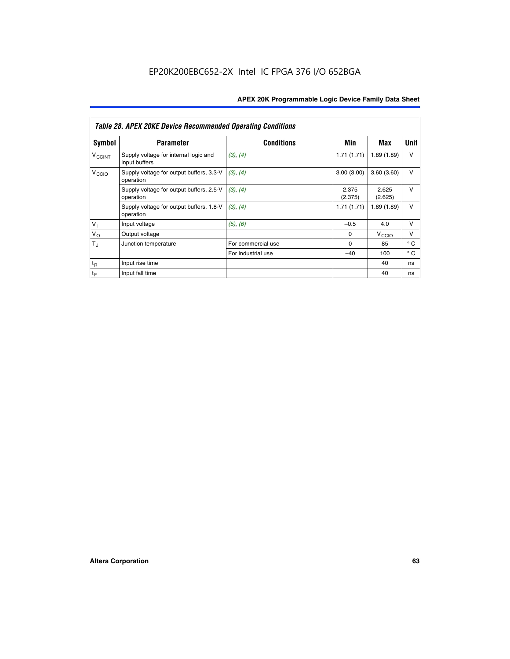|                          | <b>Table 28. APEX 20KE Device Recommended Operating Conditions</b> |                    |                  |                   |              |  |  |  |
|--------------------------|--------------------------------------------------------------------|--------------------|------------------|-------------------|--------------|--|--|--|
| <b>Symbol</b>            | <b>Parameter</b>                                                   | <b>Conditions</b>  | Min              | Max               | Unit         |  |  |  |
| <b>V<sub>CCINT</sub></b> | Supply voltage for internal logic and<br>input buffers             | (3), (4)           | 1.71(1.71)       | 1.89(1.89)        | $\vee$       |  |  |  |
| V <sub>CCIO</sub>        | Supply voltage for output buffers, 3.3-V<br>operation              | (3), (4)           | 3.00(3.00)       | 3.60(3.60)        | v            |  |  |  |
|                          | Supply voltage for output buffers, 2.5-V<br>operation              | (3), (4)           | 2.375<br>(2.375) | 2.625<br>(2.625)  | v            |  |  |  |
|                          | Supply voltage for output buffers, 1.8-V<br>operation              | (3), (4)           | 1.71(1.71)       | 1.89(1.89)        | v            |  |  |  |
| V <sub>1</sub>           | Input voltage                                                      | (5), (6)           | $-0.5$           | 4.0               | v            |  |  |  |
| $V_{\rm O}$              | Output voltage                                                     |                    | $\Omega$         | V <sub>CCIO</sub> | v            |  |  |  |
| $T_{\rm J}$              | Junction temperature                                               | For commercial use | 0                | 85                | $^{\circ}$ C |  |  |  |
|                          |                                                                    | For industrial use | $-40$            | 100               | ° C          |  |  |  |
| $t_{R}$                  | Input rise time                                                    |                    |                  | 40                | ns           |  |  |  |
| $t_{\mathsf{F}}$         | Input fall time                                                    |                    |                  | 40                | ns           |  |  |  |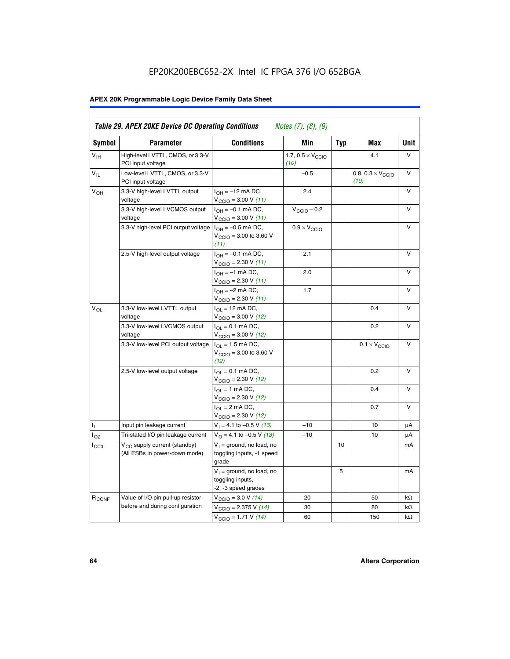# EP20K200EBC652-2X Intel IC FPGA 376 I/O 652BGA

# **APEX 20K Programmable Logic Device Family Data Sheet**

| <b>Symbol</b>              | <b>Parameter</b>                                                   | <b>Conditions</b>                                                                        | Min                                       | <b>Typ</b> | Max                                       | Unit      |
|----------------------------|--------------------------------------------------------------------|------------------------------------------------------------------------------------------|-------------------------------------------|------------|-------------------------------------------|-----------|
| $V_{\text{IH}}$            | High-level LVTTL, CMOS, or 3.3-V<br>PCI input voltage              |                                                                                          | 1.7, $0.5 \times V_{\text{CCIO}}$<br>(10) |            | 4.1                                       | V         |
| $\mathsf{V}_{\mathsf{IL}}$ | Low-level LVTTL, CMOS, or 3.3-V<br>PCI input voltage               |                                                                                          | $-0.5$                                    |            | 0.8, $0.3 \times V_{\text{CCIO}}$<br>(10) | $\vee$    |
| $V_{OH}$                   | 3.3-V high-level LVTTL output<br>voltage                           | $I_{OH} = -12$ mA DC,<br>$V_{\text{CCIO}} = 3.00 V (11)$                                 | 2.4                                       |            |                                           | v         |
|                            | 3.3-V high-level LVCMOS output<br>voltage                          | $I_{OH} = -0.1$ mA DC,<br>$V_{\text{CCIO}} = 3.00 V (11)$                                | $V_{\text{CGIO}} - 0.2$                   |            |                                           | v         |
|                            | 3.3-V high-level PCI output voltage $ I_{OH} = -0.5$ mA DC,        | $V_{\text{CGIO}} = 3.00$ to 3.60 V<br>(11)                                               | $0.9 \times V_{\text{CCIO}}$              |            |                                           | V         |
|                            | 2.5-V high-level output voltage                                    | $I_{OH} = -0.1$ mA DC,<br>$V_{\text{CCIO}} = 2.30 V (11)$                                | 2.1                                       |            |                                           | v         |
|                            |                                                                    | $I_{OH} = -1$ mA DC,<br>$V_{\text{CCIO}} = 2.30 V (11)$                                  | 2.0                                       |            |                                           | v         |
|                            |                                                                    | $I_{OH} = -2$ mA DC,<br>$V_{\text{CCIO}}$ = 2.30 V (11)                                  | 1.7                                       |            |                                           | V         |
| $V_{OL}$                   | 3.3-V low-level LVTTL output<br>voltage                            | $I_{\Omega}$ = 12 mA DC,<br>$V_{\text{CCIO}} = 3.00 V (12)$                              |                                           |            | 0.4                                       | v         |
|                            | 3.3-V low-level LVCMOS output<br>voltage                           | $I_{\Omega} = 0.1$ mA DC,<br>$V_{\text{CCIO}} = 3.00 V (12)$                             |                                           |            | 0.2                                       | $\vee$    |
|                            | 3.3-V low-level PCI output voltage                                 | $I_{\Omega}$ = 1.5 mA DC,<br>$V_{\text{CCIO}} = 3.00 \text{ to } 3.60 \text{ V}$<br>(12) |                                           |            | $0.1 \times V_{\text{CCIO}}$              | v         |
|                            | 2.5-V low-level output voltage                                     | $I_{\Omega} = 0.1$ mA DC,<br>$V_{\text{CCIO}}$ = 2.30 V (12)                             |                                           |            | 0.2                                       | V         |
|                            |                                                                    | $I_{\Omega} = 1$ mA DC,<br>$V_{\text{CCIO}}$ = 2.30 V (12)                               |                                           |            | 0.4                                       | v         |
|                            |                                                                    | $I_{OL}$ = 2 mA DC,<br>$V_{\text{CCIO}} = 2.30 V (12)$                                   |                                           |            | 0.7                                       | v         |
| ъ,                         | Input pin leakage current                                          | $V_1 = 4.1$ to -0.5 V (13)                                                               | $-10$                                     |            | 10                                        | μA        |
| $I_{OZ}$                   | Tri-stated I/O pin leakage current                                 | $V_O = 4.1$ to -0.5 V (13)                                                               | $-10$                                     |            | 10                                        | μA        |
| $I_{CC0}$                  | $V_{CC}$ supply current (standby)<br>(All ESBs in power-down mode) | $V_1$ = ground, no load, no<br>toggling inputs, -1 speed<br>grade                        |                                           | 10         |                                           | mA        |
|                            |                                                                    | $V_1$ = ground, no load, no<br>toggling inputs,<br>-2, -3 speed grades                   |                                           | 5          |                                           | mA        |
| R <sub>CONF</sub>          | Value of I/O pin pull-up resistor                                  | $V_{\text{CCIO}} = 3.0 V (14)$                                                           | 20                                        |            | 50                                        | $k\Omega$ |
|                            | before and during configuration                                    | $V_{\text{CGIO}} = 2.375 V (14)$                                                         | 30                                        |            | 80                                        | kΩ        |
|                            |                                                                    | $V_{\text{CCIO}} = 1.71 V (14)$                                                          | 60                                        |            | 150                                       | $k\Omega$ |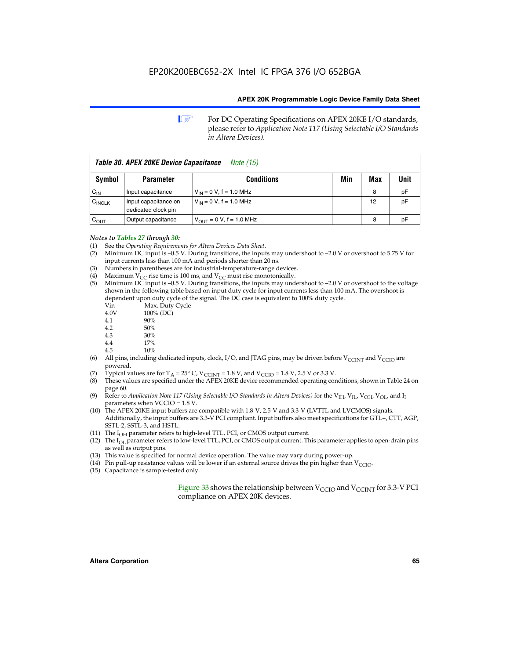**1 For DC Operating Specifications on APEX 20KE I/O standards,** please refer to *Application Note 117 (Using Selectable I/O Standards in Altera Devices).*

| Table 30. APEX 20KE Device Capacitance<br><i>Note</i> (15) |                                             |                                |     |     |      |
|------------------------------------------------------------|---------------------------------------------|--------------------------------|-----|-----|------|
| Symbol                                                     | <b>Parameter</b>                            | <b>Conditions</b>              | Min | Max | Unit |
| $C_{\text{IN}}$                                            | Input capacitance                           | $V_{IN} = 0 V$ , f = 1.0 MHz   |     | 8   | pF   |
| $C_{\text{INCLK}}$                                         | Input capacitance on<br>dedicated clock pin | $V_{IN} = 0 V$ , f = 1.0 MHz   |     | 12  | pF   |
| $C_{OUT}$                                                  | Output capacitance                          | $V_{OUIT} = 0 V$ , f = 1.0 MHz |     | 8   | рF   |

### *Notes to Tables 27 through 30:*

- (1) See the *Operating Requirements for Altera Devices Data Sheet*.
- (2) Minimum DC input is –0.5 V. During transitions, the inputs may undershoot to –2.0 V or overshoot to 5.75 V for input currents less than 100 mA and periods shorter than 20 ns.
- (3) Numbers in parentheses are for industrial-temperature-range devices.
- (4) Maximum  $V_{CC}$  rise time is 100 ms, and  $V_{CC}$  must rise monotonically.<br>(5) Minimum DC input is -0.5 V. During transitions, the inputs may und
- Minimum DC input is  $-0.5$  V. During transitions, the inputs may undershoot to  $-2.0$  V or overshoot to the voltage shown in the following table based on input duty cycle for input currents less than 100 mA. The overshoot is dependent upon duty cycle of the signal. The DC case is equivalent to 100% duty cycle.

| Vin  | Max. Duty Cycle |
|------|-----------------|
| 4.0V | 100% (DC)       |
| 4.1  | 90%             |
| 4.2  | 50%             |
| 4.3  | 30%             |
| .    |                 |

- 4.4  $17\%$ <br>4.5  $10\%$
- 10%
- (6) All pins, including dedicated inputs, clock, I/O, and JTAG pins, may be driven before  $V_{\text{CCINT}}$  and  $V_{\text{CCIO}}$  are powered.
- (7) Typical values are for  $T_A = 25^\circ$  C, V<sub>CCINT</sub> = 1.8 V, and V<sub>CCIO</sub> = 1.8 V, 2.5 V or 3.3 V.
- (8) These values are specified under the APEX 20KE device recommended operating conditions, shown in Table 24 on page 60.
- (9) Refer to *Application Note 117 (Using Selectable I/O Standards in Altera Devices)* for the V<sub>IH</sub>, V<sub>IL</sub>, V<sub>OH</sub>, V<sub>OL</sub>, and I<sub>I</sub> parameters when VCCIO = 1.8 V.
- (10) The APEX 20KE input buffers are compatible with 1.8-V, 2.5-V and 3.3-V (LVTTL and LVCMOS) signals. Additionally, the input buffers are 3.3-V PCI compliant. Input buffers also meet specifications for GTL+, CTT, AGP, SSTL-2, SSTL-3, and HSTL.
- (11) The  $I_{OH}$  parameter refers to high-level TTL, PCI, or CMOS output current.
- (12) The I<sub>OL</sub> parameter refers to low-level TTL, PCI, or CMOS output current. This parameter applies to open-drain pins as well as output pins.
- (13) This value is specified for normal device operation. The value may vary during power-up.
- (14) Pin pull-up resistance values will be lower if an external source drives the pin higher than  $V_{CCIO}$ .
- (15) Capacitance is sample-tested only.

Figure 33 shows the relationship between  $V_{\text{CCIO}}$  and  $V_{\text{CCINT}}$  for 3.3-V PCI compliance on APEX 20K devices.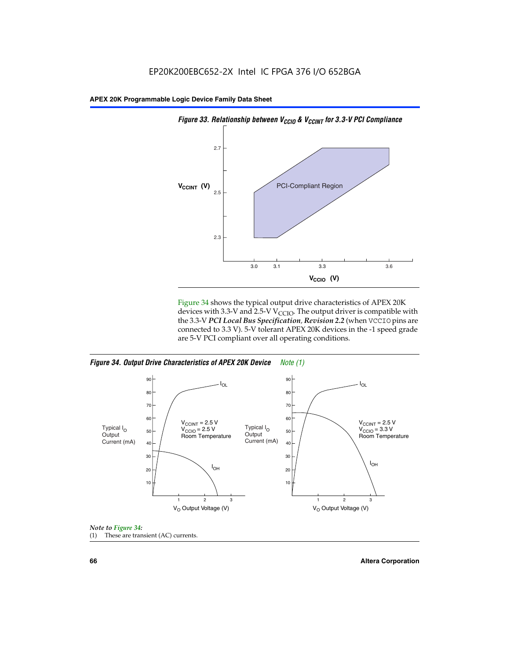

Figure 34 shows the typical output drive characteristics of APEX 20K devices with 3.3-V and 2.5-V V<sub>CCIO</sub>. The output driver is compatible with the 3.3-V *PCI Local Bus Specification, Revision 2.2* (when VCCIO pins are connected to 3.3 V). 5-V tolerant APEX 20K devices in the -1 speed grade are 5-V PCI compliant over all operating conditions.

*Figure 34. Output Drive Characteristics of APEX 20K Device Note (1)*





**66 Altera Corporation**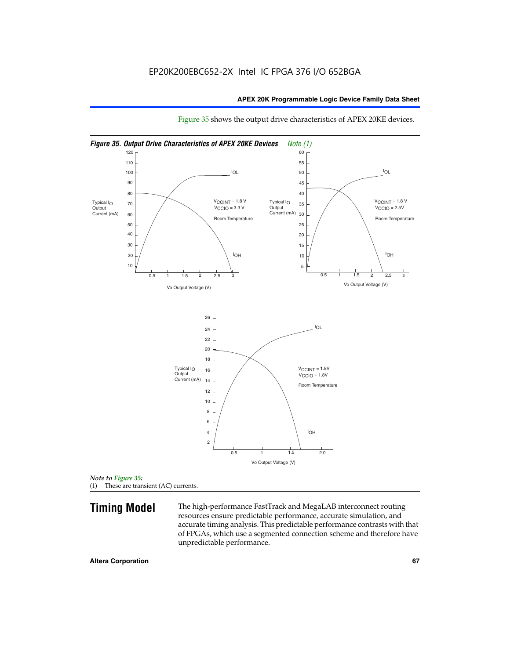

Figure 35 shows the output drive characteristics of APEX 20KE devices.

*Note to Figure 35:* (1) These are transient (AC) currents.

**Timing Model** The high-performance FastTrack and MegaLAB interconnect routing resources ensure predictable performance, accurate simulation, and accurate timing analysis. This predictable performance contrasts with that of FPGAs, which use a segmented connection scheme and therefore have unpredictable performance.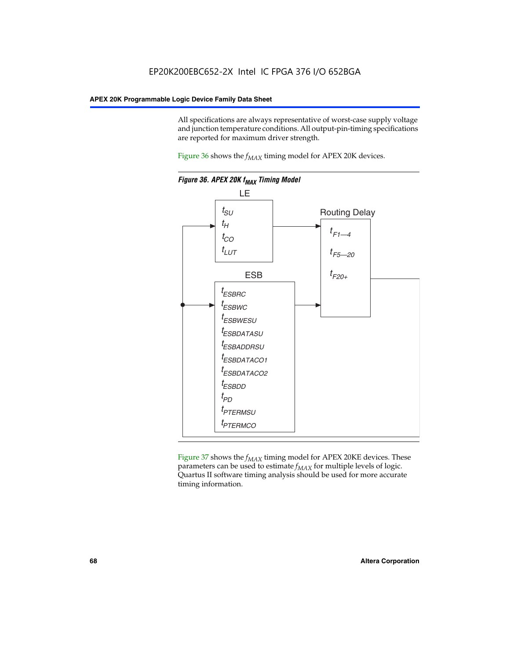All specifications are always representative of worst-case supply voltage and junction temperature conditions. All output-pin-timing specifications are reported for maximum driver strength.

Figure  $36$  shows the  $f_{MAX}$  timing model for APEX 20K devices.



Figure 37 shows the  $f_{MAX}$  timing model for APEX 20KE devices. These parameters can be used to estimate  $f_{MAX}$  for multiple levels of logic. Quartus II software timing analysis should be used for more accurate timing information.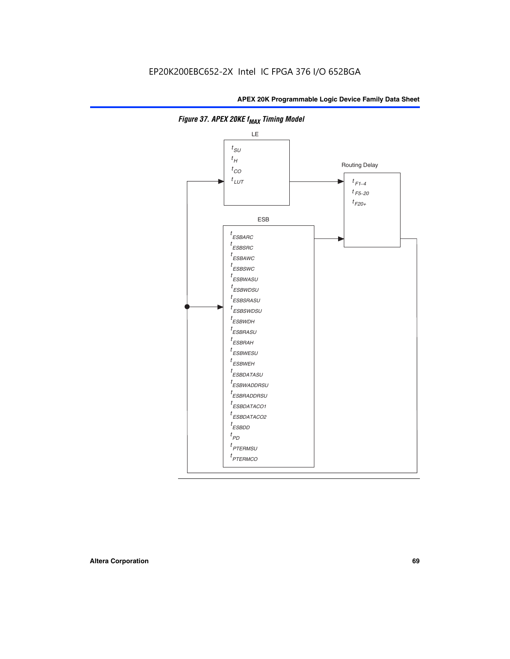

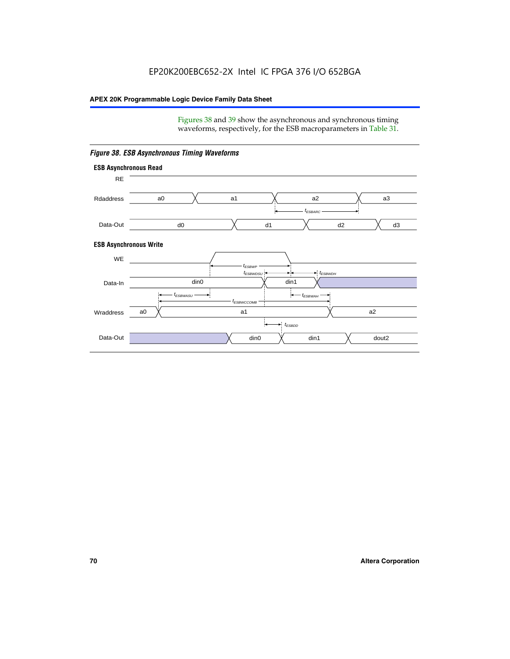Figures 38 and 39 show the asynchronous and synchronous timing waveforms, respectively, for the ESB macroparameters in Table 31.



*Figure 38. ESB Asynchronous Timing Waveforms*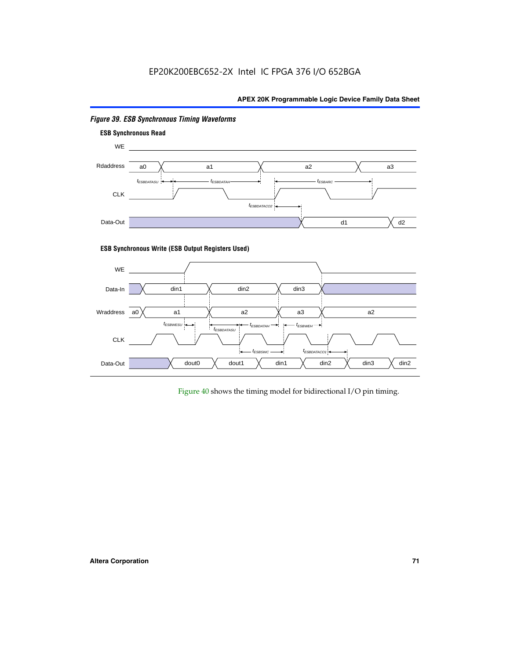# EP20K200EBC652-2X Intel IC FPGA 376 I/O 652BGA

# **APEX 20K Programmable Logic Device Family Data Sheet**



# *Figure 39. ESB Synchronous Timing Waveforms*

# **ESB Synchronous Write (ESB Output Registers Used)**



Figure 40 shows the timing model for bidirectional I/O pin timing.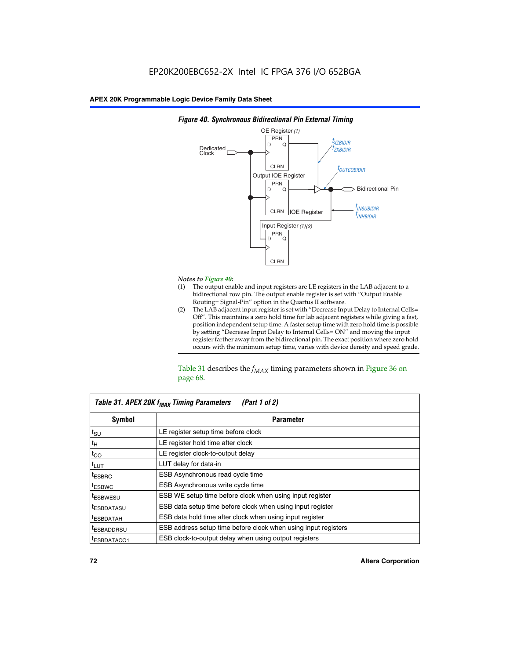

### *Figure 40. Synchronous Bidirectional Pin External Timing*

# *Notes to Figure 40:*

- The output enable and input registers are LE registers in the LAB adjacent to a bidirectional row pin. The output enable register is set with "Output Enable Routing= Signal-Pin" option in the Quartus II software.
- (2) The LAB adjacent input register is set with "Decrease Input Delay to Internal Cells= Off". This maintains a zero hold time for lab adjacent registers while giving a fast, position independent setup time. A faster setup time with zero hold time is possible by setting "Decrease Input Delay to Internal Cells= ON" and moving the input register farther away from the bidirectional pin. The exact position where zero hold occurs with the minimum setup time, varies with device density and speed grade.

Table 31 describes the  $f_{MAX}$  timing parameters shown in Figure 36 on page 68.

| Table 31. APEX 20K f <sub>MAX</sub> Timing Parameters<br>(Part 1 of 2) |                                                                |  |  |  |  |
|------------------------------------------------------------------------|----------------------------------------------------------------|--|--|--|--|
| Symbol                                                                 | <b>Parameter</b><br>LE register setup time before clock        |  |  |  |  |
| $t_{\text{SU}}$                                                        |                                                                |  |  |  |  |
| $t_H$                                                                  | LE register hold time after clock                              |  |  |  |  |
| $t_{CO}$                                                               | LE register clock-to-output delay                              |  |  |  |  |
| t <sub>LUT</sub>                                                       | LUT delay for data-in                                          |  |  |  |  |
| <sup>t</sup> ESBRC                                                     | ESB Asynchronous read cycle time                               |  |  |  |  |
| <sup>t</sup> ESBWC                                                     | ESB Asynchronous write cycle time                              |  |  |  |  |
| <sup>t</sup> ESBWESU                                                   | ESB WE setup time before clock when using input register       |  |  |  |  |
| <sup>t</sup> ESBDATASU                                                 | ESB data setup time before clock when using input register     |  |  |  |  |
| <sup>t</sup> ESBDATAH                                                  | ESB data hold time after clock when using input register       |  |  |  |  |
| <sup>t</sup> ESBADDRSU                                                 | ESB address setup time before clock when using input registers |  |  |  |  |
| ESBDATACO1                                                             | ESB clock-to-output delay when using output registers          |  |  |  |  |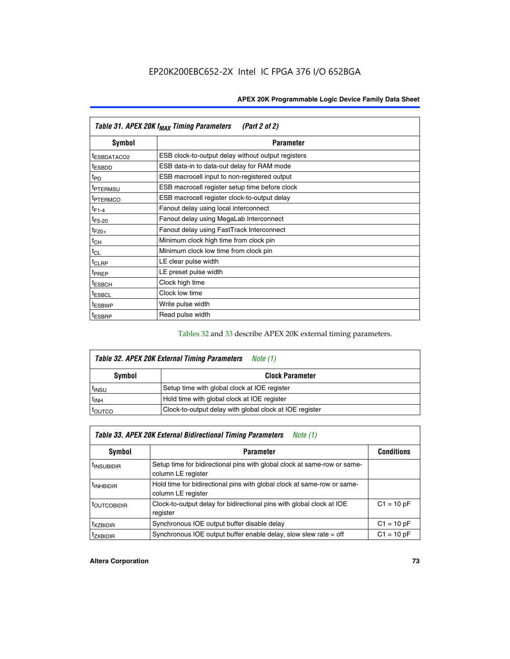| Table 31. APEX 20K f <sub>MAX</sub> Timing Parameters<br>(Part 2 of 2) |                                                    |  |  |  |  |
|------------------------------------------------------------------------|----------------------------------------------------|--|--|--|--|
| Symbol                                                                 | <b>Parameter</b>                                   |  |  |  |  |
| t <sub>ESBDATACO2</sub>                                                | ESB clock-to-output delay without output registers |  |  |  |  |
| <sup>t</sup> ESBDD                                                     | ESB data-in to data-out delay for RAM mode         |  |  |  |  |
| t <sub>PD</sub>                                                        | ESB macrocell input to non-registered output       |  |  |  |  |
| <sup>t</sup> PTERMSU                                                   | ESB macrocell register setup time before clock     |  |  |  |  |
| <sup>t</sup> PTERMCO                                                   | ESB macrocell register clock-to-output delay       |  |  |  |  |
| $t_{F1-4}$                                                             | Fanout delay using local interconnect              |  |  |  |  |
| $t_{F5-20}$                                                            | Fanout delay using MegaLab Interconnect            |  |  |  |  |
| $t_{F20+}$                                                             | Fanout delay using FastTrack Interconnect          |  |  |  |  |
| $t_{CH}$                                                               | Minimum clock high time from clock pin             |  |  |  |  |
| $t_{CL}$                                                               | Minimum clock low time from clock pin              |  |  |  |  |
| t <sub>CLRP</sub>                                                      | LE clear pulse width                               |  |  |  |  |
| t <sub>PREP</sub>                                                      | LE preset pulse width                              |  |  |  |  |
| <sup>t</sup> ESBCH                                                     | Clock high time                                    |  |  |  |  |
| <sup>t</sup> ESBCL                                                     | Clock low time                                     |  |  |  |  |
| <sup>t</sup> ESBWP                                                     | Write pulse width                                  |  |  |  |  |
| <sup>t</sup> ESBRP                                                     | Read pulse width                                   |  |  |  |  |

### Tables 32 and 33 describe APEX 20K external timing parameters.

| Table 32. APEX 20K External Timing Parameters<br>Note (1) |                                                         |  |  |  |  |
|-----------------------------------------------------------|---------------------------------------------------------|--|--|--|--|
| <b>Symbol</b>                                             | <b>Clock Parameter</b>                                  |  |  |  |  |
| <sup>t</sup> insu                                         | Setup time with global clock at IOE register            |  |  |  |  |
| $t_{INH}$                                                 | Hold time with global clock at IOE register             |  |  |  |  |
| <b>IOUTCO</b>                                             | Clock-to-output delay with global clock at IOE register |  |  |  |  |

| Table 33. APEX 20K External Bidirectional Timing Parameters<br>Note (1) |                                                                                                |              |  |  |  |
|-------------------------------------------------------------------------|------------------------------------------------------------------------------------------------|--------------|--|--|--|
| Symbol<br><b>Parameter</b>                                              |                                                                                                |              |  |  |  |
| <sup>I</sup> INSUBIDIR                                                  | Setup time for bidirectional pins with global clock at same-row or same-<br>column LE register |              |  |  |  |
| <sup>t</sup> INHBIDIR                                                   | Hold time for bidirectional pins with global clock at same-row or same-<br>column LE register  |              |  |  |  |
| <sup>t</sup> OUTCOBIDIR                                                 | Clock-to-output delay for bidirectional pins with global clock at IOE<br>register              | $C1 = 10 pF$ |  |  |  |
| <sup>T</sup> XZBIDIR                                                    | Synchronous IOE output buffer disable delay                                                    | $C1 = 10 pF$ |  |  |  |
| <sup>I</sup> ZXBIDIR                                                    | Synchronous IOE output buffer enable delay, slow slew rate $=$ off                             | $C1 = 10 pF$ |  |  |  |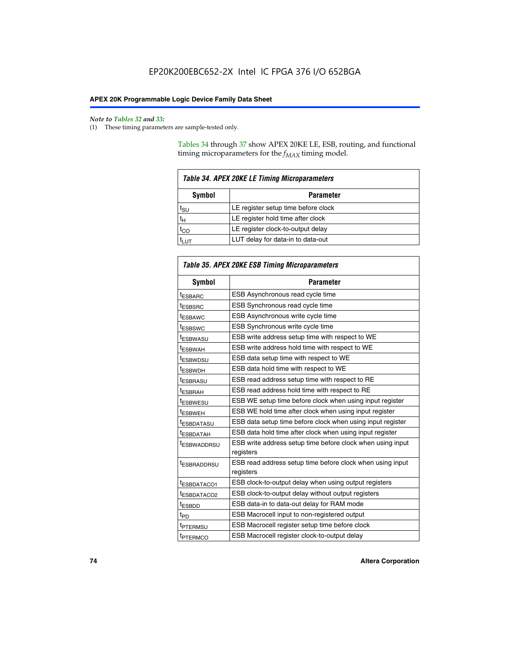#### *Note to Tables 32 and 33:*

(1) These timing parameters are sample-tested only.

Tables 34 through 37 show APEX 20KE LE, ESB, routing, and functional timing microparameters for the  $f_{MAX}$  timing model.

| <b>Table 34. APEX 20KE LE Timing Microparameters</b> |                                     |  |  |  |  |
|------------------------------------------------------|-------------------------------------|--|--|--|--|
| Symbol<br><b>Parameter</b>                           |                                     |  |  |  |  |
| t <sub>SU</sub>                                      | LE register setup time before clock |  |  |  |  |
| $t_H$                                                | LE register hold time after clock   |  |  |  |  |
| $t_{CO}$                                             | LE register clock-to-output delay   |  |  |  |  |
|                                                      | LUT delay for data-in to data-out   |  |  |  |  |

| Table 35. APEX 20KE ESB Timing Microparameters |                                                                        |  |  |  |
|------------------------------------------------|------------------------------------------------------------------------|--|--|--|
| Symbol                                         | <b>Parameter</b>                                                       |  |  |  |
| t <sub>ESBARC</sub>                            | ESB Asynchronous read cycle time                                       |  |  |  |
| <sup>t</sup> ESBSRC                            | <b>ESB Synchronous read cycle time</b>                                 |  |  |  |
| t <sub>ESBAWC</sub>                            | ESB Asynchronous write cycle time                                      |  |  |  |
| t <sub>ESBSWC</sub>                            | ESB Synchronous write cycle time                                       |  |  |  |
| tESBWASU                                       | ESB write address setup time with respect to WE                        |  |  |  |
| <sup>t</sup> ESBWAH                            | ESB write address hold time with respect to WE                         |  |  |  |
| t <sub>ESBWDSU</sub>                           | ESB data setup time with respect to WE                                 |  |  |  |
| <sup>t</sup> ESBWDH                            | ESB data hold time with respect to WE                                  |  |  |  |
| tESBRASU                                       | ESB read address setup time with respect to RE                         |  |  |  |
| t <sub>ESBRAH</sub>                            | ESB read address hold time with respect to RE                          |  |  |  |
| <sup>t</sup> ESBWESU                           | ESB WE setup time before clock when using input register               |  |  |  |
| <sup>t</sup> ESBWEH                            | ESB WE hold time after clock when using input register                 |  |  |  |
| <sup>t</sup> ESBDATASU                         | ESB data setup time before clock when using input register             |  |  |  |
| t <sub>ESBDATAH</sub>                          | ESB data hold time after clock when using input register               |  |  |  |
| <sup>t</sup> ESBWADDRSU                        | ESB write address setup time before clock when using input             |  |  |  |
|                                                | registers                                                              |  |  |  |
| tESBRADDRSU                                    | ESB read address setup time before clock when using input<br>registers |  |  |  |
| t <sub>ESBDATACO1</sub>                        | ESB clock-to-output delay when using output registers                  |  |  |  |
| t <sub>ESBDATACO2</sub>                        | ESB clock-to-output delay without output registers                     |  |  |  |
| $t_{ESBDD}$                                    | ESB data-in to data-out delay for RAM mode                             |  |  |  |
| $t_{PD}$                                       | ESB Macrocell input to non-registered output                           |  |  |  |
| t <sub>PTERMSU</sub>                           | ESB Macrocell register setup time before clock                         |  |  |  |
| t <sub>PTERMCO</sub>                           | ESB Macrocell register clock-to-output delay                           |  |  |  |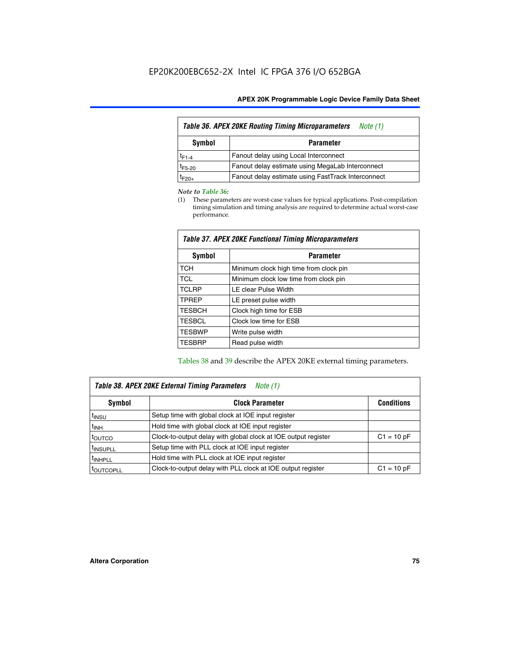| <b>Table 36. APEX 20KE Routing Timing Microparameters</b><br>Note (1) |                                                    |  |  |  |  |
|-----------------------------------------------------------------------|----------------------------------------------------|--|--|--|--|
| Symbol<br><b>Parameter</b>                                            |                                                    |  |  |  |  |
| $t_{F1-4}$                                                            | Fanout delay using Local Interconnect              |  |  |  |  |
| $t_{F5-20}$                                                           | Fanout delay estimate using MegaLab Interconnect   |  |  |  |  |
| $t_{F20+}$                                                            | Fanout delay estimate using FastTrack Interconnect |  |  |  |  |

#### *Note to Table 36:*

(1) These parameters are worst-case values for typical applications. Post-compilation timing simulation and timing analysis are required to determine actual worst-case performance.

| Symbol        | <b>Parameter</b>                       |
|---------------|----------------------------------------|
| <b>TCH</b>    | Minimum clock high time from clock pin |
| <b>TCL</b>    | Minimum clock low time from clock pin  |
| <b>TCLRP</b>  | LE clear Pulse Width                   |
| <b>TPREP</b>  | LE preset pulse width                  |
| <b>TESBCH</b> | Clock high time for ESB                |
| <b>TESBCL</b> | Clock low time for ESB                 |
| <b>TESBWP</b> | Write pulse width                      |
| <b>TESBRP</b> | Read pulse width                       |

### *Table 37. APEX 20KE Functional Timing Microparameters*

Tables 38 and 39 describe the APEX 20KE external timing parameters.

| Table 38. APEX 20KE External Timing Parameters<br>Note (1) |                                                                |              |  |  |  |
|------------------------------------------------------------|----------------------------------------------------------------|--------------|--|--|--|
| <b>Clock Parameter</b><br>Symbol<br><b>Conditions</b>      |                                                                |              |  |  |  |
| <sup>t</sup> insu                                          | Setup time with global clock at IOE input register             |              |  |  |  |
| $t_{\text{INH}}$                                           | Hold time with global clock at IOE input register              |              |  |  |  |
| toutco                                                     | Clock-to-output delay with global clock at IOE output register | $C1 = 10 pF$ |  |  |  |
| <sup>t</sup> INSUPLL                                       | Setup time with PLL clock at IOE input register                |              |  |  |  |
| <sup>t</sup> INHPLL                                        | Hold time with PLL clock at IOE input register                 |              |  |  |  |
| <sup>I</sup> OUTCOPLL                                      | Clock-to-output delay with PLL clock at IOE output register    | $C1 = 10 pF$ |  |  |  |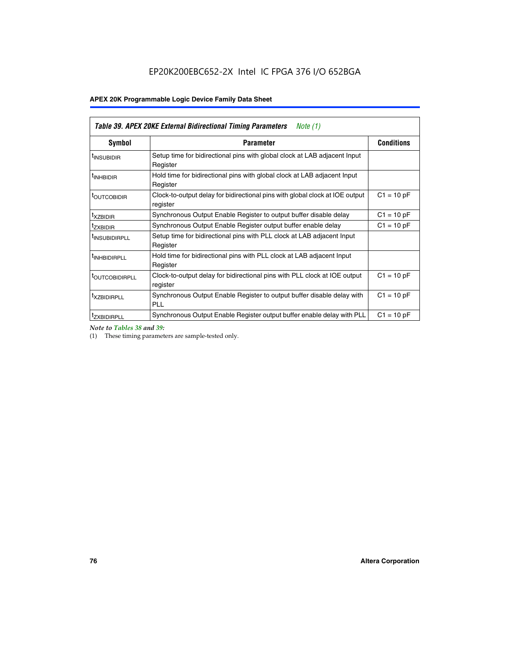| <b>Table 39. APEX 20KE External Bidirectional Timing Parameters</b><br>Note (1) |                                                                                                          |                   |  |  |  |  |
|---------------------------------------------------------------------------------|----------------------------------------------------------------------------------------------------------|-------------------|--|--|--|--|
| Symbol                                                                          | <b>Parameter</b>                                                                                         | <b>Conditions</b> |  |  |  |  |
| <sup>t</sup> INSUBIDIR                                                          | Setup time for bidirectional pins with global clock at LAB adjacent Input<br>Register                    |                   |  |  |  |  |
| <sup>t</sup> INHBIDIR                                                           | Hold time for bidirectional pins with global clock at LAB adjacent Input<br>Register                     |                   |  |  |  |  |
| <sup>t</sup> OUTCOBIDIR                                                         | $C1 = 10 pF$<br>Clock-to-output delay for bidirectional pins with global clock at IOE output<br>register |                   |  |  |  |  |
| <sup>t</sup> xzbidir                                                            | $C1 = 10 pF$<br>Synchronous Output Enable Register to output buffer disable delay                        |                   |  |  |  |  |
| <sup>t</sup> zxbidir                                                            | Synchronous Output Enable Register output buffer enable delay                                            | $C1 = 10 pF$      |  |  |  |  |
| <sup>I</sup> INSUBIDIRPLL                                                       | Setup time for bidirectional pins with PLL clock at LAB adjacent Input<br>Register                       |                   |  |  |  |  |
| <sup>t</sup> INHBIDIRPLL                                                        | Hold time for bidirectional pins with PLL clock at LAB adjacent Input<br>Register                        |                   |  |  |  |  |
| <sup>t</sup> OUTCOBIDIRPLL                                                      | Clock-to-output delay for bidirectional pins with PLL clock at IOE output<br>register                    | $C1 = 10 pF$      |  |  |  |  |
| <sup>t</sup> XZBIDIRPLL                                                         | Synchronous Output Enable Register to output buffer disable delay with<br><b>PLL</b>                     | $C1 = 10 pF$      |  |  |  |  |
| <sup>I</sup> ZXBIDIRPLL                                                         | Synchronous Output Enable Register output buffer enable delay with PLL                                   | $C1 = 10 pF$      |  |  |  |  |

*Note to Tables 38 and 39:*

(1) These timing parameters are sample-tested only.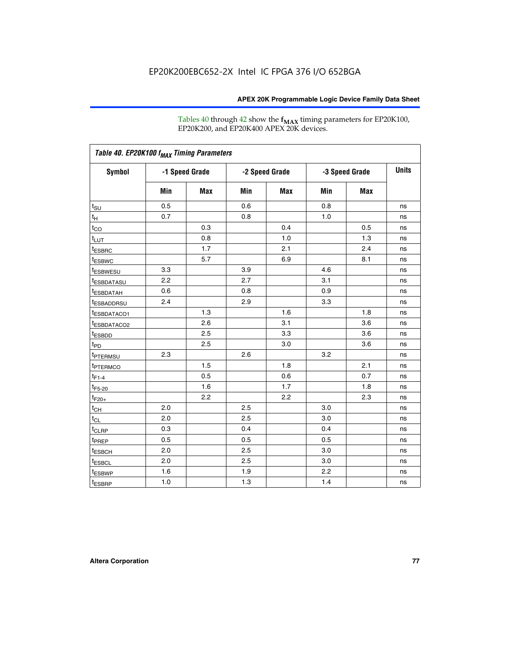Tables 40 through 42 show the **f<sub>MAX</sub>** timing parameters for EP20K100, EP20K200, and EP20K400 APEX 20K devices.

| Table 40. EP20K100 f <sub>MAX</sub> Timing Parameters |                |     |                |     |                |     |              |
|-------------------------------------------------------|----------------|-----|----------------|-----|----------------|-----|--------------|
| <b>Symbol</b>                                         | -1 Speed Grade |     | -2 Speed Grade |     | -3 Speed Grade |     | <b>Units</b> |
|                                                       | Min            | Max | Min            | Max | Min            | Max |              |
| $t_{\text{SU}}$                                       | 0.5            |     | 0.6            |     | 0.8            |     | ns           |
| $t_H$                                                 | 0.7            |     | 0.8            |     | 1.0            |     | ns           |
| $t_{CO}$                                              |                | 0.3 |                | 0.4 |                | 0.5 | ns           |
| $t_{LUT}$                                             |                | 0.8 |                | 1.0 |                | 1.3 | ns           |
| <sup>t</sup> ESBRC                                    |                | 1.7 |                | 2.1 |                | 2.4 | ns           |
| t <sub>ESBWC</sub>                                    |                | 5.7 |                | 6.9 |                | 8.1 | ns           |
| t <sub>ESBWESU</sub>                                  | 3.3            |     | 3.9            |     | 4.6            |     | ns           |
| <sup>t</sup> ESBDATASU                                | 2.2            |     | 2.7            |     | 3.1            |     | ns           |
| t <sub>ESBDATAH</sub>                                 | 0.6            |     | 0.8            |     | 0.9            |     | ns           |
| <sup>t</sup> ESBADDRSU                                | 2.4            |     | 2.9            |     | 3.3            |     | ns           |
| t <sub>ESBDATACO1</sub>                               |                | 1.3 |                | 1.6 |                | 1.8 | ns           |
| t <sub>ESBDATACO2</sub>                               |                | 2.6 |                | 3.1 |                | 3.6 | ns           |
| t <sub>ESBDD</sub>                                    |                | 2.5 |                | 3.3 |                | 3.6 | ns           |
| t <sub>PD</sub>                                       |                | 2.5 |                | 3.0 |                | 3.6 | ns           |
| <sup>t</sup> PTERMSU                                  | 2.3            |     | 2.6            |     | 3.2            |     | ns           |
| t <sub>PTERMCO</sub>                                  |                | 1.5 |                | 1.8 |                | 2.1 | ns           |
| $t_{F1-4}$                                            |                | 0.5 |                | 0.6 |                | 0.7 | ns           |
| $t_{F5-20}$                                           |                | 1.6 |                | 1.7 |                | 1.8 | ns           |
| $t_{F20+}$                                            |                | 2.2 |                | 2.2 |                | 2.3 | ns           |
| $t_{\mathsf{CH}}$                                     | 2.0            |     | 2.5            |     | 3.0            |     | ns           |
| $t_{CL}$                                              | 2.0            |     | 2.5            |     | 3.0            |     | ns           |
| t <sub>CLRP</sub>                                     | 0.3            |     | 0.4            |     | 0.4            |     | ns           |
| t <sub>PREP</sub>                                     | 0.5            |     | 0.5            |     | 0.5            |     | ns           |
| t <sub>ESBCH</sub>                                    | 2.0            |     | 2.5            |     | 3.0            |     | ns           |
| t <sub>ESBCL</sub>                                    | 2.0            |     | 2.5            |     | 3.0            |     | ns           |
| t <sub>ESBWP</sub>                                    | 1.6            |     | 1.9            |     | 2.2            |     | ns           |
| $t_{ESBRP}$                                           | 1.0            |     | 1.3            |     | 1.4            |     | ns           |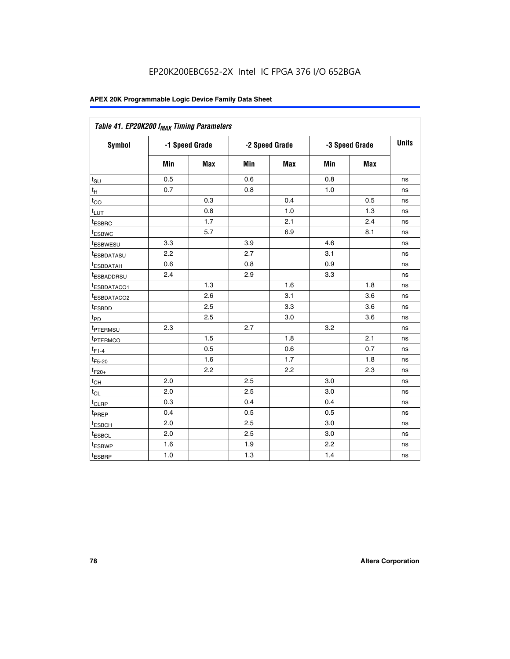| Table 41. EP20K200 f <sub>MAX</sub> Timing Parameters |                |     |     |                |     |                |    |
|-------------------------------------------------------|----------------|-----|-----|----------------|-----|----------------|----|
| <b>Symbol</b>                                         | -1 Speed Grade |     |     | -2 Speed Grade |     | -3 Speed Grade |    |
|                                                       | Min            | Max | Min | <b>Max</b>     | Min | Max            |    |
| $t_{\text{SU}}$                                       | 0.5            |     | 0.6 |                | 0.8 |                | ns |
| $t_H$                                                 | 0.7            |     | 0.8 |                | 1.0 |                | ns |
| $t_{CO}$                                              |                | 0.3 |     | 0.4            |     | 0.5            | ns |
| $t_{LUT}$                                             |                | 0.8 |     | 1.0            |     | 1.3            | ns |
| t <sub>ESBRC</sub>                                    |                | 1.7 |     | 2.1            |     | 2.4            | ns |
| t <sub>ESBWC</sub>                                    |                | 5.7 |     | 6.9            |     | 8.1            | ns |
| t <sub>ESBWESU</sub>                                  | 3.3            |     | 3.9 |                | 4.6 |                | ns |
| t <sub>esbdatasu</sub>                                | 2.2            |     | 2.7 |                | 3.1 |                | ns |
| t <sub>ESBDATAH</sub>                                 | 0.6            |     | 0.8 |                | 0.9 |                | ns |
| t <sub>ESBADDRSU</sub>                                | 2.4            |     | 2.9 |                | 3.3 |                | ns |
| <u>t<sub>ESBDATACO1</sub></u>                         |                | 1.3 |     | 1.6            |     | 1.8            | ns |
| <sup>t</sup> ESBDATACO2                               |                | 2.6 |     | 3.1            |     | 3.6            | ns |
| t <sub>ESBDD</sub>                                    |                | 2.5 |     | 3.3            |     | 3.6            | ns |
| t <sub>PD</sub>                                       |                | 2.5 |     | 3.0            |     | 3.6            | ns |
| t <sub>PTERMSU</sub>                                  | 2.3            |     | 2.7 |                | 3.2 |                | ns |
| t <sub>PTERMCO</sub>                                  |                | 1.5 |     | 1.8            |     | 2.1            | ns |
| $t_{F1-4}$                                            |                | 0.5 |     | 0.6            |     | 0.7            | ns |
| $t_{F5-20}$                                           |                | 1.6 |     | 1.7            |     | 1.8            | ns |
| $t_{F20+}$                                            |                | 2.2 |     | 2.2            |     | 2.3            | ns |
| $\textnormal{t}_{\textnormal{CH}}$                    | 2.0            |     | 2.5 |                | 3.0 |                | ns |
| $t_{CL}$                                              | 2.0            |     | 2.5 |                | 3.0 |                | ns |
| t <sub>CLRP</sub>                                     | 0.3            |     | 0.4 |                | 0.4 |                | ns |
| t <sub>PREP</sub>                                     | 0.4            |     | 0.5 |                | 0.5 |                | ns |
| t <sub>ESBCH</sub>                                    | 2.0            |     | 2.5 |                | 3.0 |                | ns |
| t <sub>ESBCL</sub>                                    | 2.0            |     | 2.5 |                | 3.0 |                | ns |
| t <sub>ESBWP</sub>                                    | 1.6            |     | 1.9 |                | 2.2 |                | ns |
| t <sub>ESBRP</sub>                                    | 1.0            |     | 1.3 |                | 1.4 |                | ns |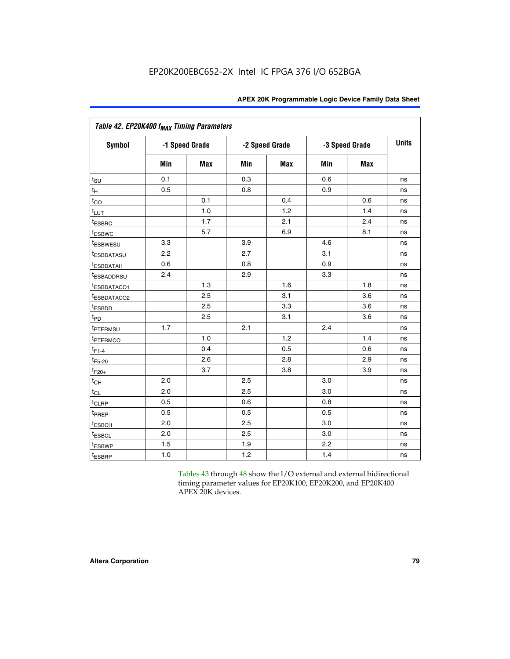| Table 42. EP20K400 f <sub>MAX</sub> Timing Parameters |     |                |     |                |     |                |              |  |  |  |  |
|-------------------------------------------------------|-----|----------------|-----|----------------|-----|----------------|--------------|--|--|--|--|
| <b>Symbol</b>                                         |     | -1 Speed Grade |     | -2 Speed Grade |     | -3 Speed Grade | <b>Units</b> |  |  |  |  |
|                                                       | Min | Max            | Min | Max            | Min | <b>Max</b>     |              |  |  |  |  |
| $t_{\text{SU}}$                                       | 0.1 |                | 0.3 |                | 0.6 |                | ns           |  |  |  |  |
| $t_H$                                                 | 0.5 |                | 0.8 |                | 0.9 |                | ns           |  |  |  |  |
| $t_{CO}$                                              |     | 0.1            |     | 0.4            |     | 0.6            | ns           |  |  |  |  |
| $t_{LUT}$                                             |     | 1.0            |     | 1.2            |     | 1.4            | ns           |  |  |  |  |
| t <sub>ESBRC</sub>                                    |     | 1.7            |     | 2.1            |     | 2.4            | ns           |  |  |  |  |
| <i>t</i> <sub>ESBWC</sub>                             |     | 5.7            |     | 6.9            |     | 8.1            | ns           |  |  |  |  |
| <i>t</i> ESBWESU                                      | 3.3 |                | 3.9 |                | 4.6 |                | ns           |  |  |  |  |
| <sup>t</sup> ESBDATASU                                | 2.2 |                | 2.7 |                | 3.1 |                | ns           |  |  |  |  |
| <b><i>ESBDATAH</i></b>                                | 0.6 |                | 0.8 |                | 0.9 |                | ns           |  |  |  |  |
| <sup>t</sup> ESBADDRSU                                | 2.4 |                | 2.9 |                | 3.3 |                | ns           |  |  |  |  |
| <sup>t</sup> ESBDATACO1                               |     | 1.3            |     | 1.6            |     | 1.8            | ns           |  |  |  |  |
| t <sub>ESBDATACO2</sub>                               |     | 2.5            |     | 3.1            |     | 3.6            | ns           |  |  |  |  |
| t <sub>ESBDD</sub>                                    |     | 2.5            |     | 3.3            |     | 3.6            | ns           |  |  |  |  |
| t <sub>PD</sub>                                       |     | 2.5            |     | 3.1            |     | 3.6            | ns           |  |  |  |  |
| t <sub>PTERMSU</sub>                                  | 1.7 |                | 2.1 |                | 2.4 |                | ns           |  |  |  |  |
| <sup>t</sup> PTERMCO                                  |     | 1.0            |     | 1.2            |     | 1.4            | ns           |  |  |  |  |
| $t_{F1-4}$                                            |     | 0.4            |     | 0.5            |     | 0.6            | ns           |  |  |  |  |
| $t_{F5-20}$                                           |     | 2.6            |     | 2.8            |     | 2.9            | ns           |  |  |  |  |
| $t_{F20+}$                                            |     | 3.7            |     | 3.8            |     | 3.9            | ns           |  |  |  |  |
| $t_{CH}$                                              | 2.0 |                | 2.5 |                | 3.0 |                | ns           |  |  |  |  |
| $t_{CL}$                                              | 2.0 |                | 2.5 |                | 3.0 |                | ns           |  |  |  |  |
| t <sub>CLRP</sub>                                     | 0.5 |                | 0.6 |                | 0.8 |                | ns           |  |  |  |  |
| t <sub>PREP</sub>                                     | 0.5 |                | 0.5 |                | 0.5 |                | ns           |  |  |  |  |
| t <sub>ESBCH</sub>                                    | 2.0 |                | 2.5 |                | 3.0 |                | ns           |  |  |  |  |
| t <sub>ESBCL</sub>                                    | 2.0 |                | 2.5 |                | 3.0 |                | ns           |  |  |  |  |
| t <sub>ESBWP</sub>                                    | 1.5 |                | 1.9 |                | 2.2 |                | ns           |  |  |  |  |
| t <sub>ESBRP</sub>                                    | 1.0 |                | 1.2 |                | 1.4 |                | ns           |  |  |  |  |

Tables 43 through 48 show the I/O external and external bidirectional timing parameter values for EP20K100, EP20K200, and EP20K400 APEX 20K devices.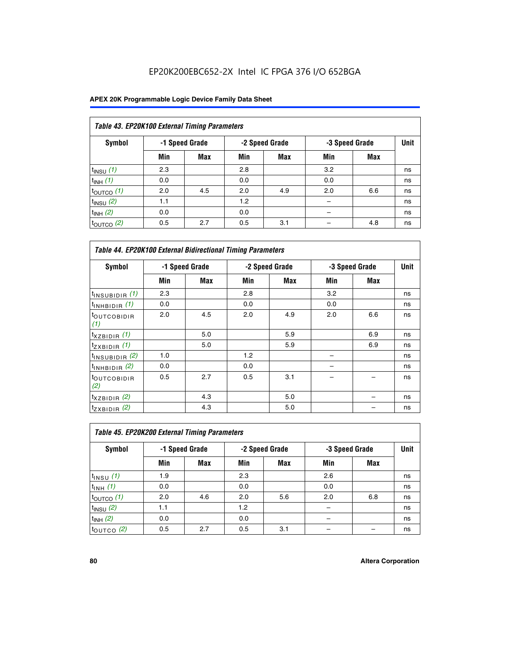| Table 43. EP20K100 External Timing Parameters |     |                |     |                |     |                |    |  |  |  |
|-----------------------------------------------|-----|----------------|-----|----------------|-----|----------------|----|--|--|--|
| Symbol                                        |     | -1 Speed Grade |     | -2 Speed Grade |     | -3 Speed Grade |    |  |  |  |
|                                               | Min | Max            | Min | <b>Max</b>     | Min | <b>Max</b>     |    |  |  |  |
| $t_{INSU}$ (1)                                | 2.3 |                | 2.8 |                | 3.2 |                | ns |  |  |  |
| $t_{INH}$ (1)                                 | 0.0 |                | 0.0 |                | 0.0 |                | ns |  |  |  |
| $t_{\text{OUTCO}}(1)$                         | 2.0 | 4.5            | 2.0 | 4.9            | 2.0 | 6.6            | ns |  |  |  |
| $t_{IN}$ su $(2)$                             | 1.1 |                | 1.2 |                |     |                | ns |  |  |  |
| $t_{INH}$ (2)                                 | 0.0 |                | 0.0 |                |     |                | ns |  |  |  |
| $t_{\text{OUTCO}}(2)$                         | 0.5 | 2.7            | 0.5 | 3.1            |     | 4.8            | ns |  |  |  |

|                                | <b>Table 44. EP20K100 External Bidirectional Timing Parameters</b> |                |     |                |     |                |    |  |  |  |  |  |
|--------------------------------|--------------------------------------------------------------------|----------------|-----|----------------|-----|----------------|----|--|--|--|--|--|
| Symbol                         |                                                                    | -1 Speed Grade |     | -2 Speed Grade |     | -3 Speed Grade |    |  |  |  |  |  |
|                                | Min                                                                | Max            | Min | Max            | Min | <b>Max</b>     |    |  |  |  |  |  |
| $t_{\text{INSUBIDIR}}(1)$      | 2.3                                                                |                | 2.8 |                | 3.2 |                | ns |  |  |  |  |  |
| $t_{INHBIDIR}$ (1)             | 0.0                                                                |                | 0.0 |                | 0.0 |                | ns |  |  |  |  |  |
| <sup>t</sup> OUTCOBIDIR<br>(1) | 2.0                                                                | 4.5            | 2.0 | 4.9            | 2.0 | 6.6            | ns |  |  |  |  |  |
| $t_{XZBIDIR}$ (1)              |                                                                    | 5.0            |     | 5.9            |     | 6.9            | ns |  |  |  |  |  |
| $t_{ZXBIDIR}$ (1)              |                                                                    | 5.0            |     | 5.9            |     | 6.9            | ns |  |  |  |  |  |
| $t_{INSUBIDIR}$ (2)            | 1.0                                                                |                | 1.2 |                |     |                | ns |  |  |  |  |  |
| $t_{INHBIDIR}$ (2)             | 0.0                                                                |                | 0.0 |                |     |                | ns |  |  |  |  |  |
| <sup>t</sup> OUTCOBIDIR<br>(2) | 0.5                                                                | 2.7            | 0.5 | 3.1            |     |                | ns |  |  |  |  |  |
| $t_{XZBIDIR}$ (2)              |                                                                    | 4.3            |     | 5.0            |     |                | ns |  |  |  |  |  |
| $t_{ZXBIDIR}$ (2)              |                                                                    | 4.3            |     | 5.0            |     |                | ns |  |  |  |  |  |

|                           | Table 45. EP20K200 External Timing Parameters |                |     |                |     |                |    |  |  |  |  |  |
|---------------------------|-----------------------------------------------|----------------|-----|----------------|-----|----------------|----|--|--|--|--|--|
| Symbol                    |                                               | -1 Speed Grade |     | -2 Speed Grade |     | -3 Speed Grade |    |  |  |  |  |  |
|                           | Min                                           | Max            | Min | Max            | Min | Max            |    |  |  |  |  |  |
| $t$ <sub>INSU</sub> $(1)$ | 1.9                                           |                | 2.3 |                | 2.6 |                | ns |  |  |  |  |  |
| $t_{INH}$ (1)             | 0.0                                           |                | 0.0 |                | 0.0 |                | ns |  |  |  |  |  |
| $t_{\text{OUTCO}}(1)$     | 2.0                                           | 4.6            | 2.0 | 5.6            | 2.0 | 6.8            | ns |  |  |  |  |  |
| $t_{\text{INSU}}(2)$      | 1.1                                           |                | 1.2 |                |     |                | ns |  |  |  |  |  |
| $t_{INH}$ (2)             | 0.0                                           |                | 0.0 |                |     |                | ns |  |  |  |  |  |
| $t_{\text{OUTCO}}$ (2)    | 0.5                                           | 2.7            | 0.5 | 3.1            |     |                | ns |  |  |  |  |  |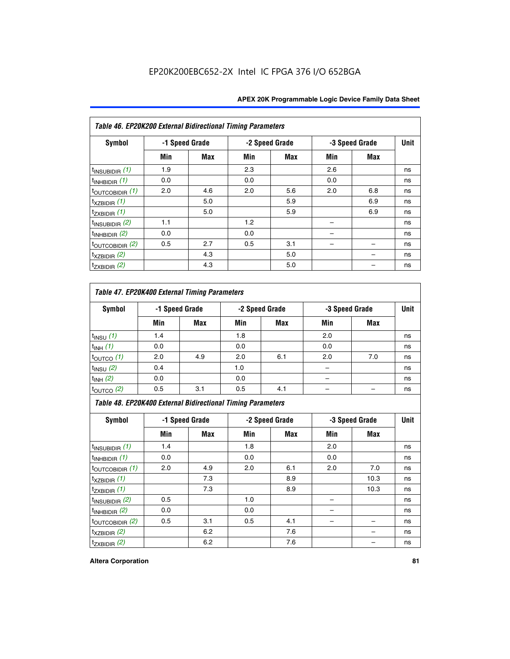|  | <b>APEX 20K Programmable Logic Device Family Data Sheet</b> |  |  |  |
|--|-------------------------------------------------------------|--|--|--|
|--|-------------------------------------------------------------|--|--|--|

| Table 46. EP20K200 External Bidirectional Timing Parameters |     |                |     |                |     |                |    |  |  |  |
|-------------------------------------------------------------|-----|----------------|-----|----------------|-----|----------------|----|--|--|--|
| Symbol                                                      |     | -1 Speed Grade |     | -2 Speed Grade |     | -3 Speed Grade |    |  |  |  |
|                                                             | Min | Max            | Min | <b>Max</b>     | Min | <b>Max</b>     |    |  |  |  |
| $t_{\text{INSUBIDIR}}(1)$                                   | 1.9 |                | 2.3 |                | 2.6 |                | ns |  |  |  |
| $t_{\text{INHBIDIR}}(1)$                                    | 0.0 |                | 0.0 |                | 0.0 |                | ns |  |  |  |
| $t_{\text{OUTCOBIDIR}}(1)$                                  | 2.0 | 4.6            | 2.0 | 5.6            | 2.0 | 6.8            | ns |  |  |  |
| $t_{XZBIDIR}$ (1)                                           |     | 5.0            |     | 5.9            |     | 6.9            | ns |  |  |  |
| $t_{ZXBIDIR}$ (1)                                           |     | 5.0            |     | 5.9            |     | 6.9            | ns |  |  |  |
| $t_{INSUBIDIR}$ (2)                                         | 1.1 |                | 1.2 |                |     |                | ns |  |  |  |
| $t_{INHBIDIR}$ (2)                                          | 0.0 |                | 0.0 |                |     |                | ns |  |  |  |
| $t_{\text{OUTCOBIDIR}}$ (2)                                 | 0.5 | 2.7            | 0.5 | 3.1            |     |                | ns |  |  |  |
| $t_{XZBIDIR}$ $(2)$                                         |     | 4.3            |     | 5.0            |     |                | ns |  |  |  |
| $t_{ZXBIDIR}$ (2)                                           |     | 4.3            |     | 5.0            |     |                | ns |  |  |  |

### *Table 47. EP20K400 External Timing Parameters*

| Symbol                |     | -1 Speed Grade |     | -2 Speed Grade |     | -3 Speed Grade |    |
|-----------------------|-----|----------------|-----|----------------|-----|----------------|----|
|                       | Min | <b>Max</b>     | Min | <b>Max</b>     | Min | <b>Max</b>     |    |
| $t_{INSU}$ (1)        | 1.4 |                | 1.8 |                | 2.0 |                | ns |
| $t_{INH}$ (1)         | 0.0 |                | 0.0 |                | 0.0 |                | ns |
| $t_{\text{OUTCO}}(1)$ | 2.0 | 4.9            | 2.0 | 6.1            | 2.0 | 7.0            | ns |
| $t_{INSU}$ (2)        | 0.4 |                | 1.0 |                |     |                | ns |
| $t_{INH}$ (2)         | 0.0 |                | 0.0 |                |     |                | ns |
| $t_{\text{OUTCO}}(2)$ | 0.5 | 3.1            | 0.5 | 4.1            |     |                | ns |

*Table 48. EP20K400 External Bidirectional Timing Parameters*

| Symbol                      | -1 Speed Grade |     | -2 Speed Grade |     |     | -3 Speed Grade | <b>Unit</b> |
|-----------------------------|----------------|-----|----------------|-----|-----|----------------|-------------|
|                             | Min            | Max | Min            | Max | Min | Max            |             |
| $t_{\text{INSUBIDIR}}(1)$   | 1.4            |     | 1.8            |     | 2.0 |                | ns          |
| $t_{INHBIDIR}$ (1)          | 0.0            |     | 0.0            |     | 0.0 |                | ns          |
| $t_{\text{OUTCOBIDIR}}(1)$  | 2.0            | 4.9 | 2.0            | 6.1 | 2.0 | 7.0            | ns          |
| $t_{XZBIDIR}$ (1)           |                | 7.3 |                | 8.9 |     | 10.3           | ns          |
| $t_{ZXBIDIR}$ (1)           |                | 7.3 |                | 8.9 |     | 10.3           | ns          |
| $t_{\text{INSUBIDIR}}(2)$   | 0.5            |     | 1.0            |     |     |                | ns          |
| $t_{INHBIDIR}$ (2)          | 0.0            |     | 0.0            |     |     |                | ns          |
| $t_{\text{OUTCOBIDIR}}$ (2) | 0.5            | 3.1 | 0.5            | 4.1 |     |                | ns          |
| $t_{XZBIDIR}$ (2)           |                | 6.2 |                | 7.6 |     |                | ns          |
| $t_{ZXBIDIR}$ (2)           |                | 6.2 |                | 7.6 |     |                | ns          |

#### **Altera Corporation 81**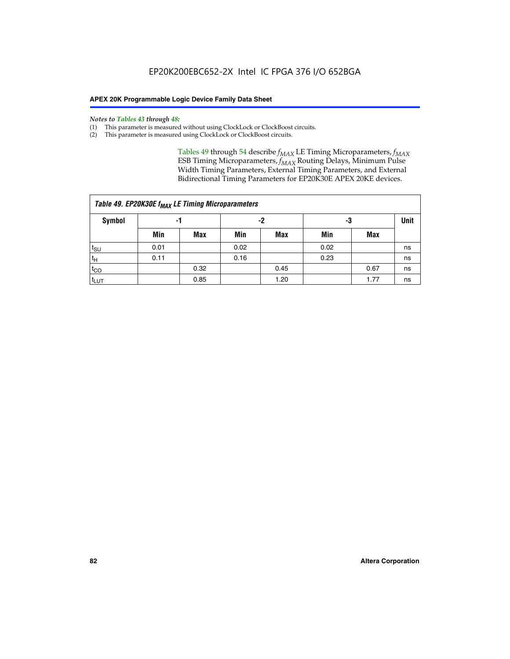#### *Notes to Tables 43 through 48:*

- (1) This parameter is measured without using ClockLock or ClockBoost circuits.
- (2) This parameter is measured using ClockLock or ClockBoost circuits.

Tables 49 through 54 describe  $f_{MAX}$  LE Timing Microparameters,  $f_{MAX}$ ESB Timing Microparameters, *f<sub>MAX</sub>* Routing Delays, Minimum Pulse Width Timing Parameters, External Timing Parameters, and External Bidirectional Timing Parameters for EP20K30E APEX 20KE devices.

| Table 49. EP20K30E f <sub>MAX</sub> LE Timing Microparameters |      |      |      |            |      |      |             |  |  |  |  |
|---------------------------------------------------------------|------|------|------|------------|------|------|-------------|--|--|--|--|
| <b>Symbol</b>                                                 | -1   |      | -2   |            | -3   |      | <b>Unit</b> |  |  |  |  |
|                                                               | Min  | Max  | Min  | <b>Max</b> | Min  | Max  |             |  |  |  |  |
| $t_{\text{SU}}$                                               | 0.01 |      | 0.02 |            | 0.02 |      | ns          |  |  |  |  |
| $t_H$                                                         | 0.11 |      | 0.16 |            | 0.23 |      | ns          |  |  |  |  |
| $t_{CO}$                                                      |      | 0.32 |      | 0.45       |      | 0.67 | ns          |  |  |  |  |
| $t_{LUT}$                                                     |      | 0.85 |      | 1.20       |      | 1.77 | ns          |  |  |  |  |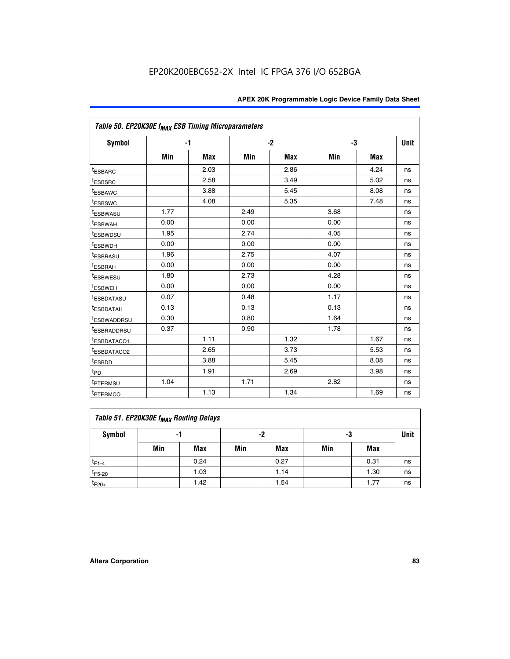| Table 50. EP20K30E f <sub>MAX</sub> ESB Timing Microparameters |      |            |      |            |      |            |             |
|----------------------------------------------------------------|------|------------|------|------------|------|------------|-------------|
| Symbol                                                         |      | $-1$       |      | $-2$       |      | -3         | <b>Unit</b> |
|                                                                | Min  | <b>Max</b> | Min  | <b>Max</b> | Min  | <b>Max</b> |             |
| <sup>t</sup> ESBARC                                            |      | 2.03       |      | 2.86       |      | 4.24       | ns          |
| <sup>t</sup> ESBSRC                                            |      | 2.58       |      | 3.49       |      | 5.02       | ns          |
| <sup>t</sup> ESBAWC                                            |      | 3.88       |      | 5.45       |      | 8.08       | ns          |
| t <sub>ESBSWC</sub>                                            |      | 4.08       |      | 5.35       |      | 7.48       | ns          |
| <sup>t</sup> ESBWASU                                           | 1.77 |            | 2.49 |            | 3.68 |            | ns          |
| <sup>t</sup> ESBWAH                                            | 0.00 |            | 0.00 |            | 0.00 |            | ns          |
| <sup>t</sup> ESBWDSU                                           | 1.95 |            | 2.74 |            | 4.05 |            | ns          |
| <sup>t</sup> ESBWDH                                            | 0.00 |            | 0.00 |            | 0.00 |            | ns          |
| <sup>t</sup> ESBRASU                                           | 1.96 |            | 2.75 |            | 4.07 |            | ns          |
| <sup>t</sup> ESBRAH                                            | 0.00 |            | 0.00 |            | 0.00 |            | ns          |
| <i>t</i> <sub>ESBWESU</sub>                                    | 1.80 |            | 2.73 |            | 4.28 |            | ns          |
| <sup>I</sup> ESBWEH                                            | 0.00 |            | 0.00 |            | 0.00 |            | ns          |
| t <sub>ESBDATASU</sub>                                         | 0.07 |            | 0.48 |            | 1.17 |            | ns          |
| <sup>t</sup> ESBDATAH                                          | 0.13 |            | 0.13 |            | 0.13 |            | ns          |
| <sup>t</sup> ESBWADDRSU                                        | 0.30 |            | 0.80 |            | 1.64 |            | ns          |
| <sup>I</sup> ESBRADDRSU                                        | 0.37 |            | 0.90 |            | 1.78 |            | ns          |
| ESBDATACO1                                                     |      | 1.11       |      | 1.32       |      | 1.67       | ns          |
| <sup>t</sup> ESBDATACO2                                        |      | 2.65       |      | 3.73       |      | 5.53       | ns          |
| <sup>t</sup> ESBDD                                             |      | 3.88       |      | 5.45       |      | 8.08       | ns          |
| t <sub>PD</sub>                                                |      | 1.91       |      | 2.69       |      | 3.98       | ns          |
| <sup>t</sup> PTERMSU                                           | 1.04 |            | 1.71 |            | 2.82 |            | ns          |
| t <sub>PTERMCO</sub>                                           |      | 1.13       |      | 1.34       |      | 1.69       | ns          |

### **Table 51. EP20K30E f<sub>MAX</sub> Routing Delays**

| Symbol      | - 1 |            | -2  |            | -3  |      | Unit |
|-------------|-----|------------|-----|------------|-----|------|------|
|             | Min | <b>Max</b> | Min | <b>Max</b> | Min | Max  |      |
| $t_{F1-4}$  |     | 0.24       |     | 0.27       |     | 0.31 | ns   |
| $t_{F5-20}$ |     | 1.03       |     | 1.14       |     | 1.30 | ns   |
| $t_{F20+}$  |     | 1.42       |     | 1.54       |     | 1.77 | ns   |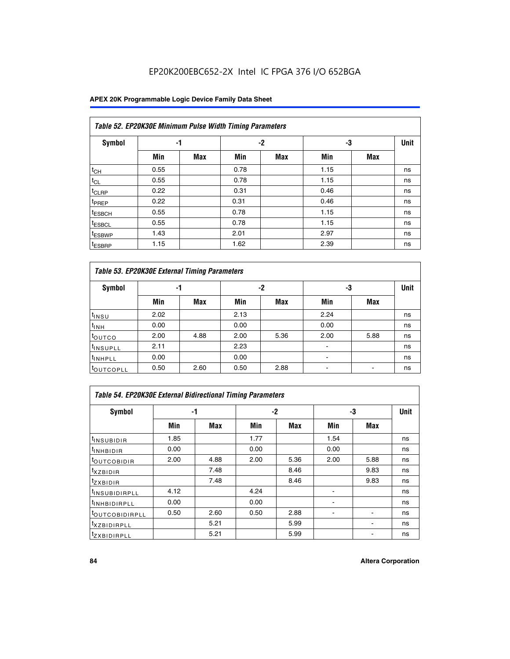### **APEX 20K Programmable Logic Device Family Data Sheet**

| Table 52. EP20K30E Minimum Pulse Width Timing Parameters |      |            |      |            |      |            |    |  |  |  |  |
|----------------------------------------------------------|------|------------|------|------------|------|------------|----|--|--|--|--|
| <b>Symbol</b>                                            | -1   |            |      | $-2$       | -3   |            |    |  |  |  |  |
|                                                          | Min  | <b>Max</b> | Min  | <b>Max</b> | Min  | <b>Max</b> |    |  |  |  |  |
| $t_{CH}$                                                 | 0.55 |            | 0.78 |            | 1.15 |            | ns |  |  |  |  |
| $t_{CL}$                                                 | 0.55 |            | 0.78 |            | 1.15 |            | ns |  |  |  |  |
| t <sub>CLRP</sub>                                        | 0.22 |            | 0.31 |            | 0.46 |            | ns |  |  |  |  |
| t <sub>PREP</sub>                                        | 0.22 |            | 0.31 |            | 0.46 |            | ns |  |  |  |  |
| <sup>t</sup> ESBCH                                       | 0.55 |            | 0.78 |            | 1.15 |            | ns |  |  |  |  |
| <sup>t</sup> ESBCL                                       | 0.55 |            | 0.78 |            | 1.15 |            | ns |  |  |  |  |
| <sup>t</sup> ESBWP                                       | 1.43 |            | 2.01 |            | 2.97 |            | ns |  |  |  |  |
| <sup>t</sup> ESBRP                                       | 1.15 |            | 1.62 |            | 2.39 |            | ns |  |  |  |  |

|                      | Table 53. EP20K30E External Timing Parameters |            |      |            |                |            |             |  |  |  |  |  |  |
|----------------------|-----------------------------------------------|------------|------|------------|----------------|------------|-------------|--|--|--|--|--|--|
| <b>Symbol</b>        | -1                                            |            |      | -2         |                | -3         | <b>Unit</b> |  |  |  |  |  |  |
|                      | Min                                           | <b>Max</b> | Min  | <b>Max</b> | Min            | <b>Max</b> |             |  |  |  |  |  |  |
| $t_{INSU}$           | 2.02                                          |            | 2.13 |            | 2.24           |            | ns          |  |  |  |  |  |  |
| $t_{\rm INH}$        | 0.00                                          |            | 0.00 |            | 0.00           |            | ns          |  |  |  |  |  |  |
| <b>t</b> outco       | 2.00                                          | 4.88       | 2.00 | 5.36       | 2.00           | 5.88       | ns          |  |  |  |  |  |  |
| <sup>t</sup> INSUPLL | 2.11                                          |            | 2.23 |            |                |            | ns          |  |  |  |  |  |  |
| <sup>t</sup> INHPLL  | 0.00                                          |            | 0.00 |            | $\blacksquare$ |            | ns          |  |  |  |  |  |  |
| <b>LOUTCOPLL</b>     | 0.50                                          | 2.60       | 0.50 | 2.88       | -              |            | ns          |  |  |  |  |  |  |

| Table 54. EP20K30E External Bidirectional Timing Parameters |      |      |      |      |                          |             |    |  |  |  |  |
|-------------------------------------------------------------|------|------|------|------|--------------------------|-------------|----|--|--|--|--|
| Symbol                                                      | -1   |      |      | $-2$ | -3                       | <b>Unit</b> |    |  |  |  |  |
|                                                             | Min  | Max  | Min  | Max  | Min                      | Max         |    |  |  |  |  |
| <sup>t</sup> INSUBIDIR                                      | 1.85 |      | 1.77 |      | 1.54                     |             | ns |  |  |  |  |
| <b>INHBIDIR</b>                                             | 0.00 |      | 0.00 |      | 0.00                     |             | ns |  |  |  |  |
| <b>LOUTCOBIDIR</b>                                          | 2.00 | 4.88 | 2.00 | 5.36 | 2.00                     | 5.88        | ns |  |  |  |  |
| <sup>T</sup> XZBIDIR                                        |      | 7.48 |      | 8.46 |                          | 9.83        | ns |  |  |  |  |
| <sup>t</sup> zxbidir                                        |      | 7.48 |      | 8.46 |                          | 9.83        | ns |  |  |  |  |
| <sup>I</sup> INSUBIDIRPLL                                   | 4.12 |      | 4.24 |      | $\overline{\phantom{0}}$ |             | ns |  |  |  |  |
| <b>INHBIDIRPLL</b>                                          | 0.00 |      | 0.00 |      |                          |             | ns |  |  |  |  |
| <b><i>COUTCOBIDIRPLL</i></b>                                | 0.50 | 2.60 | 0.50 | 2.88 |                          |             | ns |  |  |  |  |
| <sup>I</sup> XZBIDIRPLL                                     |      | 5.21 |      | 5.99 |                          |             | ns |  |  |  |  |
| <sup>I</sup> ZXBIDIRPLL                                     |      | 5.21 |      | 5.99 |                          |             | ns |  |  |  |  |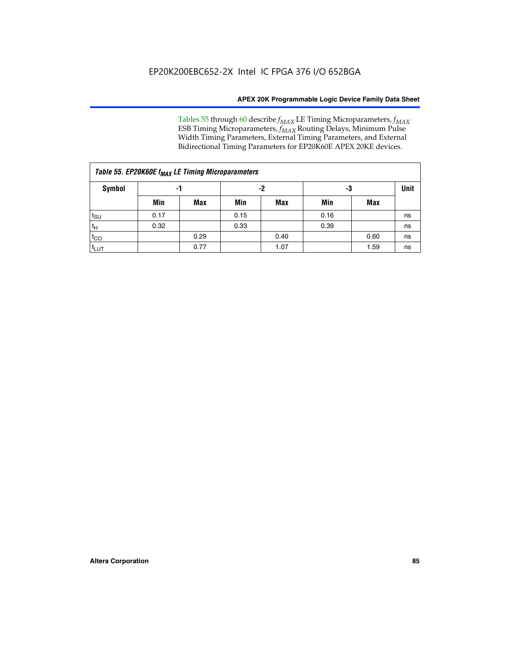Tables 55 through 60 describe *f<sub>MAX</sub>* LE Timing Microparameters, *f<sub>MAX</sub>* ESB Timing Microparameters, *f<sub>MAX</sub>* Routing Delays, Minimum Pulse Width Timing Parameters, External Timing Parameters, and External Bidirectional Timing Parameters for EP20K60E APEX 20KE devices.

| Table 55. EP20K60E f <sub>MAX</sub> LE Timing Microparameters |      |      |      |      |      |      |             |  |  |  |
|---------------------------------------------------------------|------|------|------|------|------|------|-------------|--|--|--|
| <b>Symbol</b>                                                 |      | -1   | -2   |      | -3   |      | <b>Unit</b> |  |  |  |
|                                                               | Min  | Max  | Min  | Max  | Min  | Max  |             |  |  |  |
| $t_{\text{SU}}$                                               | 0.17 |      | 0.15 |      | 0.16 |      | ns          |  |  |  |
| $t_H$                                                         | 0.32 |      | 0.33 |      | 0.39 |      | ns          |  |  |  |
| $t_{CO}$                                                      |      | 0.29 |      | 0.40 |      | 0.60 | ns          |  |  |  |
| t <sub>lut</sub>                                              |      | 0.77 |      | 1.07 |      | 1.59 | ns          |  |  |  |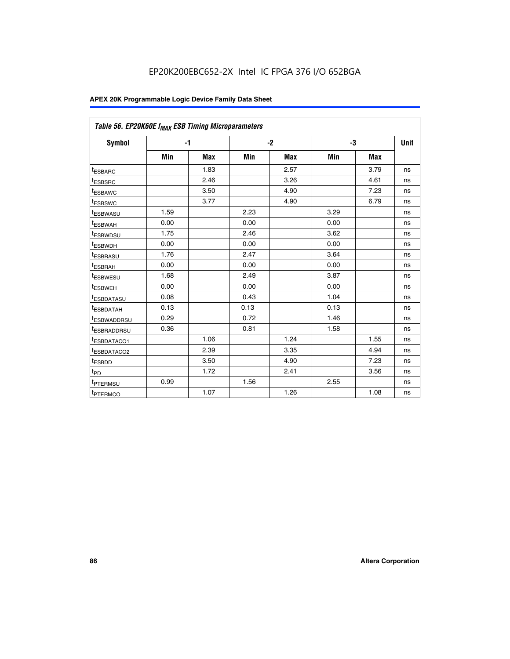| Table 56. EP20K60E f <sub>MAX</sub> ESB Timing Microparameters |      |            |      |            |      |            |             |
|----------------------------------------------------------------|------|------------|------|------------|------|------------|-------------|
| <b>Symbol</b>                                                  |      | $-1$       |      | $-2$       |      | -3         | <b>Unit</b> |
|                                                                | Min  | <b>Max</b> | Min  | <b>Max</b> | Min  | <b>Max</b> |             |
| <sup>t</sup> ESBARC                                            |      | 1.83       |      | 2.57       |      | 3.79       | ns          |
| t <sub>ESBSRC</sub>                                            |      | 2.46       |      | 3.26       |      | 4.61       | ns          |
| <sup>t</sup> ESBAWC                                            |      | 3.50       |      | 4.90       |      | 7.23       | ns          |
| <sup>t</sup> ESBSWC                                            |      | 3.77       |      | 4.90       |      | 6.79       | ns          |
| <sup>t</sup> ESBWASU                                           | 1.59 |            | 2.23 |            | 3.29 |            | ns          |
| <sup>t</sup> ESBWAH                                            | 0.00 |            | 0.00 |            | 0.00 |            | ns          |
| t <sub>ESBWDSU</sub>                                           | 1.75 |            | 2.46 |            | 3.62 |            | ns          |
| <sup>t</sup> ESBWDH                                            | 0.00 |            | 0.00 |            | 0.00 |            | ns          |
| t <sub>ESBRASU</sub>                                           | 1.76 |            | 2.47 |            | 3.64 |            | ns          |
| <sup>t</sup> ESBRAH                                            | 0.00 |            | 0.00 |            | 0.00 |            | ns          |
| t <sub>ESBWESU</sub>                                           | 1.68 |            | 2.49 |            | 3.87 |            | ns          |
| t <sub>ESBWEH</sub>                                            | 0.00 |            | 0.00 |            | 0.00 |            | ns          |
| <sup>t</sup> ESBDATASU                                         | 0.08 |            | 0.43 |            | 1.04 |            | ns          |
| t <sub>ESBDATAH</sub>                                          | 0.13 |            | 0.13 |            | 0.13 |            | ns          |
| <sup>t</sup> ESBWADDRSU                                        | 0.29 |            | 0.72 |            | 1.46 |            | ns          |
| <sup>t</sup> ESBRADDRSU                                        | 0.36 |            | 0.81 |            | 1.58 |            | ns          |
| <sup>I</sup> ESBDATACO1                                        |      | 1.06       |      | 1.24       |      | 1.55       | ns          |
| <sup>t</sup> ESBDATACO2                                        |      | 2.39       |      | 3.35       |      | 4.94       | ns          |
| <sup>t</sup> ESBDD                                             |      | 3.50       |      | 4.90       |      | 7.23       | ns          |
| t <sub>PD</sub>                                                |      | 1.72       |      | 2.41       |      | 3.56       | ns          |
| t <sub>PTERMSU</sub>                                           | 0.99 |            | 1.56 |            | 2.55 |            | ns          |
| t <sub>PTERMCO</sub>                                           |      | 1.07       |      | 1.26       |      | 1.08       | ns          |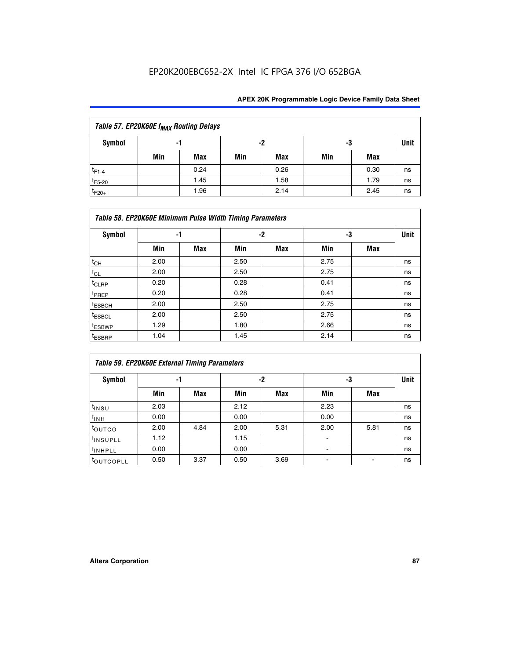| Table 57. EP20K60E f <sub>MAX</sub> Routing Delays |     |      |     |            |     |      |      |  |  |  |  |
|----------------------------------------------------|-----|------|-----|------------|-----|------|------|--|--|--|--|
| Symbol                                             |     | -1   | -2  |            | -3  |      | Unit |  |  |  |  |
|                                                    | Min | Max  | Min | <b>Max</b> | Min | Max  |      |  |  |  |  |
| $t_{F1-4}$                                         |     | 0.24 |     | 0.26       |     | 0.30 | ns   |  |  |  |  |
| $t_{F5-20}$                                        |     | 1.45 |     | 1.58       |     | 1.79 | ns   |  |  |  |  |
| $t_{F20+}$                                         |     | 1.96 |     | 2.14       |     | 2.45 | ns   |  |  |  |  |

|                    | Table 58. EP20K60E Minimum Pulse Width Timing Parameters |            |      |            |      |     |             |  |  |  |  |  |
|--------------------|----------------------------------------------------------|------------|------|------------|------|-----|-------------|--|--|--|--|--|
| Symbol             |                                                          | -1         |      | -2         |      | -3  | <b>Unit</b> |  |  |  |  |  |
|                    | Min                                                      | <b>Max</b> | Min  | <b>Max</b> | Min  | Max |             |  |  |  |  |  |
| $t_{CH}$           | 2.00                                                     |            | 2.50 |            | 2.75 |     | ns          |  |  |  |  |  |
| $t_{CL}$           | 2.00                                                     |            | 2.50 |            | 2.75 |     | ns          |  |  |  |  |  |
| $t_{CLRP}$         | 0.20                                                     |            | 0.28 |            | 0.41 |     | ns          |  |  |  |  |  |
| t <sub>PREP</sub>  | 0.20                                                     |            | 0.28 |            | 0.41 |     | ns          |  |  |  |  |  |
| t <sub>ESBCH</sub> | 2.00                                                     |            | 2.50 |            | 2.75 |     | ns          |  |  |  |  |  |
| $t_{ESBCL}$        | 2.00                                                     |            | 2.50 |            | 2.75 |     | ns          |  |  |  |  |  |
| t <sub>ESBWP</sub> | 1.29                                                     |            | 1.80 |            | 2.66 |     | ns          |  |  |  |  |  |
| t <sub>ESBRP</sub> | 1.04                                                     |            | 1.45 |            | 2.14 |     | ns          |  |  |  |  |  |

| Table 59. EP20K60E External Timing Parameters |      |      |      |      |      |      |      |  |  |  |  |
|-----------------------------------------------|------|------|------|------|------|------|------|--|--|--|--|
| Symbol                                        | -1   |      |      | -2   | -3   |      | Unit |  |  |  |  |
|                                               | Min  | Max  | Min  | Max  | Min  | Max  |      |  |  |  |  |
| $t_{INSU}$                                    | 2.03 |      | 2.12 |      | 2.23 |      | ns   |  |  |  |  |
| $t_{\mathsf{INH}}$                            | 0.00 |      | 0.00 |      | 0.00 |      | ns   |  |  |  |  |
| toutco                                        | 2.00 | 4.84 | 2.00 | 5.31 | 2.00 | 5.81 | ns   |  |  |  |  |
| <sup>t</sup> INSUPLL                          | 1.12 |      | 1.15 |      |      |      | ns   |  |  |  |  |
| <sup>t</sup> INHPLL                           | 0.00 |      | 0.00 |      | ۰    |      | ns   |  |  |  |  |
| toutcopll                                     | 0.50 | 3.37 | 0.50 | 3.69 |      |      | ns   |  |  |  |  |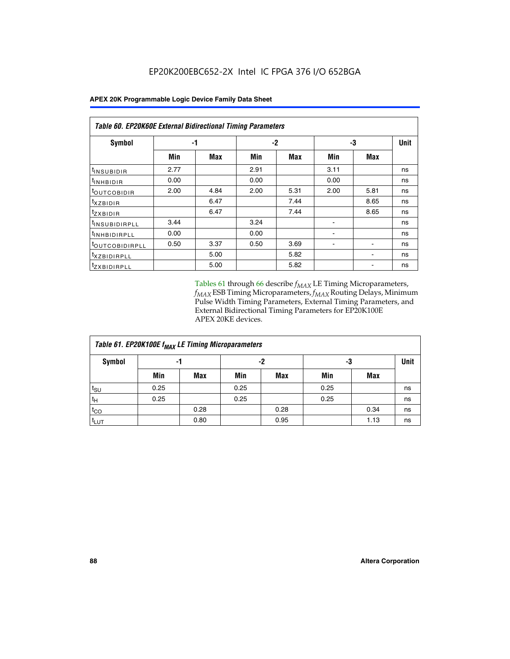| <b>Table 60. EP20K60E External Bidirectional Timing Parameters</b> |      |      |      |      |      |      |             |  |  |  |  |
|--------------------------------------------------------------------|------|------|------|------|------|------|-------------|--|--|--|--|
| Symbol                                                             | -1   |      | $-2$ |      |      | -3   | <b>Unit</b> |  |  |  |  |
|                                                                    | Min  | Max  | Min  | Max  | Min  | Max  |             |  |  |  |  |
| t <sub>INSUBIDIR</sub>                                             | 2.77 |      | 2.91 |      | 3.11 |      | ns          |  |  |  |  |
| <sup>t</sup> inhbidir                                              | 0.00 |      | 0.00 |      | 0.00 |      | ns          |  |  |  |  |
| <sup>t</sup> OUTCOBIDIR                                            | 2.00 | 4.84 | 2.00 | 5.31 | 2.00 | 5.81 | ns          |  |  |  |  |
| $t_{XZBIDIR}$                                                      |      | 6.47 |      | 7.44 |      | 8.65 | ns          |  |  |  |  |
| tzxbidir                                                           |      | 6.47 |      | 7.44 |      | 8.65 | ns          |  |  |  |  |
| <sup>t</sup> INSUBIDIRPLL                                          | 3.44 |      | 3.24 |      |      |      | ns          |  |  |  |  |
| <sup>t</sup> INHBIDIRPLL                                           | 0.00 |      | 0.00 |      |      |      | ns          |  |  |  |  |
| <sup>t</sup> OUTCOBIDIRPLL                                         | 0.50 | 3.37 | 0.50 | 3.69 |      |      | ns          |  |  |  |  |
| <sup>t</sup> xzbidirpll                                            |      | 5.00 |      | 5.82 |      |      | ns          |  |  |  |  |
| <sup>t</sup> zxbidirpll                                            |      | 5.00 |      | 5.82 |      |      | ns          |  |  |  |  |

Tables 61 through 66 describe  $f_{MAX}$  LE Timing Microparameters, *fMAX* ESB Timing Microparameters, *fMAX* Routing Delays, Minimum Pulse Width Timing Parameters, External Timing Parameters, and External Bidirectional Timing Parameters for EP20K100E APEX 20KE devices.

| Table 61. EP20K100E f <sub>MAX</sub> LE Timing Microparameters |      |      |      |            |      |            |             |  |  |  |  |
|----------------------------------------------------------------|------|------|------|------------|------|------------|-------------|--|--|--|--|
| <b>Symbol</b>                                                  |      | -1   |      | -2         |      | -3         | <b>Unit</b> |  |  |  |  |
|                                                                | Min  | Max  | Min  | <b>Max</b> | Min  | <b>Max</b> |             |  |  |  |  |
| t <sub>SU</sub>                                                | 0.25 |      | 0.25 |            | 0.25 |            | ns          |  |  |  |  |
| tμ                                                             | 0.25 |      | 0.25 |            | 0.25 |            | ns          |  |  |  |  |
| $t_{CO}$                                                       |      | 0.28 |      | 0.28       |      | 0.34       | ns          |  |  |  |  |
| t <sub>LUT</sub>                                               |      | 0.80 |      | 0.95       |      | 1.13       | ns          |  |  |  |  |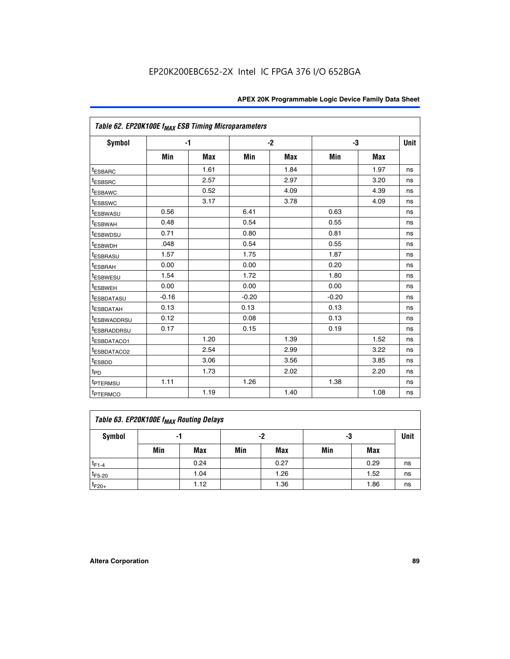| Table 62. EP20K100E f <sub>MAX</sub> ESB Timing Microparameters |         |            |         |      |         |            |             |
|-----------------------------------------------------------------|---------|------------|---------|------|---------|------------|-------------|
| <b>Symbol</b>                                                   |         | $-1$       |         | $-2$ |         | -3         | <b>Unit</b> |
|                                                                 | Min     | <b>Max</b> | Min     | Max  | Min     | <b>Max</b> |             |
| <sup>t</sup> ESBARC                                             |         | 1.61       |         | 1.84 |         | 1.97       | ns          |
| <sup>t</sup> ESBSRC                                             |         | 2.57       |         | 2.97 |         | 3.20       | ns          |
| <sup>t</sup> ESBAWC                                             |         | 0.52       |         | 4.09 |         | 4.39       | ns          |
| <sup>t</sup> ESBSWC                                             |         | 3.17       |         | 3.78 |         | 4.09       | ns          |
| <sup>t</sup> ESBWASU                                            | 0.56    |            | 6.41    |      | 0.63    |            | ns          |
| <sup>t</sup> ESBWAH                                             | 0.48    |            | 0.54    |      | 0.55    |            | ns          |
| <sup>t</sup> ESBWDSU                                            | 0.71    |            | 0.80    |      | 0.81    |            | ns          |
| t <sub>ESBWDH</sub>                                             | .048    |            | 0.54    |      | 0.55    |            | ns          |
| <sup>t</sup> ESBRASU                                            | 1.57    |            | 1.75    |      | 1.87    |            | ns          |
| t <sub>ESBRAH</sub>                                             | 0.00    |            | 0.00    |      | 0.20    |            | ns          |
| <b>ESBWESU</b>                                                  | 1.54    |            | 1.72    |      | 1.80    |            | ns          |
| t <sub>ESBWEH</sub>                                             | 0.00    |            | 0.00    |      | 0.00    |            | ns          |
| <sup>t</sup> ESBDATASU                                          | $-0.16$ |            | $-0.20$ |      | $-0.20$ |            | ns          |
| <sup>t</sup> ESBDATAH                                           | 0.13    |            | 0.13    |      | 0.13    |            | ns          |
| <sup>t</sup> ESBWADDRSU                                         | 0.12    |            | 0.08    |      | 0.13    |            | ns          |
| <sup>t</sup> ESBRADDRSU                                         | 0.17    |            | 0.15    |      | 0.19    |            | ns          |
| ESBDATACO1                                                      |         | 1.20       |         | 1.39 |         | 1.52       | ns          |
| <sup>t</sup> ESBDATACO2                                         |         | 2.54       |         | 2.99 |         | 3.22       | ns          |
| <sup>t</sup> ESBDD                                              |         | 3.06       |         | 3.56 |         | 3.85       | ns          |
| $t_{\mathsf{PD}}$                                               |         | 1.73       |         | 2.02 |         | 2.20       | ns          |
| t <sub>PTERMSU</sub>                                            | 1.11    |            | 1.26    |      | 1.38    |            | ns          |
| <sup>t</sup> PTERMCO                                            |         | 1.19       |         | 1.40 |         | 1.08       | ns          |

| Table 63. EP20K100E f <sub>MAX</sub> Routing Delays |                |      |     |            |     |      |    |  |  |  |
|-----------------------------------------------------|----------------|------|-----|------------|-----|------|----|--|--|--|
| Symbol                                              | -2<br>-3<br>-1 |      |     |            |     |      |    |  |  |  |
|                                                     | Min            | Max  | Min | <b>Max</b> | Min | Max  |    |  |  |  |
| $t_{F1-4}$                                          |                | 0.24 |     | 0.27       |     | 0.29 | ns |  |  |  |
| $t_{F5-20}$                                         |                | 1.04 |     | 1.26       |     | 1.52 | ns |  |  |  |
| $t_{F20+}$                                          |                | 1.12 |     | 1.36       |     | 1.86 | ns |  |  |  |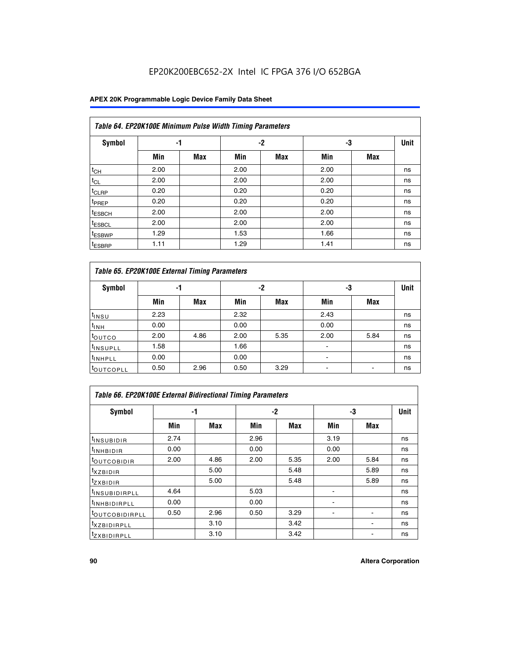### **APEX 20K Programmable Logic Device Family Data Sheet**

|                    | Table 64. EP20K100E Minimum Pulse Width Timing Parameters |            |      |            |      |            |             |  |  |  |  |  |
|--------------------|-----------------------------------------------------------|------------|------|------------|------|------------|-------------|--|--|--|--|--|
| <b>Symbol</b>      | -1                                                        |            |      | $-2$       | -3   |            | <b>Unit</b> |  |  |  |  |  |
|                    | Min                                                       | <b>Max</b> | Min  | <b>Max</b> | Min  | <b>Max</b> |             |  |  |  |  |  |
| $t_{CH}$           | 2.00                                                      |            | 2.00 |            | 2.00 |            | ns          |  |  |  |  |  |
| $t_{CL}$           | 2.00                                                      |            | 2.00 |            | 2.00 |            | ns          |  |  |  |  |  |
| t <sub>CLRP</sub>  | 0.20                                                      |            | 0.20 |            | 0.20 |            | ns          |  |  |  |  |  |
| t <sub>PREP</sub>  | 0.20                                                      |            | 0.20 |            | 0.20 |            | ns          |  |  |  |  |  |
| <sup>t</sup> ESBCH | 2.00                                                      |            | 2.00 |            | 2.00 |            | ns          |  |  |  |  |  |
| <sup>t</sup> ESBCL | 2.00                                                      |            | 2.00 |            | 2.00 |            | ns          |  |  |  |  |  |
| <sup>t</sup> ESBWP | 1.29                                                      |            | 1.53 |            | 1.66 |            | ns          |  |  |  |  |  |
| <sup>t</sup> ESBRP | 1.11                                                      |            | 1.29 |            | 1.41 |            | ns          |  |  |  |  |  |

|                      | Table 65. EP20K100E External Timing Parameters |            |      |            |                          |            |             |  |  |  |  |  |  |
|----------------------|------------------------------------------------|------------|------|------------|--------------------------|------------|-------------|--|--|--|--|--|--|
| <b>Symbol</b>        | -1                                             |            |      | -2         | -3                       |            | <b>Unit</b> |  |  |  |  |  |  |
|                      | Min                                            | <b>Max</b> | Min  | <b>Max</b> | Min                      | <b>Max</b> |             |  |  |  |  |  |  |
| t <sub>INSU</sub>    | 2.23                                           |            | 2.32 |            | 2.43                     |            | ns          |  |  |  |  |  |  |
| $t_{\rm INH}$        | 0.00                                           |            | 0.00 |            | 0.00                     |            | ns          |  |  |  |  |  |  |
| toutco               | 2.00                                           | 4.86       | 2.00 | 5.35       | 2.00                     | 5.84       | ns          |  |  |  |  |  |  |
| <sup>t</sup> INSUPLL | 1.58                                           |            | 1.66 |            |                          |            | ns          |  |  |  |  |  |  |
| <sup>t</sup> INHPLL  | 0.00                                           |            | 0.00 |            | $\overline{\phantom{a}}$ |            | ns          |  |  |  |  |  |  |
| <b>LOUTCOPLL</b>     | 0.50                                           | 2.96       | 0.50 | 3.29       | -                        |            | ns          |  |  |  |  |  |  |

|                              | <b>Table 66. EP20K100E External Bidirectional Timing Parameters</b> |      |      |      |                |      |      |  |  |  |  |
|------------------------------|---------------------------------------------------------------------|------|------|------|----------------|------|------|--|--|--|--|
| Symbol                       |                                                                     | -1   |      | $-2$ | -3             |      | Unit |  |  |  |  |
|                              | Min                                                                 | Max  | Min  | Max  | Min            | Max  |      |  |  |  |  |
| <sup>t</sup> INSUBIDIR       | 2.74                                                                |      | 2.96 |      | 3.19           |      | ns   |  |  |  |  |
| <b>TINHBIDIR</b>             | 0.00                                                                |      | 0.00 |      | 0.00           |      | ns   |  |  |  |  |
| <b>LOUTCOBIDIR</b>           | 2.00                                                                | 4.86 | 2.00 | 5.35 | 2.00           | 5.84 | ns   |  |  |  |  |
| <sup>T</sup> XZBIDIR         |                                                                     | 5.00 |      | 5.48 |                | 5.89 | ns   |  |  |  |  |
| <sup>T</sup> ZXBIDIR         |                                                                     | 5.00 |      | 5.48 |                | 5.89 | ns   |  |  |  |  |
| <sup>t</sup> INSUBIDIRPLL    | 4.64                                                                |      | 5.03 |      |                |      | ns   |  |  |  |  |
| <sup>I</sup> INHBIDIRPLL     | 0.00                                                                |      | 0.00 |      | $\blacksquare$ |      | ns   |  |  |  |  |
| <b><i>LOUTCOBIDIRPLL</i></b> | 0.50                                                                | 2.96 | 0.50 | 3.29 |                |      | ns   |  |  |  |  |
| <sup>T</sup> XZBIDIRPLL      |                                                                     | 3.10 |      | 3.42 |                |      | ns   |  |  |  |  |
| <sup>I</sup> ZXBIDIRPLL      |                                                                     | 3.10 |      | 3.42 |                |      | ns   |  |  |  |  |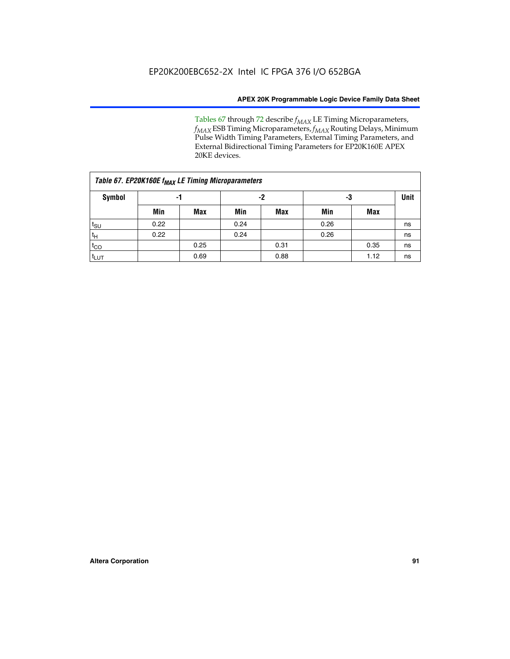Tables 67 through 72 describe *f<sub>MAX</sub>* LE Timing Microparameters, *f<sub>MAX</sub>* ESB Timing Microparameters, *f<sub>MAX</sub>* Routing Delays, Minimum Pulse Width Timing Parameters, External Timing Parameters, and External Bidirectional Timing Parameters for EP20K160E APEX 20KE devices.

|                  | Table 67. EP20K160E f <sub>MAX</sub> LE Timing Microparameters |            |      |            |      |      |             |  |  |  |  |  |
|------------------|----------------------------------------------------------------|------------|------|------------|------|------|-------------|--|--|--|--|--|
| <b>Symbol</b>    | -1                                                             |            |      | -2         | -3   |      | <b>Unit</b> |  |  |  |  |  |
|                  | Min                                                            | <b>Max</b> | Min  | <b>Max</b> | Min  | Max  |             |  |  |  |  |  |
| $t_{\text{SU}}$  | 0.22                                                           |            | 0.24 |            | 0.26 |      | ns          |  |  |  |  |  |
| $t_H$            | 0.22                                                           |            | 0.24 |            | 0.26 |      | ns          |  |  |  |  |  |
| $t_{CO}$         |                                                                | 0.25       |      | 0.31       |      | 0.35 | ns          |  |  |  |  |  |
| t <sub>LUT</sub> |                                                                | 0.69       |      | 0.88       |      | 1.12 | ns          |  |  |  |  |  |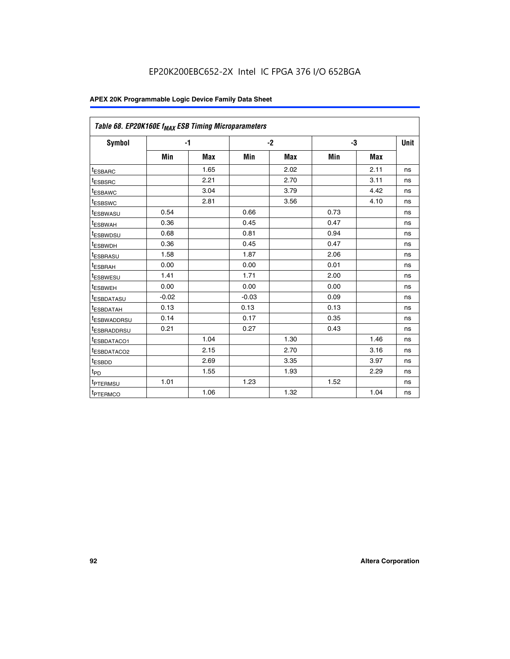| Table 68. EP20K160E f <sub>MAX</sub> ESB Timing Microparameters |         |            |         |            |      |      |      |
|-----------------------------------------------------------------|---------|------------|---------|------------|------|------|------|
| <b>Symbol</b>                                                   |         | $-1$       |         | $-2$       |      | -3   | Unit |
|                                                                 | Min     | <b>Max</b> | Min     | <b>Max</b> | Min  | Max  |      |
| <sup>t</sup> ESBARC                                             |         | 1.65       |         | 2.02       |      | 2.11 | ns   |
| t <sub>ESBSRC</sub>                                             |         | 2.21       |         | 2.70       |      | 3.11 | ns   |
| <sup>t</sup> ESBAWC                                             |         | 3.04       |         | 3.79       |      | 4.42 | ns   |
| t <sub>ESBSWC</sub>                                             |         | 2.81       |         | 3.56       |      | 4.10 | ns   |
| <sup>t</sup> ESBWASU                                            | 0.54    |            | 0.66    |            | 0.73 |      | ns   |
| <sup>t</sup> ESBWAH                                             | 0.36    |            | 0.45    |            | 0.47 |      | ns   |
| t <sub>ESBWDSU</sub>                                            | 0.68    |            | 0.81    |            | 0.94 |      | ns   |
| <sup>t</sup> ESBWDH                                             | 0.36    |            | 0.45    |            | 0.47 |      | ns   |
| t <sub>ESBRASU</sub>                                            | 1.58    |            | 1.87    |            | 2.06 |      | ns   |
| <sup>t</sup> ESBRAH                                             | 0.00    |            | 0.00    |            | 0.01 |      | ns   |
| <sup>t</sup> ESBWESU                                            | 1.41    |            | 1.71    |            | 2.00 |      | ns   |
| t <sub>ESBWEH</sub>                                             | 0.00    |            | 0.00    |            | 0.00 |      | ns   |
| t <sub>ESBDATASU</sub>                                          | $-0.02$ |            | $-0.03$ |            | 0.09 |      | ns   |
| t <sub>ESBDATAH</sub>                                           | 0.13    |            | 0.13    |            | 0.13 |      | ns   |
| t <sub>ESBWADDRSU</sub>                                         | 0.14    |            | 0.17    |            | 0.35 |      | ns   |
| <sup>t</sup> ESBRADDRSU                                         | 0.21    |            | 0.27    |            | 0.43 |      | ns   |
| <sup>I</sup> ESBDATACO1                                         |         | 1.04       |         | 1.30       |      | 1.46 | ns   |
| t <sub>ESBDATACO2</sub>                                         |         | 2.15       |         | 2.70       |      | 3.16 | ns   |
| <sup>t</sup> ESBDD                                              |         | 2.69       |         | 3.35       |      | 3.97 | ns   |
| $t_{\mathsf{PD}}$                                               |         | 1.55       |         | 1.93       |      | 2.29 | ns   |
| t <sub>PTERMSU</sub>                                            | 1.01    |            | 1.23    |            | 1.52 |      | ns   |
| t <sub>PTERMCO</sub>                                            |         | 1.06       |         | 1.32       |      | 1.04 | ns   |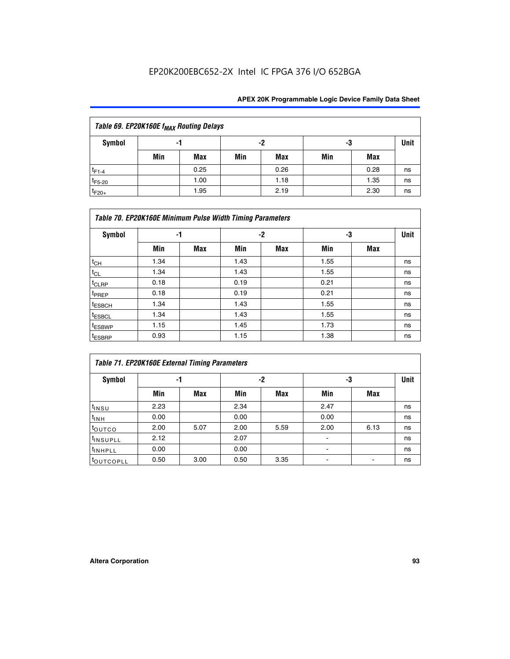| Table 69. EP20K160E f <sub>MAX</sub> Routing Delays |                |      |     |      |             |      |    |  |  |  |  |
|-----------------------------------------------------|----------------|------|-----|------|-------------|------|----|--|--|--|--|
| Symbol                                              | -2<br>-3<br>-1 |      |     |      | <b>Unit</b> |      |    |  |  |  |  |
|                                                     | Min            | Max  | Min | Max  | Min         | Max  |    |  |  |  |  |
| $t_{F1-4}$                                          |                | 0.25 |     | 0.26 |             | 0.28 | ns |  |  |  |  |
| $t_{F5-20}$                                         |                | 1.00 |     | 1.18 |             | 1.35 | ns |  |  |  |  |
| $t_{F20+}$                                          |                | 1.95 |     | 2.19 |             | 2.30 | ns |  |  |  |  |

|                    | Table 70. EP20K160E Minimum Pulse Width Timing Parameters |            |      |            |      |     |             |  |  |  |  |  |  |
|--------------------|-----------------------------------------------------------|------------|------|------------|------|-----|-------------|--|--|--|--|--|--|
| <b>Symbol</b>      |                                                           | -1         |      | $-2$       |      | -3  | <b>Unit</b> |  |  |  |  |  |  |
|                    | Min                                                       | <b>Max</b> | Min  | <b>Max</b> | Min  | Max |             |  |  |  |  |  |  |
| $t_{CH}$           | 1.34                                                      |            | 1.43 |            | 1.55 |     | ns          |  |  |  |  |  |  |
| $t_{CL}$           | 1.34                                                      |            | 1.43 |            | 1.55 |     | ns          |  |  |  |  |  |  |
| $t_{CLRP}$         | 0.18                                                      |            | 0.19 |            | 0.21 |     | ns          |  |  |  |  |  |  |
| t <sub>PREP</sub>  | 0.18                                                      |            | 0.19 |            | 0.21 |     | ns          |  |  |  |  |  |  |
| <sup>t</sup> ESBCH | 1.34                                                      |            | 1.43 |            | 1.55 |     | ns          |  |  |  |  |  |  |
| <sup>t</sup> ESBCL | 1.34                                                      |            | 1.43 |            | 1.55 |     | ns          |  |  |  |  |  |  |
| t <sub>ESBWP</sub> | 1.15                                                      |            | 1.45 |            | 1.73 |     | ns          |  |  |  |  |  |  |
| t <sub>ESBRP</sub> | 0.93                                                      |            | 1.15 |            | 1.38 |     | ns          |  |  |  |  |  |  |

|                      | Table 71. EP20K160E External Timing Parameters |      |      |      |                |      |      |  |  |  |  |  |
|----------------------|------------------------------------------------|------|------|------|----------------|------|------|--|--|--|--|--|
| Symbol               | -1                                             |      |      | -2   | -3             |      | Unit |  |  |  |  |  |
|                      | Min                                            | Max  | Min  | Max  | Min            | Max  |      |  |  |  |  |  |
| $t_{INSU}$           | 2.23                                           |      | 2.34 |      | 2.47           |      | ns   |  |  |  |  |  |
| $t_{INH}$            | 0.00                                           |      | 0.00 |      | 0.00           |      | ns   |  |  |  |  |  |
| toutco               | 2.00                                           | 5.07 | 2.00 | 5.59 | 2.00           | 6.13 | ns   |  |  |  |  |  |
| <sup>t</sup> INSUPLL | 2.12                                           |      | 2.07 |      | $\blacksquare$ |      | ns   |  |  |  |  |  |
| <sup>t</sup> INHPLL  | 0.00                                           |      | 0.00 |      | ۰              |      | ns   |  |  |  |  |  |
| toutcopll            | 0.50                                           | 3.00 | 0.50 | 3.35 |                |      | ns   |  |  |  |  |  |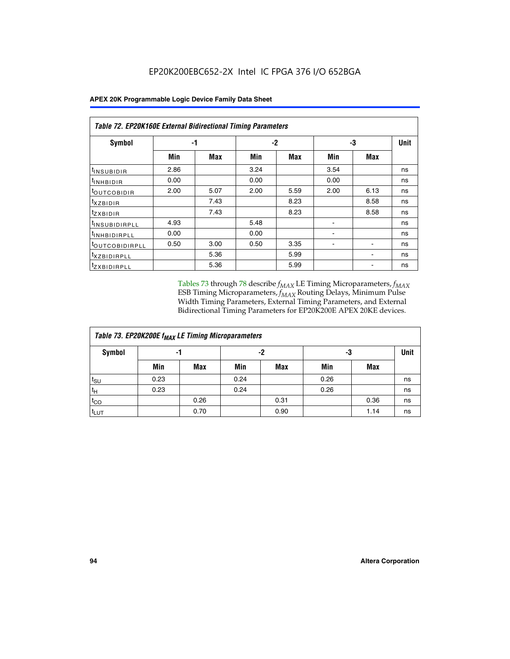|                                | Table 72. EP20K160E External Bidirectional Timing Parameters |      |      |      |      |      |             |  |  |  |  |
|--------------------------------|--------------------------------------------------------------|------|------|------|------|------|-------------|--|--|--|--|
| Symbol                         | -1                                                           |      |      | $-2$ |      | -3   | <b>Unit</b> |  |  |  |  |
|                                | Min                                                          | Max  | Min  | Max  | Min  | Max  |             |  |  |  |  |
| <sup>t</sup> INSUB <u>IDIR</u> | 2.86                                                         |      | 3.24 |      | 3.54 |      | ns          |  |  |  |  |
| <b>UNHBIDIR</b>                | 0.00                                                         |      | 0.00 |      | 0.00 |      | ns          |  |  |  |  |
| <b>LOUTCOBIDIR</b>             | 2.00                                                         | 5.07 | 2.00 | 5.59 | 2.00 | 6.13 | ns          |  |  |  |  |
| KZBIDIR                        |                                                              | 7.43 |      | 8.23 |      | 8.58 | ns          |  |  |  |  |
| <sup>t</sup> zxbidir           |                                                              | 7.43 |      | 8.23 |      | 8.58 | ns          |  |  |  |  |
| <sup>t</sup> INSUBIDIRPLL      | 4.93                                                         |      | 5.48 |      |      |      | ns          |  |  |  |  |
| <sup>I</sup> INHBIDIRPLL       | 0.00                                                         |      | 0.00 |      | ۰    |      | ns          |  |  |  |  |
| <b><i>LOUTCOBIDIRPLL</i></b>   | 0.50                                                         | 3.00 | 0.50 | 3.35 |      |      | ns          |  |  |  |  |
| <sup>T</sup> XZBIDIRPLL        |                                                              | 5.36 |      | 5.99 |      |      | ns          |  |  |  |  |
| <sup>t</sup> ZXBIDIRPLL        |                                                              | 5.36 |      | 5.99 |      |      | ns          |  |  |  |  |

Tables 73 through 78 describe  $f_{MAX}$  LE Timing Microparameters,  $f_{MAX}$ ESB Timing Microparameters, *f<sub>MAX</sub>* Routing Delays, Minimum Pulse Width Timing Parameters, External Timing Parameters, and External Bidirectional Timing Parameters for EP20K200E APEX 20KE devices.

| Table 73. EP20K200E f <sub>MAX</sub> LE Timing Microparameters |      |      |      |      |      |             |    |  |  |  |  |
|----------------------------------------------------------------|------|------|------|------|------|-------------|----|--|--|--|--|
| <b>Symbol</b>                                                  |      | -1   |      | -2   | -3   | <b>Unit</b> |    |  |  |  |  |
|                                                                | Min  | Max  | Min  | Max  | Min  | Max         |    |  |  |  |  |
| $t_{\text{SU}}$                                                | 0.23 |      | 0.24 |      | 0.26 |             | ns |  |  |  |  |
| tμ                                                             | 0.23 |      | 0.24 |      | 0.26 |             | ns |  |  |  |  |
| $t_{CO}$                                                       |      | 0.26 |      | 0.31 |      | 0.36        | ns |  |  |  |  |
| t <sub>LUT</sub>                                               |      | 0.70 |      | 0.90 |      | 1.14        | ns |  |  |  |  |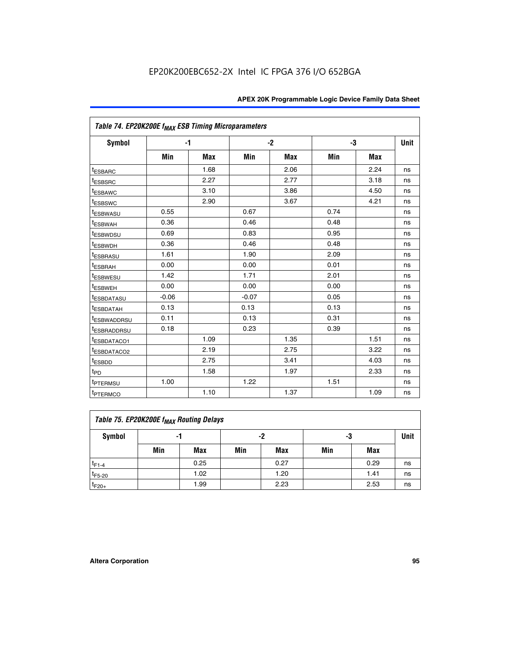| Table 74. EP20K200E f <sub>MAX</sub> ESB Timing Microparameters |         |            |         |            |      |      |    |
|-----------------------------------------------------------------|---------|------------|---------|------------|------|------|----|
| <b>Symbol</b>                                                   |         | $-1$       |         | $-2$       |      | -3   |    |
|                                                                 | Min     | <b>Max</b> | Min     | <b>Max</b> | Min  | Max  |    |
| <sup>t</sup> ESBARC                                             |         | 1.68       |         | 2.06       |      | 2.24 | ns |
| <sup>t</sup> ESBSRC                                             |         | 2.27       |         | 2.77       |      | 3.18 | ns |
| t <sub>ESBAWC</sub>                                             |         | 3.10       |         | 3.86       |      | 4.50 | ns |
| <sup>t</sup> ESBSWC                                             |         | 2.90       |         | 3.67       |      | 4.21 | ns |
| t <sub>ESBWASU</sub>                                            | 0.55    |            | 0.67    |            | 0.74 |      | ns |
| <sup>t</sup> ESBWAH                                             | 0.36    |            | 0.46    |            | 0.48 |      | ns |
| <sup>t</sup> ESBWDSU                                            | 0.69    |            | 0.83    |            | 0.95 |      | ns |
| t <sub>ESBWDH</sub>                                             | 0.36    |            | 0.46    |            | 0.48 |      | ns |
| <sup>t</sup> ESBRASU                                            | 1.61    |            | 1.90    |            | 2.09 |      | ns |
| <sup>t</sup> ESBRAH                                             | 0.00    |            | 0.00    |            | 0.01 |      | ns |
| <sup>t</sup> ESBWESU                                            | 1.42    |            | 1.71    |            | 2.01 |      | ns |
| <sup>I</sup> ESBWEH                                             | 0.00    |            | 0.00    |            | 0.00 |      | ns |
| t <sub>ESBDATASU</sub>                                          | $-0.06$ |            | $-0.07$ |            | 0.05 |      | ns |
| <sup>t</sup> ESBDATAH                                           | 0.13    |            | 0.13    |            | 0.13 |      | ns |
| <sup>t</sup> ESBWADDRSU                                         | 0.11    |            | 0.13    |            | 0.31 |      | ns |
| <sup>I</sup> ESBRADDRSU                                         | 0.18    |            | 0.23    |            | 0.39 |      | ns |
| <sup>I</sup> ESBDATACO1                                         |         | 1.09       |         | 1.35       |      | 1.51 | ns |
| <sup>t</sup> ESBDATACO2                                         |         | 2.19       |         | 2.75       |      | 3.22 | ns |
| <sup>t</sup> ESBDD                                              |         | 2.75       |         | 3.41       |      | 4.03 | ns |
| t <sub>PD</sub>                                                 |         | 1.58       |         | 1.97       |      | 2.33 | ns |
| t <sub>PTERMSU</sub>                                            | 1.00    |            | 1.22    |            | 1.51 |      | ns |
| t <sub>PTERMCO</sub>                                            |         | 1.10       |         | 1.37       |      | 1.09 | ns |

| Table 75. EP20K200E f <sub>MAX</sub> Routing Delays |     |      |     |      |     |      |             |  |  |  |
|-----------------------------------------------------|-----|------|-----|------|-----|------|-------------|--|--|--|
| Symbol                                              |     | -1   |     | -2   | -3  |      | <b>Unit</b> |  |  |  |
|                                                     | Min | Max  | Min | Max  | Min | Max  |             |  |  |  |
| $t_{F1-4}$                                          |     | 0.25 |     | 0.27 |     | 0.29 | ns          |  |  |  |
| $t_{F5-20}$                                         |     | 1.02 |     | 1.20 |     | 1.41 | ns          |  |  |  |
| $t_{F20+}$                                          |     | 1.99 |     | 2.23 |     | 2.53 | ns          |  |  |  |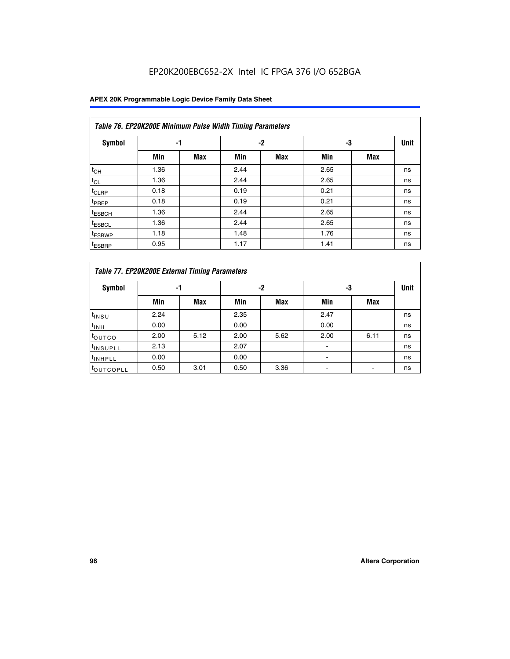|                    | Table 76. EP20K200E Minimum Pulse Width Timing Parameters |            |      |            |      |            |             |  |  |  |  |  |
|--------------------|-----------------------------------------------------------|------------|------|------------|------|------------|-------------|--|--|--|--|--|
| <b>Symbol</b>      | -1                                                        |            | $-2$ |            | -3   |            | <b>Unit</b> |  |  |  |  |  |
|                    | Min                                                       | <b>Max</b> | Min  | <b>Max</b> | Min  | <b>Max</b> |             |  |  |  |  |  |
| $t_{CH}$           | 1.36                                                      |            | 2.44 |            | 2.65 |            | ns          |  |  |  |  |  |
| $t_{CL}$           | 1.36                                                      |            | 2.44 |            | 2.65 |            | ns          |  |  |  |  |  |
| $t_{CLRP}$         | 0.18                                                      |            | 0.19 |            | 0.21 |            | ns          |  |  |  |  |  |
| t <sub>PREP</sub>  | 0.18                                                      |            | 0.19 |            | 0.21 |            | ns          |  |  |  |  |  |
| <sup>t</sup> ESBCH | 1.36                                                      |            | 2.44 |            | 2.65 |            | ns          |  |  |  |  |  |
| <sup>t</sup> ESBCL | 1.36                                                      |            | 2.44 |            | 2.65 |            | ns          |  |  |  |  |  |
| t <sub>ESBWP</sub> | 1.18                                                      |            | 1.48 |            | 1.76 |            | ns          |  |  |  |  |  |
| <sup>t</sup> ESBRP | 0.95                                                      |            | 1.17 |            | 1.41 |            | ns          |  |  |  |  |  |

|                       | Table 77. EP20K200E External Timing Parameters |            |      |            |      |      |             |  |  |  |  |  |  |
|-----------------------|------------------------------------------------|------------|------|------------|------|------|-------------|--|--|--|--|--|--|
| <b>Symbol</b>         | -1                                             |            |      | -2         |      | -3   | <b>Unit</b> |  |  |  |  |  |  |
|                       | Min                                            | <b>Max</b> | Min  | <b>Max</b> | Min  | Max  |             |  |  |  |  |  |  |
| t <sub>INSU</sub>     | 2.24                                           |            | 2.35 |            | 2.47 |      | ns          |  |  |  |  |  |  |
| $t_{\text{INH}}$      | 0.00                                           |            | 0.00 |            | 0.00 |      | ns          |  |  |  |  |  |  |
| toutco                | 2.00                                           | 5.12       | 2.00 | 5.62       | 2.00 | 6.11 | ns          |  |  |  |  |  |  |
| <sup>t</sup> INSUPLL  | 2.13                                           |            | 2.07 |            |      |      | ns          |  |  |  |  |  |  |
| <sup>t</sup> INHPLL   | 0.00                                           |            | 0.00 |            | -    |      | ns          |  |  |  |  |  |  |
| <sup>I</sup> OUTCOPLL | 0.50                                           | 3.01       | 0.50 | 3.36       |      |      | ns          |  |  |  |  |  |  |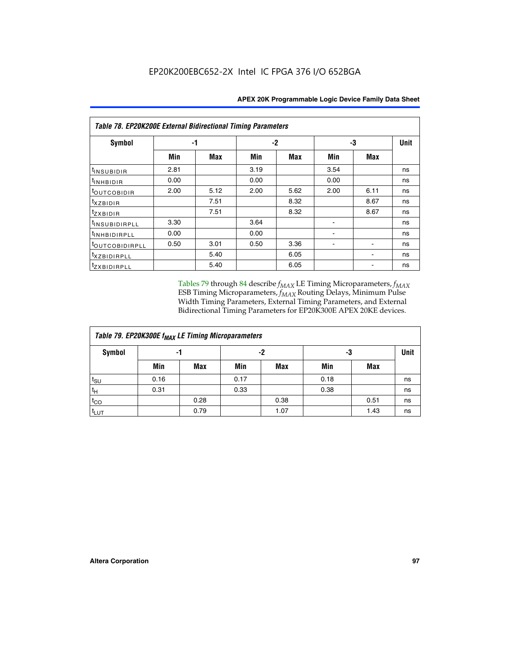| Table 78. EP20K200E External Bidirectional Timing Parameters |      |      |      |      |      |             |    |  |  |  |  |
|--------------------------------------------------------------|------|------|------|------|------|-------------|----|--|--|--|--|
| Symbol                                                       | -1   |      | $-2$ |      | -3   | <b>Unit</b> |    |  |  |  |  |
|                                                              | Min  | Max  | Min  | Max  | Min  | Max         |    |  |  |  |  |
| $t_{INSUBIDIR}$                                              | 2.81 |      | 3.19 |      | 3.54 |             | ns |  |  |  |  |
| $t_{INHBIDIR}$                                               | 0.00 |      | 0.00 |      | 0.00 |             | ns |  |  |  |  |
| t <sub>OUTCOBIDIR</sub>                                      | 2.00 | 5.12 | 2.00 | 5.62 | 2.00 | 6.11        | ns |  |  |  |  |
| <i>txzbidir</i>                                              |      | 7.51 |      | 8.32 |      | 8.67        | ns |  |  |  |  |
| tzxbidir                                                     |      | 7.51 |      | 8.32 |      | 8.67        | ns |  |  |  |  |
| <sup>t</sup> INSUBIDIRPLL                                    | 3.30 |      | 3.64 |      |      |             | ns |  |  |  |  |
| t <sub>INHBIDIRPLL</sub>                                     | 0.00 |      | 0.00 |      |      |             | ns |  |  |  |  |
| <sup>t</sup> OUTCOBIDIRPLL                                   | 0.50 | 3.01 | 0.50 | 3.36 |      |             | ns |  |  |  |  |
| <i>txzBIDIRPLL</i>                                           |      | 5.40 |      | 6.05 |      |             | ns |  |  |  |  |
| tzxBIDIRPLL                                                  |      | 5.40 |      | 6.05 |      |             | ns |  |  |  |  |

Tables 79 through 84 describe  $f_{MAX}$  LE Timing Microparameters,  $f_{MAX}$ ESB Timing Microparameters, *f<sub>MAX</sub>* Routing Delays, Minimum Pulse Width Timing Parameters, External Timing Parameters, and External Bidirectional Timing Parameters for EP20K300E APEX 20KE devices.

| Table 79. EP20K300E f <sub>MAX</sub> LE Timing Microparameters |      |            |      |            |      |            |             |  |  |  |  |
|----------------------------------------------------------------|------|------------|------|------------|------|------------|-------------|--|--|--|--|
| <b>Symbol</b>                                                  |      | -1         | -2   |            | -3   |            | <b>Unit</b> |  |  |  |  |
|                                                                | Min  | <b>Max</b> | Min  | <b>Max</b> | Min  | <b>Max</b> |             |  |  |  |  |
| $t_{\text{SU}}$                                                | 0.16 |            | 0.17 |            | 0.18 |            | ns          |  |  |  |  |
| $t_H$                                                          | 0.31 |            | 0.33 |            | 0.38 |            | ns          |  |  |  |  |
| $t_{CO}$                                                       |      | 0.28       |      | 0.38       |      | 0.51       | ns          |  |  |  |  |
| $t_{LUT}$                                                      |      | 0.79       |      | 1.07       |      | 1.43       | ns          |  |  |  |  |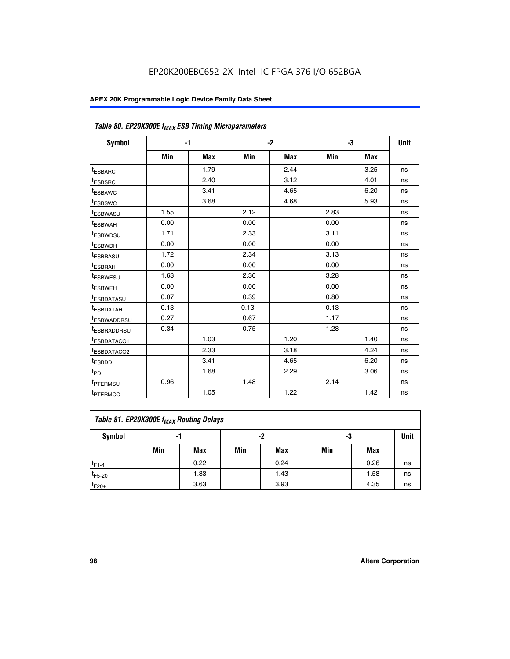| Table 80. EP20K300E f <sub>MAX</sub> ESB Timing Microparameters |      |      |      |      |      |      |      |
|-----------------------------------------------------------------|------|------|------|------|------|------|------|
| <b>Symbol</b>                                                   |      | $-1$ |      | $-2$ |      | -3   | Unit |
|                                                                 | Min  | Max  | Min  | Max  | Min  | Max  |      |
| <sup>t</sup> ESBARC                                             |      | 1.79 |      | 2.44 |      | 3.25 | ns   |
| t <sub>ESBSRC</sub>                                             |      | 2.40 |      | 3.12 |      | 4.01 | ns   |
| t <sub>ESBAWC</sub>                                             |      | 3.41 |      | 4.65 |      | 6.20 | ns   |
| <sup>t</sup> ESBSWC                                             |      | 3.68 |      | 4.68 |      | 5.93 | ns   |
| t <sub>ESBWASU</sub>                                            | 1.55 |      | 2.12 |      | 2.83 |      | ns   |
| t <sub>ESBWAH</sub>                                             | 0.00 |      | 0.00 |      | 0.00 |      | ns   |
| <sup>t</sup> ESBWDSU                                            | 1.71 |      | 2.33 |      | 3.11 |      | ns   |
| <sup>t</sup> ESBWDH                                             | 0.00 |      | 0.00 |      | 0.00 |      | ns   |
| t <sub>ESBRASU</sub>                                            | 1.72 |      | 2.34 |      | 3.13 |      | ns   |
| <sup>t</sup> ESBRAH                                             | 0.00 |      | 0.00 |      | 0.00 |      | ns   |
| t <sub>ESBWESU</sub>                                            | 1.63 |      | 2.36 |      | 3.28 |      | ns   |
| <sup>t</sup> ESBWEH                                             | 0.00 |      | 0.00 |      | 0.00 |      | ns   |
| <sup>t</sup> ESBDATASU                                          | 0.07 |      | 0.39 |      | 0.80 |      | ns   |
| <sup>t</sup> ESBDATAH                                           | 0.13 |      | 0.13 |      | 0.13 |      | ns   |
| <sup>t</sup> ESBWADDRSU                                         | 0.27 |      | 0.67 |      | 1.17 |      | ns   |
| tESBRADDRSU                                                     | 0.34 |      | 0.75 |      | 1.28 |      | ns   |
| <sup>I</sup> ESBDATACO1                                         |      | 1.03 |      | 1.20 |      | 1.40 | ns   |
| <sup>t</sup> ESBDATACO2                                         |      | 2.33 |      | 3.18 |      | 4.24 | ns   |
| <sup>t</sup> ESBDD                                              |      | 3.41 |      | 4.65 |      | 6.20 | ns   |
| t <sub>PD</sub>                                                 |      | 1.68 |      | 2.29 |      | 3.06 | ns   |
| t <sub>PTERMSU</sub>                                            | 0.96 |      | 1.48 |      | 2.14 |      | ns   |
| t <sub>PTERMCO</sub>                                            |      | 1.05 |      | 1.22 |      | 1.42 | ns   |

| Table 81. EP20K300E f <sub>MAX</sub> Routing Delays |     |      |     |            |     |      |      |  |  |  |
|-----------------------------------------------------|-----|------|-----|------------|-----|------|------|--|--|--|
| Symbol                                              | -1  |      | -2  |            | -3  |      | Unit |  |  |  |
|                                                     | Min | Max  | Min | <b>Max</b> | Min | Max  |      |  |  |  |
| $t_{F1-4}$                                          |     | 0.22 |     | 0.24       |     | 0.26 | ns   |  |  |  |
| $t_{F5-20}$                                         |     | 1.33 |     | 1.43       |     | 1.58 | ns   |  |  |  |
| $t_{F20+}$                                          |     | 3.63 |     | 3.93       |     | 4.35 | ns   |  |  |  |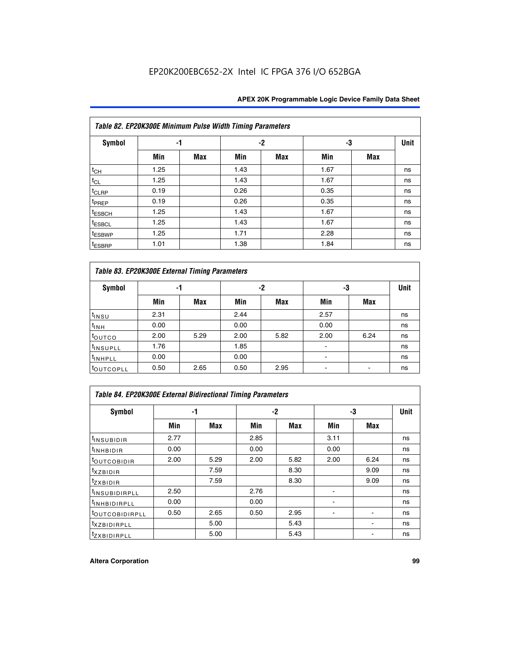|                    | Table 82. EP20K300E Minimum Pulse Width Timing Parameters |            |      |            |      |            |             |  |  |  |  |  |
|--------------------|-----------------------------------------------------------|------------|------|------------|------|------------|-------------|--|--|--|--|--|
| <b>Symbol</b>      |                                                           | -1         |      | $-2$       | -3   |            | <b>Unit</b> |  |  |  |  |  |
|                    | Min                                                       | <b>Max</b> | Min  | <b>Max</b> | Min  | <b>Max</b> |             |  |  |  |  |  |
| $t_{CH}$           | 1.25                                                      |            | 1.43 |            | 1.67 |            | ns          |  |  |  |  |  |
| $t_{CL}$           | 1.25                                                      |            | 1.43 |            | 1.67 |            | ns          |  |  |  |  |  |
| t <sub>CLRP</sub>  | 0.19                                                      |            | 0.26 |            | 0.35 |            | ns          |  |  |  |  |  |
| t <sub>PREP</sub>  | 0.19                                                      |            | 0.26 |            | 0.35 |            | ns          |  |  |  |  |  |
| <sup>t</sup> ESBCH | 1.25                                                      |            | 1.43 |            | 1.67 |            | ns          |  |  |  |  |  |
| <sup>t</sup> ESBCL | 1.25                                                      |            | 1.43 |            | 1.67 |            | ns          |  |  |  |  |  |
| <sup>t</sup> ESBWP | 1.25                                                      |            | 1.71 |            | 2.28 |            | ns          |  |  |  |  |  |
| <sup>t</sup> ESBRP | 1.01                                                      |            | 1.38 |            | 1.84 |            | ns          |  |  |  |  |  |

| Table 83. EP20K300E External Timing Parameters |      |      |      |      |      |            |             |  |  |  |  |  |
|------------------------------------------------|------|------|------|------|------|------------|-------------|--|--|--|--|--|
| Symbol                                         |      | -1   |      | -2   |      | -3         | <b>Unit</b> |  |  |  |  |  |
|                                                | Min  | Max  | Min  | Max  | Min  | <b>Max</b> |             |  |  |  |  |  |
| t <sub>INSU</sub>                              | 2.31 |      | 2.44 |      | 2.57 |            | ns          |  |  |  |  |  |
| $t_{INH}$                                      | 0.00 |      | 0.00 |      | 0.00 |            | ns          |  |  |  |  |  |
| toutco                                         | 2.00 | 5.29 | 2.00 | 5.82 | 2.00 | 6.24       | ns          |  |  |  |  |  |
| <sup>t</sup> INSUPLL                           | 1.76 |      | 1.85 |      |      |            | ns          |  |  |  |  |  |
| <sup>t</sup> INHPLL                            | 0.00 |      | 0.00 |      | -    |            | ns          |  |  |  |  |  |
| <sup>t</sup> OUTCOPLL                          | 0.50 | 2.65 | 0.50 | 2.95 |      |            | ns          |  |  |  |  |  |

| Table 84. EP20K300E External Bidirectional Timing Parameters |      |      |      |      |      |             |    |  |  |  |
|--------------------------------------------------------------|------|------|------|------|------|-------------|----|--|--|--|
| Symbol                                                       |      | -1   | -2   |      | -3   | <b>Unit</b> |    |  |  |  |
|                                                              | Min  | Max  | Min  | Max  | Min  | Max         |    |  |  |  |
| <sup>t</sup> INSUBIDIR                                       | 2.77 |      | 2.85 |      | 3.11 |             | ns |  |  |  |
| <b>TINHBIDIR</b>                                             | 0.00 |      | 0.00 |      | 0.00 |             | ns |  |  |  |
| <sup>t</sup> OUTCOBIDIR                                      | 2.00 | 5.29 | 2.00 | 5.82 | 2.00 | 6.24        | ns |  |  |  |
| KZBIDIR                                                      |      | 7.59 |      | 8.30 |      | 9.09        | ns |  |  |  |
| $t_{Z}$ <i>x</i> BIDIR                                       |      | 7.59 |      | 8.30 |      | 9.09        | ns |  |  |  |
| <sup>I</sup> INSUBIDIRPLL                                    | 2.50 |      | 2.76 |      |      |             | ns |  |  |  |
| <sup>t</sup> INHBIDIRPLL                                     | 0.00 |      | 0.00 |      |      |             | ns |  |  |  |
| <b><i>LOUTCOBIDIRPLL</i></b>                                 | 0.50 | 2.65 | 0.50 | 2.95 |      |             | ns |  |  |  |
| <sup>T</sup> XZBIDIRPLL                                      |      | 5.00 |      | 5.43 |      |             | ns |  |  |  |
| <sup>t</sup> ZXBIDIRPLL                                      |      | 5.00 |      | 5.43 |      |             | ns |  |  |  |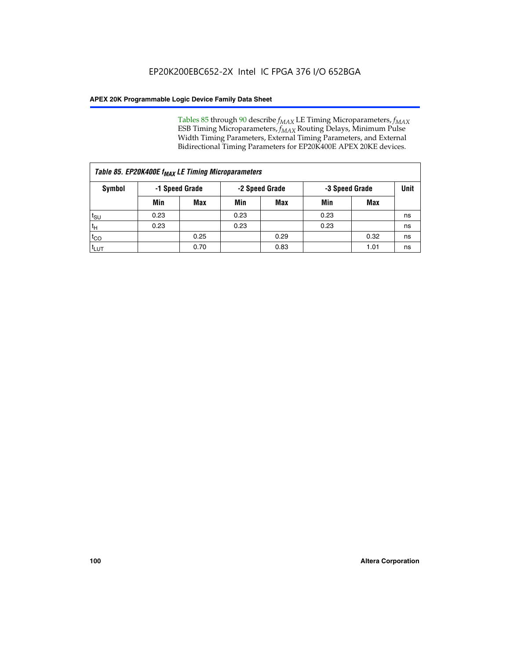Tables 85 through 90 describe  $f_{MAX}$  LE Timing Microparameters,  $f_{MAX}$ ESB Timing Microparameters, *f<sub>MAX</sub>* Routing Delays, Minimum Pulse Width Timing Parameters, External Timing Parameters, and External Bidirectional Timing Parameters for EP20K400E APEX 20KE devices.

|                    | Table 85. EP20K400E f <sub>MAX</sub> LE Timing Microparameters |            |                |            |                |      |      |  |  |  |  |  |
|--------------------|----------------------------------------------------------------|------------|----------------|------------|----------------|------|------|--|--|--|--|--|
| Symbol             | -1 Speed Grade                                                 |            | -2 Speed Grade |            | -3 Speed Grade |      | Unit |  |  |  |  |  |
|                    | Min                                                            | <b>Max</b> | Min            | <b>Max</b> | Min            | Max  |      |  |  |  |  |  |
| $t_{\text{SU}}$    | 0.23                                                           |            | 0.23           |            | 0.23           |      | ns   |  |  |  |  |  |
| $t_H$              | 0.23                                                           |            | 0.23           |            | 0.23           |      | ns   |  |  |  |  |  |
| $t_{CO}$           |                                                                | 0.25       |                | 0.29       |                | 0.32 | ns   |  |  |  |  |  |
| ι <sup>t</sup> ιυτ |                                                                | 0.70       |                | 0.83       |                | 1.01 | ns   |  |  |  |  |  |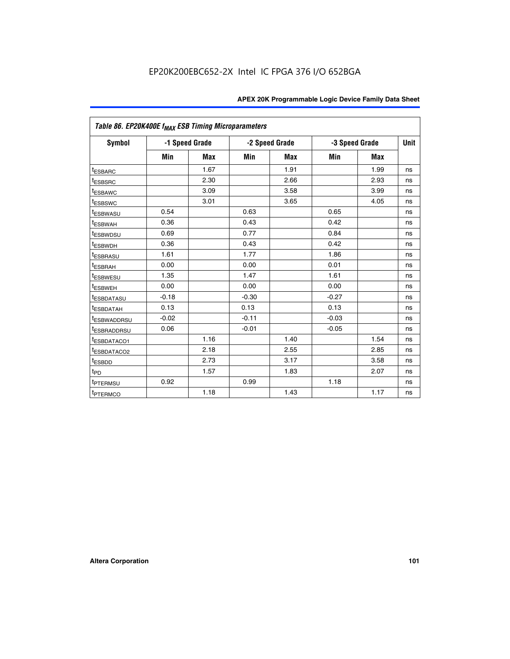| Table 86. EP20K400E f <sub>MAX</sub> ESB Timing Microparameters |         |                |         |                |         |                |      |
|-----------------------------------------------------------------|---------|----------------|---------|----------------|---------|----------------|------|
| <b>Symbol</b>                                                   |         | -1 Speed Grade |         | -2 Speed Grade |         | -3 Speed Grade | Unit |
|                                                                 | Min     | <b>Max</b>     | Min     | Max            | Min     | <b>Max</b>     |      |
| <b>tESBARC</b>                                                  |         | 1.67           |         | 1.91           |         | 1.99           | ns   |
| <sup>t</sup> ESBSRC                                             |         | 2.30           |         | 2.66           |         | 2.93           | ns   |
| <sup>t</sup> ESBAWC                                             |         | 3.09           |         | 3.58           |         | 3.99           | ns   |
| <sup>t</sup> ESBSWC                                             |         | 3.01           |         | 3.65           |         | 4.05           | ns   |
| <sup>t</sup> ESBWASU                                            | 0.54    |                | 0.63    |                | 0.65    |                | ns   |
| t <sub>ESBWAH</sub>                                             | 0.36    |                | 0.43    |                | 0.42    |                | ns   |
| <sup>t</sup> ESBWDSU                                            | 0.69    |                | 0.77    |                | 0.84    |                | ns   |
| <sup>I</sup> ESBWDH                                             | 0.36    |                | 0.43    |                | 0.42    |                | ns   |
| t <sub>ESBRASU</sub>                                            | 1.61    |                | 1.77    |                | 1.86    |                | ns   |
| t <sub>ESBRAH</sub>                                             | 0.00    |                | 0.00    |                | 0.01    |                | ns   |
| <sup>t</sup> ESBWESU                                            | 1.35    |                | 1.47    |                | 1.61    |                | ns   |
| t <sub>ESBWEH</sub>                                             | 0.00    |                | 0.00    |                | 0.00    |                | ns   |
| <sup>I</sup> ESBDATASU                                          | $-0.18$ |                | $-0.30$ |                | $-0.27$ |                | ns   |
| <b>ESBDATAH</b>                                                 | 0.13    |                | 0.13    |                | 0.13    |                | ns   |
| <sup>T</sup> ESBWADDRSU                                         | $-0.02$ |                | $-0.11$ |                | $-0.03$ |                | ns   |
| <sup>T</sup> ESBRADDRSU                                         | 0.06    |                | $-0.01$ |                | $-0.05$ |                | ns   |
| <sup>t</sup> ESBDATACO1                                         |         | 1.16           |         | 1.40           |         | 1.54           | ns   |
| <sup>t</sup> ESBDATACO2                                         |         | 2.18           |         | 2.55           |         | 2.85           | ns   |
| <sup>t</sup> ESBDD                                              |         | 2.73           |         | 3.17           |         | 3.58           | ns   |
| $t_{P\underline{D}}$                                            |         | 1.57           |         | 1.83           |         | 2.07           | ns   |
| t <sub>PTERMSU</sub>                                            | 0.92    |                | 0.99    |                | 1.18    |                | ns   |
| <sup>t</sup> PTERMCO                                            |         | 1.18           |         | 1.43           |         | 1.17           | ns   |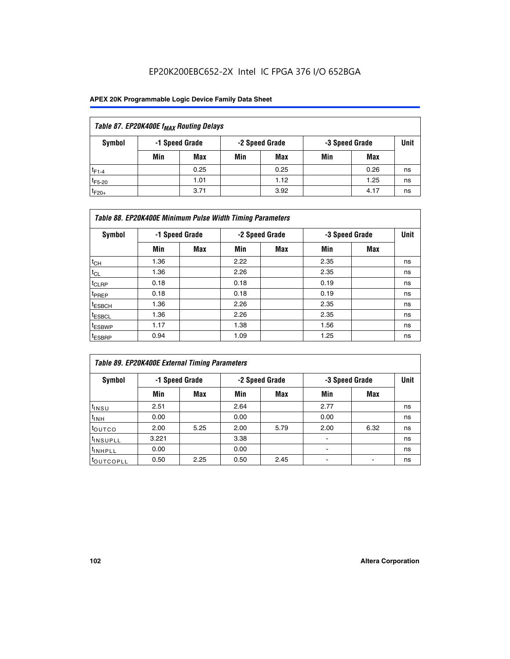| Table 87. EP20K400E f <sub>MAX</sub> Routing Delays |     |                |     |                |     |                |             |  |  |  |  |
|-----------------------------------------------------|-----|----------------|-----|----------------|-----|----------------|-------------|--|--|--|--|
| Symbol                                              |     | -1 Speed Grade |     | -2 Speed Grade |     | -3 Speed Grade | <b>Unit</b> |  |  |  |  |
|                                                     | Min | <b>Max</b>     | Min | Max            | Min | Max            |             |  |  |  |  |
| $t_{F1-4}$                                          |     | 0.25           |     | 0.25           |     | 0.26           | ns          |  |  |  |  |
| $t_{F5-20}$                                         |     | 1.01           |     | 1.12           |     | 1.25           | ns          |  |  |  |  |
| $t_{F20+}$                                          |     | 3.71           |     | 3.92           |     | 4.17           | ns          |  |  |  |  |

|                    | Table 88. EP20K400E Minimum Pulse Width Timing Parameters |                |      |                |      |                |             |  |  |  |  |  |
|--------------------|-----------------------------------------------------------|----------------|------|----------------|------|----------------|-------------|--|--|--|--|--|
| Symbol             |                                                           | -1 Speed Grade |      | -2 Speed Grade |      | -3 Speed Grade | <b>Unit</b> |  |  |  |  |  |
|                    | Min                                                       | <b>Max</b>     | Min  | Max            | Min  | Max            |             |  |  |  |  |  |
| $t_{CH}$           | 1.36                                                      |                | 2.22 |                | 2.35 |                | ns          |  |  |  |  |  |
| $t_{CL}$           | 1.36                                                      |                | 2.26 |                | 2.35 |                | ns          |  |  |  |  |  |
| t <sub>CLRP</sub>  | 0.18                                                      |                | 0.18 |                | 0.19 |                | ns          |  |  |  |  |  |
| <sup>t</sup> PREP  | 0.18                                                      |                | 0.18 |                | 0.19 |                | ns          |  |  |  |  |  |
| <sup>t</sup> ESBCH | 1.36                                                      |                | 2.26 |                | 2.35 |                | ns          |  |  |  |  |  |
| <sup>t</sup> ESBCL | 1.36                                                      |                | 2.26 |                | 2.35 |                | ns          |  |  |  |  |  |
| <sup>t</sup> ESBWP | 1.17                                                      |                | 1.38 |                | 1.56 |                | ns          |  |  |  |  |  |
| $t_{ESBRP}$        | 0.94                                                      |                | 1.09 |                | 1.25 |                | ns          |  |  |  |  |  |

| Table 89. EP20K400E External Timing Parameters |       |                |      |                |                          |                |             |  |  |  |  |
|------------------------------------------------|-------|----------------|------|----------------|--------------------------|----------------|-------------|--|--|--|--|
| Symbol                                         |       | -1 Speed Grade |      | -2 Speed Grade |                          | -3 Speed Grade | <b>Unit</b> |  |  |  |  |
|                                                | Min   | Max            | Min  | <b>Max</b>     | Min                      | Max            |             |  |  |  |  |
| t <sub>INSU</sub>                              | 2.51  |                | 2.64 |                | 2.77                     |                | ns          |  |  |  |  |
| $t_{INH}$                                      | 0.00  |                | 0.00 |                | 0.00                     |                | ns          |  |  |  |  |
| toutco                                         | 2.00  | 5.25           | 2.00 | 5.79           | 2.00                     | 6.32           | ns          |  |  |  |  |
| <sup>t</sup> INSUPLL                           | 3.221 |                | 3.38 |                |                          |                | ns          |  |  |  |  |
| I <sup>t</sup> INHPLL                          | 0.00  |                | 0.00 |                | $\overline{\phantom{0}}$ |                | ns          |  |  |  |  |
| toutcopll                                      | 0.50  | 2.25           | 0.50 | 2.45           |                          |                | ns          |  |  |  |  |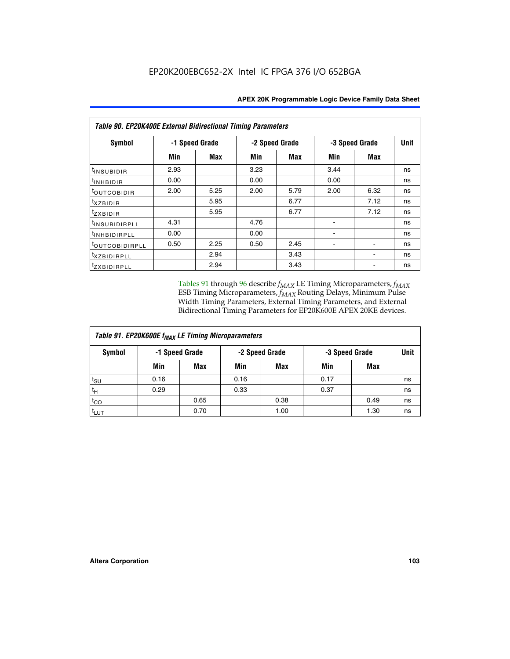| <b>Table 90. EP20K400E External Bidirectional Timing Parameters</b> |      |                |                |      |                |             |    |  |  |  |  |
|---------------------------------------------------------------------|------|----------------|----------------|------|----------------|-------------|----|--|--|--|--|
| Symbol                                                              |      | -1 Speed Grade | -2 Speed Grade |      | -3 Speed Grade | <b>Unit</b> |    |  |  |  |  |
|                                                                     | Min  | <b>Max</b>     | Min            | Max  | Min            | Max         |    |  |  |  |  |
| tINSUBIDIR                                                          | 2.93 |                | 3.23           |      | 3.44           |             | ns |  |  |  |  |
| t <sub>INHBIDIR</sub>                                               | 0.00 |                | 0.00           |      | 0.00           |             | ns |  |  |  |  |
| t <sub>outcobidir</sub>                                             | 2.00 | 5.25           | 2.00           | 5.79 | 2.00           | 6.32        | ns |  |  |  |  |
| <i>txzbidir</i>                                                     |      | 5.95           |                | 6.77 |                | 7.12        | ns |  |  |  |  |
| tzxbidir                                                            |      | 5.95           |                | 6.77 |                | 7.12        | ns |  |  |  |  |
| <sup>t</sup> INSUBIDIRPLL                                           | 4.31 |                | 4.76           |      |                |             | ns |  |  |  |  |
| t <sub>INHBIDIRPLL</sub>                                            | 0.00 |                | 0.00           |      |                |             | ns |  |  |  |  |
| <sup>t</sup> OUTCOBIDIRPLL                                          | 0.50 | 2.25           | 0.50           | 2.45 |                |             | ns |  |  |  |  |
| <i>txzBIDIRPLL</i>                                                  |      | 2.94           |                | 3.43 |                |             | ns |  |  |  |  |
| tzxBIDIRPLL                                                         |      | 2.94           |                | 3.43 |                |             | ns |  |  |  |  |

Tables 91 through 96 describe  $f_{MAX}$  LE Timing Microparameters,  $f_{MAX}$ ESB Timing Microparameters, *f<sub>MAX</sub>* Routing Delays, Minimum Pulse Width Timing Parameters, External Timing Parameters, and External Bidirectional Timing Parameters for EP20K600E APEX 20KE devices.

| Table 91. EP20K600E f <sub>MAX</sub> LE Timing Microparameters |      |                |                |            |                |      |             |  |  |  |  |
|----------------------------------------------------------------|------|----------------|----------------|------------|----------------|------|-------------|--|--|--|--|
| Symbol                                                         |      | -1 Speed Grade | -2 Speed Grade |            | -3 Speed Grade |      | <b>Unit</b> |  |  |  |  |
|                                                                | Min  | <b>Max</b>     | Min            | <b>Max</b> | Min            | Max  |             |  |  |  |  |
| $t_{\text{SU}}$                                                | 0.16 |                | 0.16           |            | 0.17           |      | ns          |  |  |  |  |
| $t_H$                                                          | 0.29 |                | 0.33           |            | 0.37           |      | ns          |  |  |  |  |
| $t_{CO}$                                                       |      | 0.65           |                | 0.38       |                | 0.49 | ns          |  |  |  |  |
| <sup>t</sup> LUT                                               |      | 0.70           |                | 1.00       |                | 1.30 | ns          |  |  |  |  |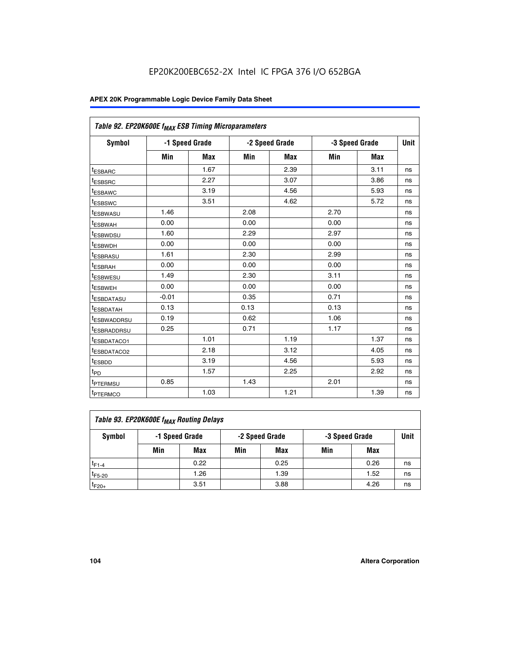| Table 92. EP20K600E f <sub>MAX</sub> ESB Timing Microparameters |         |                |      |                |      |                |             |
|-----------------------------------------------------------------|---------|----------------|------|----------------|------|----------------|-------------|
| <b>Symbol</b>                                                   |         | -1 Speed Grade |      | -2 Speed Grade |      | -3 Speed Grade | <b>Unit</b> |
|                                                                 | Min     | <b>Max</b>     | Min  | <b>Max</b>     | Min  | <b>Max</b>     |             |
| t <sub>ESBARC</sub>                                             |         | 1.67           |      | 2.39           |      | 3.11           | ns          |
| t <sub>ESBSRC</sub>                                             |         | 2.27           |      | 3.07           |      | 3.86           | ns          |
| <sup>t</sup> ESBAWC                                             |         | 3.19           |      | 4.56           |      | 5.93           | ns          |
| t <sub>ESBSWC</sub>                                             |         | 3.51           |      | 4.62           |      | 5.72           | ns          |
| <sup>t</sup> ESBWASU                                            | 1.46    |                | 2.08 |                | 2.70 |                | ns          |
| t <sub>ESBWAH</sub>                                             | 0.00    |                | 0.00 |                | 0.00 |                | ns          |
| t <sub>ESBWDSU</sub>                                            | 1.60    |                | 2.29 |                | 2.97 |                | ns          |
| <sup>t</sup> ESBWDH                                             | 0.00    |                | 0.00 |                | 0.00 |                | ns          |
| <sup>t</sup> ESBRASU                                            | 1.61    |                | 2.30 |                | 2.99 |                | ns          |
| t <sub>ESBRAH</sub>                                             | 0.00    |                | 0.00 |                | 0.00 |                | ns          |
| t <sub>ESBWESU</sub>                                            | 1.49    |                | 2.30 |                | 3.11 |                | ns          |
| <sup>t</sup> ESBWEH                                             | 0.00    |                | 0.00 |                | 0.00 |                | ns          |
| <sup>t</sup> ESBDATASU                                          | $-0.01$ |                | 0.35 |                | 0.71 |                | ns          |
| <sup>t</sup> ESBDATAH                                           | 0.13    |                | 0.13 |                | 0.13 |                | ns          |
| <sup>t</sup> ESBWADDRSU                                         | 0.19    |                | 0.62 |                | 1.06 |                | ns          |
| <sup>t</sup> ESBRADDRSU                                         | 0.25    |                | 0.71 |                | 1.17 |                | ns          |
| <sup>I</sup> ESBDATACO1                                         |         | 1.01           |      | 1.19           |      | 1.37           | ns          |
| <sup>t</sup> ESBDATACO2                                         |         | 2.18           |      | 3.12           |      | 4.05           | ns          |
| <sup>t</sup> ESBDD                                              |         | 3.19           |      | 4.56           |      | 5.93           | ns          |
| t <sub>PD</sub>                                                 |         | 1.57           |      | 2.25           |      | 2.92           | ns          |
| <b>TPTERMSU</b>                                                 | 0.85    |                | 1.43 |                | 2.01 |                | ns          |
| t <sub>PTERMCO</sub>                                            |         | 1.03           |      | 1.21           |      | 1.39           | ns          |

| Table 93. EP20K600E f <sub>MAX</sub> Routing Delays |                |      |     |                |     |                |      |  |  |  |  |
|-----------------------------------------------------|----------------|------|-----|----------------|-----|----------------|------|--|--|--|--|
| Symbol                                              | -1 Speed Grade |      |     | -2 Speed Grade |     | -3 Speed Grade | Unit |  |  |  |  |
|                                                     | Min            | Max  | Min | Max            | Min | Max            |      |  |  |  |  |
| $t_{F1-4}$                                          |                | 0.22 |     | 0.25           |     | 0.26           | ns   |  |  |  |  |
| $t_{F5-20}$                                         |                | 1.26 |     | 1.39           |     | 1.52           | ns   |  |  |  |  |
| $t_{F20+}$                                          |                | 3.51 |     | 3.88           |     | 4.26           | ns   |  |  |  |  |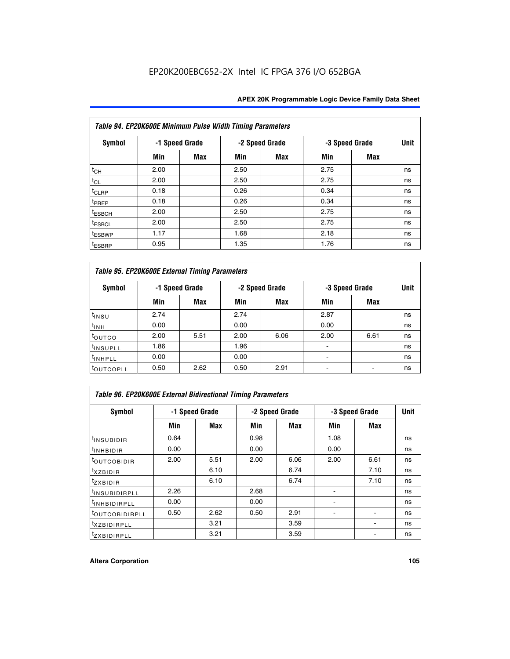|                    | Table 94. EP20K600E Minimum Pulse Width Timing Parameters |                |      |                |                |            |             |  |  |  |  |  |
|--------------------|-----------------------------------------------------------|----------------|------|----------------|----------------|------------|-------------|--|--|--|--|--|
| <b>Symbol</b>      |                                                           | -1 Speed Grade |      | -2 Speed Grade | -3 Speed Grade |            | <b>Unit</b> |  |  |  |  |  |
|                    | Min                                                       | Max            | Min  | Max            | Min            | <b>Max</b> |             |  |  |  |  |  |
| $t_{CH}$           | 2.00                                                      |                | 2.50 |                | 2.75           |            | ns          |  |  |  |  |  |
| $t_{CL}$           | 2.00                                                      |                | 2.50 |                | 2.75           |            | ns          |  |  |  |  |  |
| $t_{CLRP}$         | 0.18                                                      |                | 0.26 |                | 0.34           |            | ns          |  |  |  |  |  |
| t <sub>PREP</sub>  | 0.18                                                      |                | 0.26 |                | 0.34           |            | ns          |  |  |  |  |  |
| <sup>t</sup> ESBCH | 2.00                                                      |                | 2.50 |                | 2.75           |            | ns          |  |  |  |  |  |
| <sup>t</sup> ESBCL | 2.00                                                      |                | 2.50 |                | 2.75           |            | ns          |  |  |  |  |  |
| <sup>t</sup> ESBWP | 1.17                                                      |                | 1.68 |                | 2.18           |            | ns          |  |  |  |  |  |
| <sup>t</sup> ESBRP | 0.95                                                      |                | 1.35 |                | 1.76           |            | ns          |  |  |  |  |  |

|                      | Table 95. EP20K600E External Timing Parameters |                |      |                |                          |                |    |  |  |  |  |  |
|----------------------|------------------------------------------------|----------------|------|----------------|--------------------------|----------------|----|--|--|--|--|--|
| Symbol               |                                                | -1 Speed Grade |      | -2 Speed Grade |                          | -3 Speed Grade |    |  |  |  |  |  |
|                      | Min                                            | Max            | Min  | Max            | Min                      | <b>Max</b>     |    |  |  |  |  |  |
| t <sub>insu</sub>    | 2.74                                           |                | 2.74 |                | 2.87                     |                | ns |  |  |  |  |  |
| $t_{INH}$            | 0.00                                           |                | 0.00 |                | 0.00                     |                | ns |  |  |  |  |  |
| toutco               | 2.00                                           | 5.51           | 2.00 | 6.06           | 2.00                     | 6.61           | ns |  |  |  |  |  |
| <sup>t</sup> INSUPLL | 1.86                                           |                | 1.96 |                |                          |                | ns |  |  |  |  |  |
| <sup>t</sup> INHPLL  | 0.00                                           |                | 0.00 |                | $\overline{\phantom{a}}$ |                | ns |  |  |  |  |  |
| <b>LOUTCOPLL</b>     | 0.50                                           | 2.62           | 0.50 | 2.91           |                          |                | ns |  |  |  |  |  |

| <b>Table 96. EP20K600E External Bidirectional Timing Parameters</b> |                |            |      |                |                |                              |    |  |  |  |
|---------------------------------------------------------------------|----------------|------------|------|----------------|----------------|------------------------------|----|--|--|--|
| Symbol                                                              | -1 Speed Grade |            |      | -2 Speed Grade | -3 Speed Grade | <b>Unit</b>                  |    |  |  |  |
|                                                                     | Min            | <b>Max</b> | Min  | Max            | Min            | <b>Max</b>                   |    |  |  |  |
| t <sub>INSUBIDIR</sub>                                              | 0.64           |            | 0.98 |                | 1.08           |                              | ns |  |  |  |
| $t_{\rm INHBIDIR}$                                                  | 0.00           |            | 0.00 |                | 0.00           |                              | ns |  |  |  |
| <sup>t</sup> OUTCOBIDIR                                             | 2.00           | 5.51       | 2.00 | 6.06           | 2.00           | 6.61                         | ns |  |  |  |
| $txz$ BIDIR                                                         |                | 6.10       |      | 6.74           |                | 7.10                         | ns |  |  |  |
| $t_{Z}$ <i>x</i> BIDIR                                              |                | 6.10       |      | 6.74           |                | 7.10                         | ns |  |  |  |
| <sup>t</sup> INSUBIDIRPLL                                           | 2.26           |            | 2.68 |                |                |                              | ns |  |  |  |
| <sup>t</sup> INHBIDIRPLL                                            | 0.00           |            | 0.00 |                |                |                              | ns |  |  |  |
| <b><i>LOUTCOBIDIRPLL</i></b>                                        | 0.50           | 2.62       | 0.50 | 2.91           |                |                              | ns |  |  |  |
| <sup>t</sup> xzbidirpll                                             |                | 3.21       |      | 3.59           |                | $\qquad \qquad \blacksquare$ | ns |  |  |  |
| <i>t</i> zxBIDIRPLL                                                 |                | 3.21       |      | 3.59           |                |                              | ns |  |  |  |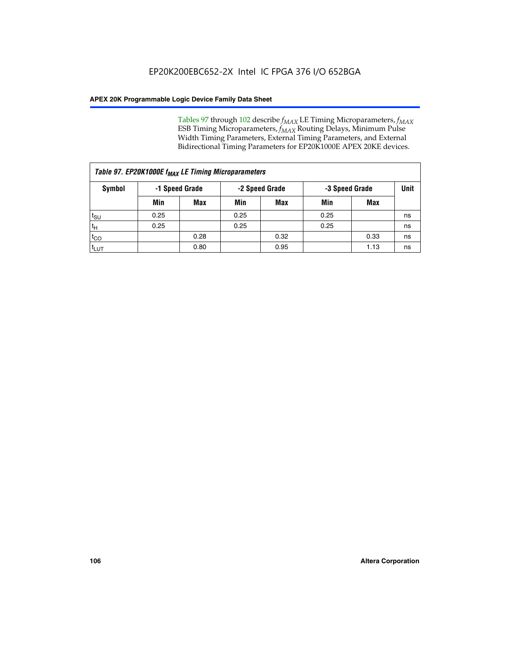Tables 97 through 102 describe  $f_{MAX}$  LE Timing Microparameters,  $f_{MAX}$ ESB Timing Microparameters, *f<sub>MAX</sub>* Routing Delays, Minimum Pulse Width Timing Parameters, External Timing Parameters, and External Bidirectional Timing Parameters for EP20K1000E APEX 20KE devices.

|                    | Table 97. EP20K1000E f <sub>MAX</sub> LE Timing Microparameters |            |                |            |                |      |      |  |  |  |  |  |
|--------------------|-----------------------------------------------------------------|------------|----------------|------------|----------------|------|------|--|--|--|--|--|
| Symbol             | -1 Speed Grade                                                  |            | -2 Speed Grade |            | -3 Speed Grade |      | Unit |  |  |  |  |  |
|                    | Min                                                             | <b>Max</b> | Min            | <b>Max</b> | Min            | Max  |      |  |  |  |  |  |
| $t_{\text{SU}}$    | 0.25                                                            |            | 0.25           |            | 0.25           |      | ns   |  |  |  |  |  |
| $t_H$              | 0.25                                                            |            | 0.25           |            | 0.25           |      | ns   |  |  |  |  |  |
| $t_{CO}$           |                                                                 | 0.28       |                | 0.32       |                | 0.33 | ns   |  |  |  |  |  |
| ι <sup>t</sup> ιυτ |                                                                 | 0.80       |                | 0.95       |                | 1.13 | ns   |  |  |  |  |  |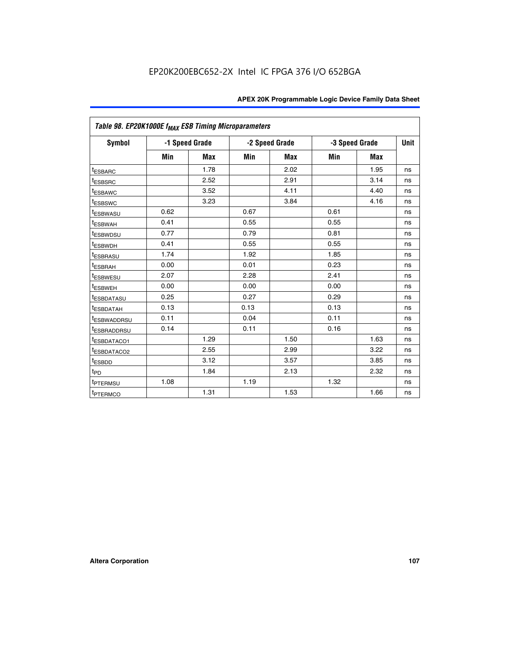|                         | Table 98. EP20K1000E f <sub>MAX</sub> ESB Timing Microparameters |                |      |                |                |            |             |  |  |  |  |
|-------------------------|------------------------------------------------------------------|----------------|------|----------------|----------------|------------|-------------|--|--|--|--|
| <b>Symbol</b>           |                                                                  | -1 Speed Grade |      | -2 Speed Grade | -3 Speed Grade |            | <b>Unit</b> |  |  |  |  |
|                         | Min                                                              | <b>Max</b>     | Min  | <b>Max</b>     | Min            | <b>Max</b> |             |  |  |  |  |
| <sup>t</sup> ESBARC     |                                                                  | 1.78           |      | 2.02           |                | 1.95       | ns          |  |  |  |  |
| <i><b>LESBSRC</b></i>   |                                                                  | 2.52           |      | 2.91           |                | 3.14       | ns          |  |  |  |  |
| <sup>t</sup> ESBAWC     |                                                                  | 3.52           |      | 4.11           |                | 4.40       | ns          |  |  |  |  |
| t <sub>ESBSWC</sub>     |                                                                  | 3.23           |      | 3.84           |                | 4.16       | ns          |  |  |  |  |
| t <sub>ESBWASU</sub>    | 0.62                                                             |                | 0.67 |                | 0.61           |            | ns          |  |  |  |  |
| <sup>t</sup> ESBWAH     | 0.41                                                             |                | 0.55 |                | 0.55           |            | ns          |  |  |  |  |
| t <sub>ESBWDSU</sub>    | 0.77                                                             |                | 0.79 |                | 0.81           |            | ns          |  |  |  |  |
| <sup>t</sup> ESBWDH     | 0.41                                                             |                | 0.55 |                | 0.55           |            | ns          |  |  |  |  |
| t <sub>ESBRASU</sub>    | 1.74                                                             |                | 1.92 |                | 1.85           |            | ns          |  |  |  |  |
| t <sub>ESBRAH</sub>     | 0.00                                                             |                | 0.01 |                | 0.23           |            | ns          |  |  |  |  |
| <sup>t</sup> ESBWESU    | 2.07                                                             |                | 2.28 |                | 2.41           |            | ns          |  |  |  |  |
| t <sub>ESBWEH</sub>     | 0.00                                                             |                | 0.00 |                | 0.00           |            | ns          |  |  |  |  |
| <sup>t</sup> ESBDATASU  | 0.25                                                             |                | 0.27 |                | 0.29           |            | ns          |  |  |  |  |
| <sup>t</sup> ESBDATAH   | 0.13                                                             |                | 0.13 |                | 0.13           |            | ns          |  |  |  |  |
| <sup>t</sup> ESBWADDRSU | 0.11                                                             |                | 0.04 |                | 0.11           |            | ns          |  |  |  |  |
| <sup>T</sup> ESBRADDRSU | 0.14                                                             |                | 0.11 |                | 0.16           |            | ns          |  |  |  |  |
| <sup>t</sup> ESBDATACO1 |                                                                  | 1.29           |      | 1.50           |                | 1.63       | ns          |  |  |  |  |
| <sup>t</sup> ESBDATACO2 |                                                                  | 2.55           |      | 2.99           |                | 3.22       | ns          |  |  |  |  |
| <sup>t</sup> ESBDD      |                                                                  | 3.12           |      | 3.57           |                | 3.85       | ns          |  |  |  |  |
| $t_{\text{PD}}$         |                                                                  | 1.84           |      | 2.13           |                | 2.32       | ns          |  |  |  |  |
| t <sub>PTERMSU</sub>    | 1.08                                                             |                | 1.19 |                | 1.32           |            | ns          |  |  |  |  |
| <sup>t</sup> PTERMCO    |                                                                  | 1.31           |      | 1.53           |                | 1.66       | ns          |  |  |  |  |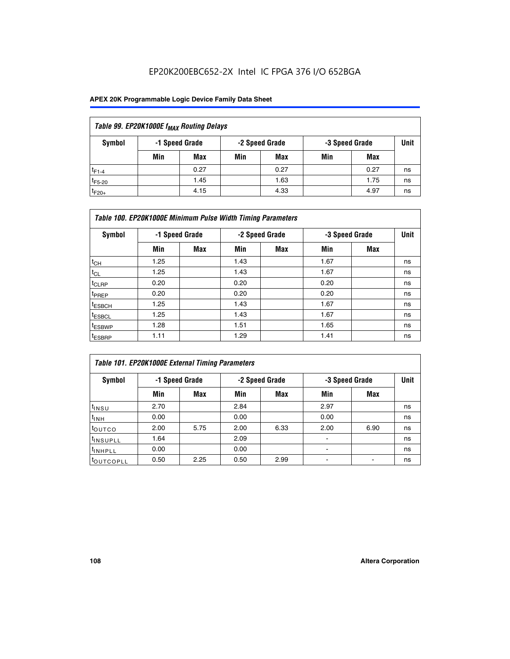## EP20K200EBC652-2X Intel IC FPGA 376 I/O 652BGA

## **APEX 20K Programmable Logic Device Family Data Sheet**

| Table 99. EP20K1000E f <sub>MAX</sub> Routing Delays |                                                    |            |     |      |     |      |    |  |  |  |  |
|------------------------------------------------------|----------------------------------------------------|------------|-----|------|-----|------|----|--|--|--|--|
| Symbol                                               | -1 Speed Grade<br>-2 Speed Grade<br>-3 Speed Grade |            |     |      |     |      |    |  |  |  |  |
|                                                      | Min                                                | <b>Max</b> | Min | Max  | Min | Max  |    |  |  |  |  |
| $t_{F1-4}$                                           |                                                    | 0.27       |     | 0.27 |     | 0.27 | ns |  |  |  |  |
| $t_{F5-20}$                                          |                                                    | 1.45       |     | 1.63 |     | 1.75 | ns |  |  |  |  |
| $t_{F20+}$                                           |                                                    | 4.15       |     | 4.33 |     | 4.97 | ns |  |  |  |  |

|                    | Table 100. EP20K1000E Minimum Pulse Width Timing Parameters |                |      |                |      |                |             |  |  |  |  |  |
|--------------------|-------------------------------------------------------------|----------------|------|----------------|------|----------------|-------------|--|--|--|--|--|
| Symbol             |                                                             | -1 Speed Grade |      | -2 Speed Grade |      | -3 Speed Grade | <b>Unit</b> |  |  |  |  |  |
|                    | Min                                                         | <b>Max</b>     | Min  | Max            | Min  | Max            |             |  |  |  |  |  |
| $t_{CH}$           | 1.25                                                        |                | 1.43 |                | 1.67 |                | ns          |  |  |  |  |  |
| $t_{CL}$           | 1.25                                                        |                | 1.43 |                | 1.67 |                | ns          |  |  |  |  |  |
| t <sub>CLRP</sub>  | 0.20                                                        |                | 0.20 |                | 0.20 |                | ns          |  |  |  |  |  |
| <sup>t</sup> PREP  | 0.20                                                        |                | 0.20 |                | 0.20 |                | ns          |  |  |  |  |  |
| <sup>t</sup> ESBCH | 1.25                                                        |                | 1.43 |                | 1.67 |                | ns          |  |  |  |  |  |
| <sup>t</sup> ESBCL | 1.25                                                        |                | 1.43 |                | 1.67 |                | ns          |  |  |  |  |  |
| <sup>t</sup> ESBWP | 1.28                                                        |                | 1.51 |                | 1.65 |                | ns          |  |  |  |  |  |
| <sup>t</sup> ESBRP | 1.11                                                        |                | 1.29 |                | 1.41 |                | ns          |  |  |  |  |  |

| Table 101. EP20K1000E External Timing Parameters |                |      |      |                |                          |      |             |  |  |  |  |  |
|--------------------------------------------------|----------------|------|------|----------------|--------------------------|------|-------------|--|--|--|--|--|
| Symbol                                           | -1 Speed Grade |      |      | -2 Speed Grade | -3 Speed Grade           |      | <b>Unit</b> |  |  |  |  |  |
|                                                  | Min            | Max  | Min  | <b>Max</b>     | Min                      | Max  |             |  |  |  |  |  |
| t <sub>INSU</sub>                                | 2.70           |      | 2.84 |                | 2.97                     |      | ns          |  |  |  |  |  |
| $t_{INH}$                                        | 0.00           |      | 0.00 |                | 0.00                     |      | ns          |  |  |  |  |  |
| toutco                                           | 2.00           | 5.75 | 2.00 | 6.33           | 2.00                     | 6.90 | ns          |  |  |  |  |  |
| <sup>t</sup> INSUPLL                             | 1.64           |      | 2.09 |                | ۰                        |      | ns          |  |  |  |  |  |
| I <sup>t</sup> INHPLL                            | 0.00           |      | 0.00 |                | $\overline{\phantom{a}}$ |      | ns          |  |  |  |  |  |
| toutcopll                                        | 0.50           | 2.25 | 0.50 | 2.99           | -                        |      | ns          |  |  |  |  |  |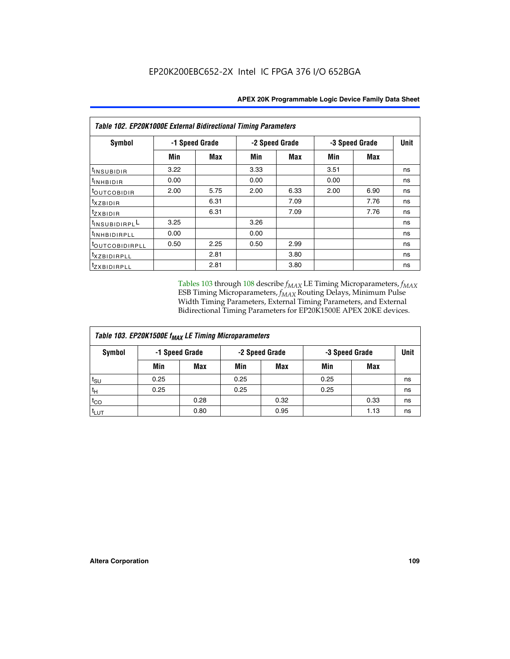| Table 102. EP20K1000E External Bidirectional Timing Parameters |      |                |      |                |      |                |             |  |  |  |
|----------------------------------------------------------------|------|----------------|------|----------------|------|----------------|-------------|--|--|--|
| Symbol                                                         |      | -1 Speed Grade |      | -2 Speed Grade |      | -3 Speed Grade | <b>Unit</b> |  |  |  |
|                                                                | Min  | Max            | Min  | Max            | Min  | <b>Max</b>     |             |  |  |  |
| $t_{INSUBIDIR}$                                                | 3.22 |                | 3.33 |                | 3.51 |                | ns          |  |  |  |
| t <sub>INHBIDIR</sub>                                          | 0.00 |                | 0.00 |                | 0.00 |                | ns          |  |  |  |
| t <sub>OUTCOBIDIR</sub>                                        | 2.00 | 5.75           | 2.00 | 6.33           | 2.00 | 6.90           | ns          |  |  |  |
| <i>txzbidir</i>                                                |      | 6.31           |      | 7.09           |      | 7.76           | ns          |  |  |  |
| tzxbidir                                                       |      | 6.31           |      | 7.09           |      | 7.76           | ns          |  |  |  |
| tINSUBIDIRPLL                                                  | 3.25 |                | 3.26 |                |      |                | ns          |  |  |  |
| tINHBIDIRPLL                                                   | 0.00 |                | 0.00 |                |      |                | ns          |  |  |  |
| tout COBIDIRPLL                                                | 0.50 | 2.25           | 0.50 | 2.99           |      |                | ns          |  |  |  |
| <sup>t</sup> xzbidirpll                                        |      | 2.81           |      | 3.80           |      |                | ns          |  |  |  |
| tzxBIDIRPLL                                                    |      | 2.81           |      | 3.80           |      |                | ns          |  |  |  |

Tables 103 through 108 describe  $f_{MAX}$  LE Timing Microparameters,  $f_{MAX}$ ESB Timing Microparameters, *f<sub>MAX</sub>* Routing Delays, Minimum Pulse Width Timing Parameters, External Timing Parameters, and External Bidirectional Timing Parameters for EP20K1500E APEX 20KE devices.

| Table 103. EP20K1500E f <sub>MAX</sub> LE Timing Microparameters |      |                |                |            |      |                |             |  |  |  |  |
|------------------------------------------------------------------|------|----------------|----------------|------------|------|----------------|-------------|--|--|--|--|
| Symbol                                                           |      | -1 Speed Grade | -2 Speed Grade |            |      | -3 Speed Grade | <b>Unit</b> |  |  |  |  |
|                                                                  | Min  | <b>Max</b>     | Min            | <b>Max</b> | Min  | Max            |             |  |  |  |  |
| $t_{\sf SU}$                                                     | 0.25 |                | 0.25           |            | 0.25 |                | ns          |  |  |  |  |
| $t_H$                                                            | 0.25 |                | 0.25           |            | 0.25 |                | ns          |  |  |  |  |
| $t_{CO}$                                                         |      | 0.28           |                | 0.32       |      | 0.33           | ns          |  |  |  |  |
| t <sub>lut</sub>                                                 |      | 0.80           |                | 0.95       |      | 1.13           | ns          |  |  |  |  |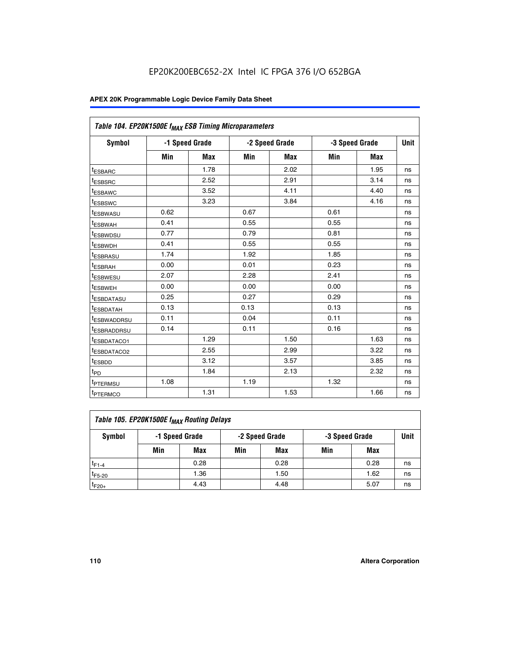|                         | Table 104. EP20K1500E f <sub>MAX</sub> ESB Timing Microparameters |            |            |                |      |                |             |  |  |  |  |  |
|-------------------------|-------------------------------------------------------------------|------------|------------|----------------|------|----------------|-------------|--|--|--|--|--|
| <b>Symbol</b>           | -1 Speed Grade                                                    |            |            | -2 Speed Grade |      | -3 Speed Grade | <b>Unit</b> |  |  |  |  |  |
|                         | Min                                                               | <b>Max</b> | <b>Min</b> | Max            | Min  | Max            |             |  |  |  |  |  |
| <sup>t</sup> ESBARC     |                                                                   | 1.78       |            | 2.02           |      | 1.95           | ns          |  |  |  |  |  |
| t <sub>ESBSRC</sub>     |                                                                   | 2.52       |            | 2.91           |      | 3.14           | ns          |  |  |  |  |  |
| <sup>t</sup> ESBAWC     |                                                                   | 3.52       |            | 4.11           |      | 4.40           | ns          |  |  |  |  |  |
| t <sub>ESBSWC</sub>     |                                                                   | 3.23       |            | 3.84           |      | 4.16           | ns          |  |  |  |  |  |
| t <sub>ESBWASU</sub>    | 0.62                                                              |            | 0.67       |                | 0.61 |                | ns          |  |  |  |  |  |
| t <sub>ESBWAH</sub>     | 0.41                                                              |            | 0.55       |                | 0.55 |                | ns          |  |  |  |  |  |
| <sup>t</sup> ESBWDSU    | 0.77                                                              |            | 0.79       |                | 0.81 |                | ns          |  |  |  |  |  |
| t <sub>ESBWDH</sub>     | 0.41                                                              |            | 0.55       |                | 0.55 |                | ns          |  |  |  |  |  |
| <sup>t</sup> ESBRASU    | 1.74                                                              |            | 1.92       |                | 1.85 |                | ns          |  |  |  |  |  |
| <sup>t</sup> ESBRAH     | 0.00                                                              |            | 0.01       |                | 0.23 |                | ns          |  |  |  |  |  |
| <sup>t</sup> ESBWESU    | 2.07                                                              |            | 2.28       |                | 2.41 |                | ns          |  |  |  |  |  |
| <sup>t</sup> ESBWEH     | 0.00                                                              |            | 0.00       |                | 0.00 |                | ns          |  |  |  |  |  |
| <sup>t</sup> ESBDATASU  | 0.25                                                              |            | 0.27       |                | 0.29 |                | ns          |  |  |  |  |  |
| <sup>t</sup> ESBDATAH   | 0.13                                                              |            | 0.13       |                | 0.13 |                | ns          |  |  |  |  |  |
| <sup>t</sup> ESBWADDRSU | 0.11                                                              |            | 0.04       |                | 0.11 |                | ns          |  |  |  |  |  |
| t <sub>ESBRADDRSU</sub> | 0.14                                                              |            | 0.11       |                | 0.16 |                | ns          |  |  |  |  |  |
| <sup>I</sup> ESBDATACO1 |                                                                   | 1.29       |            | 1.50           |      | 1.63           | ns          |  |  |  |  |  |
| <sup>t</sup> ESBDATACO2 |                                                                   | 2.55       |            | 2.99           |      | 3.22           | ns          |  |  |  |  |  |
| <sup>t</sup> ESBDD      |                                                                   | 3.12       |            | 3.57           |      | 3.85           | ns          |  |  |  |  |  |
| t <sub>PD</sub>         |                                                                   | 1.84       |            | 2.13           |      | 2.32           | ns          |  |  |  |  |  |
| t <sub>PTERMSU</sub>    | 1.08                                                              |            | 1.19       |                | 1.32 |                | ns          |  |  |  |  |  |
| t <sub>PTERMCO</sub>    |                                                                   | 1.31       |            | 1.53           |      | 1.66           | ns          |  |  |  |  |  |

| Table 105. EP20K1500E f <sub>MAX</sub> Routing Delays |                                                    |      |     |      |     |      |    |  |  |  |
|-------------------------------------------------------|----------------------------------------------------|------|-----|------|-----|------|----|--|--|--|
| Symbol                                                | -1 Speed Grade<br>-2 Speed Grade<br>-3 Speed Grade |      |     |      |     |      |    |  |  |  |
|                                                       | Min                                                | Max  | Min | Max  | Min | Max  |    |  |  |  |
| $t_{F1-4}$                                            |                                                    | 0.28 |     | 0.28 |     | 0.28 | ns |  |  |  |
| $t_{F5-20}$                                           |                                                    | 1.36 |     | 1.50 |     | 1.62 | ns |  |  |  |
| $t_{F20+}$                                            |                                                    | 4.43 |     | 4.48 |     | 5.07 | ns |  |  |  |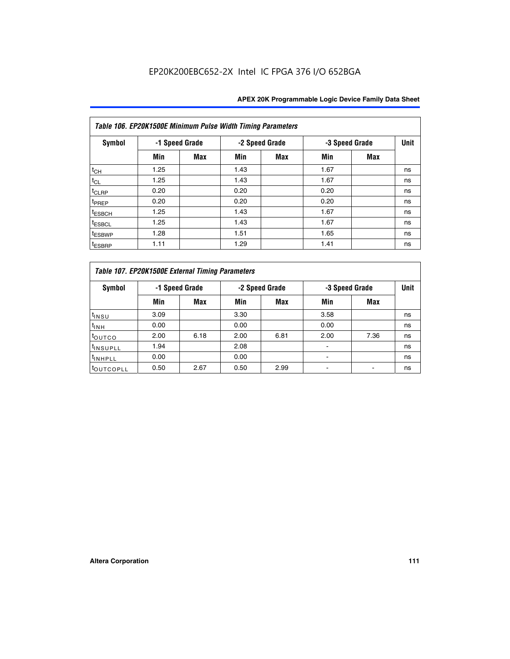|                    | Table 106. EP20K1500E Minimum Pulse Width Timing Parameters |                |      |                |                |            |             |  |  |  |  |  |  |
|--------------------|-------------------------------------------------------------|----------------|------|----------------|----------------|------------|-------------|--|--|--|--|--|--|
| Symbol             |                                                             | -1 Speed Grade |      | -2 Speed Grade | -3 Speed Grade |            | <b>Unit</b> |  |  |  |  |  |  |
|                    | Min                                                         | <b>Max</b>     | Min  | Max            | Min            | <b>Max</b> |             |  |  |  |  |  |  |
| $t_{CH}$           | 1.25                                                        |                | 1.43 |                | 1.67           |            | ns          |  |  |  |  |  |  |
| $t_{CL}$           | 1.25                                                        |                | 1.43 |                | 1.67           |            | ns          |  |  |  |  |  |  |
| t <sub>CLRP</sub>  | 0.20                                                        |                | 0.20 |                | 0.20           |            | ns          |  |  |  |  |  |  |
| <sup>t</sup> PREP  | 0.20                                                        |                | 0.20 |                | 0.20           |            | ns          |  |  |  |  |  |  |
| <sup>t</sup> ESBCH | 1.25                                                        |                | 1.43 |                | 1.67           |            | ns          |  |  |  |  |  |  |
| <sup>t</sup> ESBCL | 1.25                                                        |                | 1.43 |                | 1.67           |            | ns          |  |  |  |  |  |  |
| <sup>t</sup> ESBWP | 1.28                                                        |                | 1.51 |                | 1.65           |            | ns          |  |  |  |  |  |  |
| <sup>t</sup> ESBRP | 1.11                                                        |                | 1.29 |                | 1.41           |            | ns          |  |  |  |  |  |  |

|                       | Table 107. EP20K1500E External Timing Parameters |      |      |                |                          |                |             |  |  |  |  |  |  |
|-----------------------|--------------------------------------------------|------|------|----------------|--------------------------|----------------|-------------|--|--|--|--|--|--|
| Symbol                | -1 Speed Grade                                   |      |      | -2 Speed Grade |                          | -3 Speed Grade | <b>Unit</b> |  |  |  |  |  |  |
|                       | Min                                              | Max  | Min  | <b>Max</b>     | Min                      | Max            |             |  |  |  |  |  |  |
| t <sub>insu</sub>     | 3.09                                             |      | 3.30 |                | 3.58                     |                | ns          |  |  |  |  |  |  |
| $t_{INH}$             | 0.00                                             |      | 0.00 |                | 0.00                     |                | ns          |  |  |  |  |  |  |
| toutco                | 2.00                                             | 6.18 | 2.00 | 6.81           | 2.00                     | 7.36           | ns          |  |  |  |  |  |  |
| <sup>t</sup> INSUPLL  | 1.94                                             |      | 2.08 |                |                          |                | ns          |  |  |  |  |  |  |
| <sup>t</sup> INHPLL   | 0.00                                             |      | 0.00 |                | $\overline{\phantom{0}}$ |                | ns          |  |  |  |  |  |  |
| <sup>t</sup> OUTCOPLL | 0.50                                             | 2.67 | 0.50 | 2.99           |                          |                | ns          |  |  |  |  |  |  |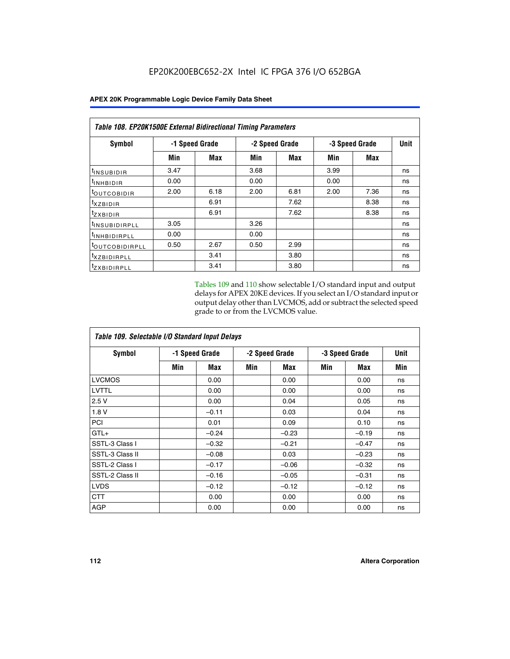| Table 108. EP20K1500E External Bidirectional Timing Parameters |                |      |      |                |      |                |      |
|----------------------------------------------------------------|----------------|------|------|----------------|------|----------------|------|
| Symbol                                                         | -1 Speed Grade |      |      | -2 Speed Grade |      | -3 Speed Grade | Unit |
|                                                                | Min            | Max  | Min  | Max            | Min  | Max            |      |
| <sup>t</sup> INSUBIDIR                                         | 3.47           |      | 3.68 |                | 3.99 |                | ns   |
| $t_{\rm INHBIDIR}$                                             | 0.00           |      | 0.00 |                | 0.00 |                | ns   |
| <sup>t</sup> OUTCOBIDIR                                        | 2.00           | 6.18 | 2.00 | 6.81           | 2.00 | 7.36           | ns   |
| $t_{XZBIDIR}$                                                  |                | 6.91 |      | 7.62           |      | 8.38           | ns   |
| tzxbidir                                                       |                | 6.91 |      | 7.62           |      | 8.38           | ns   |
| <sup>t</sup> INSUBIDIRPLL                                      | 3.05           |      | 3.26 |                |      |                | ns   |
| <sup>t</sup> INHBIDIRPLL                                       | 0.00           |      | 0.00 |                |      |                | ns   |
| <sup>t</sup> OUTCOBIDIRPLL                                     | 0.50           | 2.67 | 0.50 | 2.99           |      |                | ns   |
| <sup>t</sup> XZBIDIRPLL                                        |                | 3.41 |      | 3.80           |      |                | ns   |
| <sup>t</sup> zxbidirpll                                        |                | 3.41 |      | 3.80           |      |                | ns   |

Tables 109 and 110 show selectable I/O standard input and output delays for APEX 20KE devices. If you select an I/O standard input or output delay other than LVCMOS, add or subtract the selected speed grade to or from the LVCMOS value.

| Table 109. Selectable I/O Standard Input Delays |                |         |     |                |     |                |     |  |  |  |
|-------------------------------------------------|----------------|---------|-----|----------------|-----|----------------|-----|--|--|--|
| <b>Symbol</b>                                   | -1 Speed Grade |         |     | -2 Speed Grade |     | -3 Speed Grade |     |  |  |  |
|                                                 | Min            | Max     | Min | Max            | Min | Max            | Min |  |  |  |
| <b>LVCMOS</b>                                   |                | 0.00    |     | 0.00           |     | 0.00           | ns  |  |  |  |
| <b>LVTTL</b>                                    |                | 0.00    |     | 0.00           |     | 0.00           | ns  |  |  |  |
| 2.5V                                            |                | 0.00    |     | 0.04           |     | 0.05           | ns  |  |  |  |
| 1.8V                                            |                | $-0.11$ |     | 0.03           |     | 0.04           | ns  |  |  |  |
| PCI                                             |                | 0.01    |     | 0.09           |     | 0.10           | ns  |  |  |  |
| $GTL+$                                          |                | $-0.24$ |     | $-0.23$        |     | $-0.19$        | ns  |  |  |  |
| SSTL-3 Class I                                  |                | $-0.32$ |     | $-0.21$        |     | $-0.47$        | ns  |  |  |  |
| SSTL-3 Class II                                 |                | $-0.08$ |     | 0.03           |     | $-0.23$        | ns  |  |  |  |
| SSTL-2 Class I                                  |                | $-0.17$ |     | $-0.06$        |     | $-0.32$        | ns  |  |  |  |
| SSTL-2 Class II                                 |                | $-0.16$ |     | $-0.05$        |     | $-0.31$        | ns  |  |  |  |
| <b>LVDS</b>                                     |                | $-0.12$ |     | $-0.12$        |     | $-0.12$        | ns  |  |  |  |
| <b>CTT</b>                                      |                | 0.00    |     | 0.00           |     | 0.00           | ns  |  |  |  |
| <b>AGP</b>                                      |                | 0.00    |     | 0.00           |     | 0.00           | ns  |  |  |  |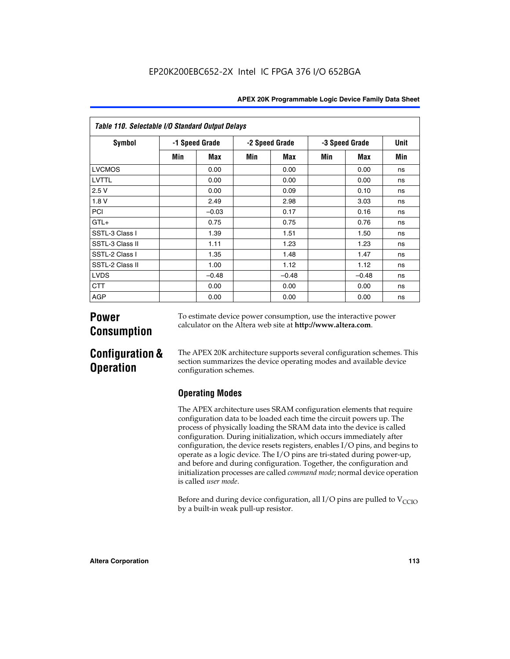| Table 110. Selectable I/O Standard Output Delays |                |         |                |         |     |                |      |  |  |  |  |
|--------------------------------------------------|----------------|---------|----------------|---------|-----|----------------|------|--|--|--|--|
| Symbol                                           | -1 Speed Grade |         | -2 Speed Grade |         |     | -3 Speed Grade | Unit |  |  |  |  |
|                                                  | Min            | Max     | Min            | Max     | Min | Max            | Min  |  |  |  |  |
| <b>LVCMOS</b>                                    |                | 0.00    |                | 0.00    |     | 0.00           | ns   |  |  |  |  |
| LVTTL                                            |                | 0.00    |                | 0.00    |     | 0.00           | ns   |  |  |  |  |
| 2.5V                                             |                | 0.00    |                | 0.09    |     | 0.10           | ns   |  |  |  |  |
| 1.8 V                                            |                | 2.49    |                | 2.98    |     | 3.03           | ns   |  |  |  |  |
| PCI                                              |                | $-0.03$ |                | 0.17    |     | 0.16           | ns   |  |  |  |  |
| $GTL+$                                           |                | 0.75    |                | 0.75    |     | 0.76           | ns   |  |  |  |  |
| SSTL-3 Class I                                   |                | 1.39    |                | 1.51    |     | 1.50           | ns   |  |  |  |  |
| SSTL-3 Class II                                  |                | 1.11    |                | 1.23    |     | 1.23           | ns   |  |  |  |  |
| SSTL-2 Class I                                   |                | 1.35    |                | 1.48    |     | 1.47           | ns   |  |  |  |  |
| SSTL-2 Class II                                  |                | 1.00    |                | 1.12    |     | 1.12           | ns   |  |  |  |  |
| <b>LVDS</b>                                      |                | $-0.48$ |                | $-0.48$ |     | $-0.48$        | ns   |  |  |  |  |
| <b>CTT</b>                                       |                | 0.00    |                | 0.00    |     | 0.00           | ns   |  |  |  |  |
| <b>AGP</b>                                       |                | 0.00    |                | 0.00    |     | 0.00           | ns   |  |  |  |  |

# **Power Consumption**

To estimate device power consumption, use the interactive power calculator on the Altera web site at **http://www.altera.com**.

# **Configuration & Operation**

The APEX 20K architecture supports several configuration schemes. This section summarizes the device operating modes and available device configuration schemes.

## **Operating Modes**

The APEX architecture uses SRAM configuration elements that require configuration data to be loaded each time the circuit powers up. The process of physically loading the SRAM data into the device is called configuration. During initialization, which occurs immediately after configuration, the device resets registers, enables I/O pins, and begins to operate as a logic device. The I/O pins are tri-stated during power-up, and before and during configuration. Together, the configuration and initialization processes are called *command mode*; normal device operation is called *user mode*.

Before and during device configuration, all I/O pins are pulled to  $V_{\text{CCTO}}$ by a built-in weak pull-up resistor.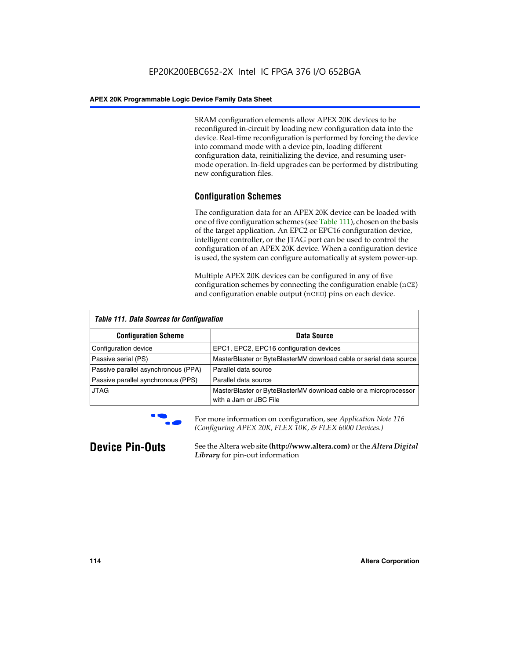SRAM configuration elements allow APEX 20K devices to be reconfigured in-circuit by loading new configuration data into the device. Real-time reconfiguration is performed by forcing the device into command mode with a device pin, loading different configuration data, reinitializing the device, and resuming usermode operation. In-field upgrades can be performed by distributing new configuration files.

## **Configuration Schemes**

The configuration data for an APEX 20K device can be loaded with one of five configuration schemes (see Table 111), chosen on the basis of the target application. An EPC2 or EPC16 configuration device, intelligent controller, or the JTAG port can be used to control the configuration of an APEX 20K device. When a configuration device is used, the system can configure automatically at system power-up.

Multiple APEX 20K devices can be configured in any of five configuration schemes by connecting the configuration enable (nCE) and configuration enable output (nCEO) pins on each device.

| <b>Table 111. Data Sources for Configuration</b> |                                                                                             |
|--------------------------------------------------|---------------------------------------------------------------------------------------------|
| <b>Configuration Scheme</b>                      | Data Source                                                                                 |
| Configuration device                             | EPC1, EPC2, EPC16 configuration devices                                                     |
| Passive serial (PS)                              | MasterBlaster or ByteBlasterMV download cable or serial data source                         |
| Passive parallel asynchronous (PPA)              | Parallel data source                                                                        |
| Passive parallel synchronous (PPS)               | Parallel data source                                                                        |
| <b>JTAG</b>                                      | MasterBlaster or ByteBlasterMV download cable or a microprocessor<br>with a Jam or JBC File |



**For more information on configuration, see Application Note 116** *(Configuring APEX 20K, FLEX 10K, & FLEX 6000 Devices.)*

**Device Pin-Outs** See the Altera web site **(http://www.altera.com)** or the *Altera Digital Library* for pin-out information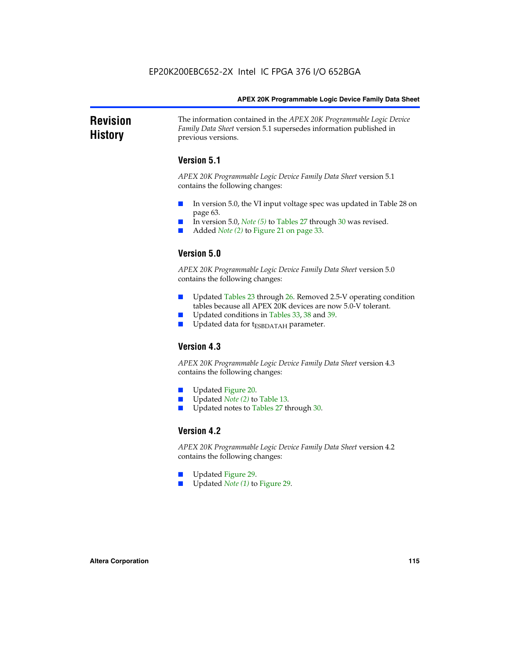### **Revision History** The information contained in the *APEX 20K Programmable Logic Device Family Data Sheet* version 5.1 supersedes information published in previous versions.

## **Version 5.1**

*APEX 20K Programmable Logic Device Family Data Sheet* version 5.1 contains the following changes:

- In version 5.0, the VI input voltage spec was updated in Table 28 on page 63.
- In version 5.0, *Note* (5) to Tables 27 through 30 was revised.
- Added *Note* (2) to Figure 21 on page 33.

## **Version 5.0**

*APEX 20K Programmable Logic Device Family Data Sheet* version 5.0 contains the following changes:

- Updated Tables 23 through 26. Removed 2.5-V operating condition tables because all APEX 20K devices are now 5.0-V tolerant.
- Updated conditions in Tables 33, 38 and 39.
- Updated data for t<sub>ESBDATAH</sub> parameter.

## **Version 4.3**

*APEX 20K Programmable Logic Device Family Data Sheet* version 4.3 contains the following changes:

- Updated Figure 20.
- Updated *Note (2)* to Table 13.
- Updated notes to Tables 27 through 30.

## **Version 4.2**

*APEX 20K Programmable Logic Device Family Data Sheet* version 4.2 contains the following changes:

- Updated Figure 29.
- Updated *Note (1)* to Figure 29.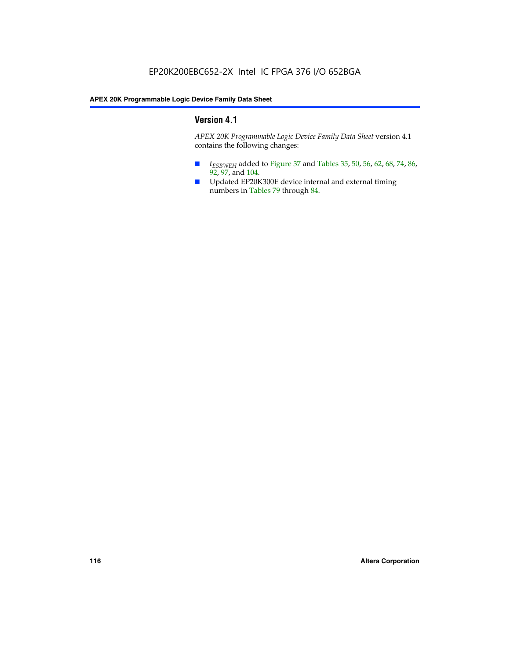## **Version 4.1**

*APEX 20K Programmable Logic Device Family Data Sheet* version 4.1 contains the following changes:

- *t<sub>ESBWEH</sub>* added to Figure 37 and Tables 35, 50, 56, 62, 68, 74, 86, 92, 97, and 104.
- Updated EP20K300E device internal and external timing numbers in Tables 79 through 84.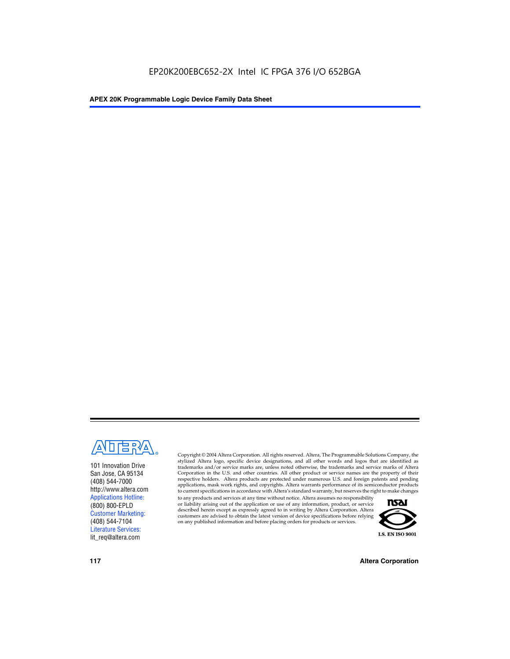

101 Innovation Drive San Jose, CA 95134 (408) 544-7000 http://www.altera.com Applications Hotline: (800) 800-EPLD Customer Marketing: (408) 544-7104 Literature Services: lit\_req@altera.com

Copyright © 2004 Altera Corporation. All rights reserved. Altera, The Programmable Solutions Company, the stylized Altera logo, specific device designations, and all other words and logos that are identified as trademarks and/or service marks are, unless noted otherwise, the trademarks and service marks of Altera Corporation in the U.S. and other countries. All other product or service names are the property of their respective holders. Altera products are protected under numerous U.S. and foreign patents and pending applications, mask work rights, and copyrights. Altera warrants performance of its semiconductor products to current specifications in accordance with Altera's standard warranty, but reserves the right to make changes

to any products and services at any time without notice. Altera assumes no responsibility or liability arising out of the application or use of any information, product, or service described herein except as expressly agreed to in writing by Altera Corporation. Altera customers are advised to obtain the latest version of device specifications before relying on any published information and before placing orders for products or services.



**117 Altera Corporation**